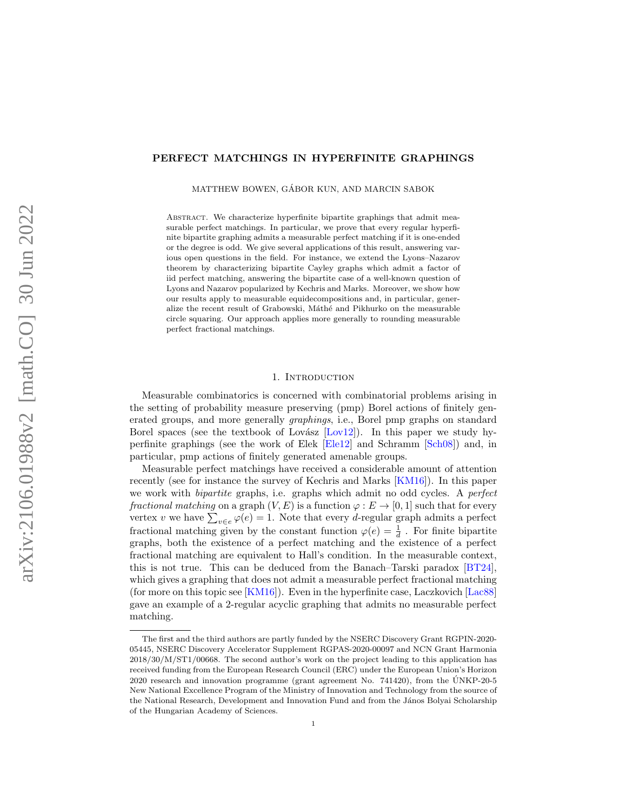## PERFECT MATCHINGS IN HYPERFINITE GRAPHINGS

MATTHEW BOWEN, GÁBOR KUN, AND MARCIN SABOK

ABSTRACT. We characterize hyperfinite bipartite graphings that admit measurable perfect matchings. In particular, we prove that every regular hyperfinite bipartite graphing admits a measurable perfect matching if it is one-ended or the degree is odd. We give several applications of this result, answering various open questions in the field. For instance, we extend the Lyons–Nazarov theorem by characterizing bipartite Cayley graphs which admit a factor of iid perfect matching, answering the bipartite case of a well-known question of Lyons and Nazarov popularized by Kechris and Marks. Moreover, we show how our results apply to measurable equidecompositions and, in particular, generalize the recent result of Grabowski, Máthé and Pikhurko on the measurable circle squaring. Our approach applies more generally to rounding measurable perfect fractional matchings.

### 1. INTRODUCTION

Measurable combinatorics is concerned with combinatorial problems arising in the setting of probability measure preserving (pmp) Borel actions of finitely generated groups, and more generally graphings, i.e., Borel pmp graphs on standard Borel spaces (see the textbook of Lovász  $[Low12]$ ). In this paper we study hyperfinite graphings (see the work of Elek [\[Ele12\]](#page-42-0) and Schramm [\[Sch08\]](#page-43-1)) and, in particular, pmp actions of finitely generated amenable groups.

Measurable perfect matchings have received a considerable amount of attention recently (see for instance the survey of Kechris and Marks [\[KM16\]](#page-42-1)). In this paper we work with bipartite graphs, i.e. graphs which admit no odd cycles. A perfect fractional matching on a graph  $(V, E)$  is a function  $\varphi : E \to [0, 1]$  such that for every vertex v we have  $\sum_{v \in e} \varphi(e) = 1$ . Note that every d-regular graph admits a perfect fractional matching given by the constant function  $\varphi(e) = \frac{1}{d}$ . For finite bipartite graphs, both the existence of a perfect matching and the existence of a perfect fractional matching are equivalent to Hall's condition. In the measurable context, this is not true. This can be deduced from the Banach–Tarski paradox [\[BT24\]](#page-42-2), which gives a graphing that does not admit a measurable perfect fractional matching (for more on this topic see [\[KM16\]](#page-42-1)). Even in the hyperfinite case, Laczkovich [\[Lac88\]](#page-43-2) gave an example of a 2-regular acyclic graphing that admits no measurable perfect matching.

The first and the third authors are partly funded by the NSERC Discovery Grant RGPIN-2020- 05445, NSERC Discovery Accelerator Supplement RGPAS-2020-00097 and NCN Grant Harmonia 2018/30/M/ST1/00668. The second author's work on the project leading to this application has received funding from the European Research Council (ERC) under the European Union's Horizon 2020 research and innovation programme (grant agreement No. 741420), from the UNKP-20-5 ´ New National Excellence Program of the Ministry of Innovation and Technology from the source of the National Research, Development and Innovation Fund and from the János Bolyai Scholarship of the Hungarian Academy of Sciences.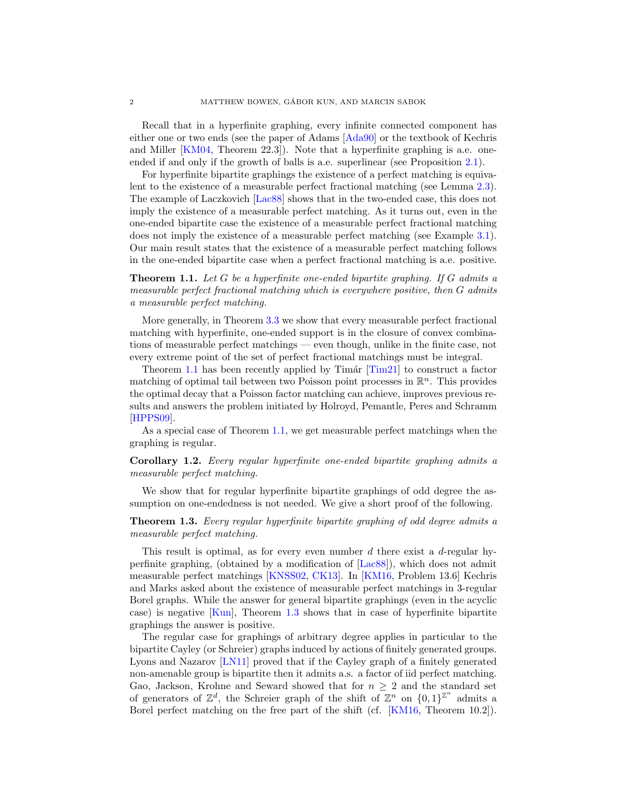Recall that in a hyperfinite graphing, every infinite connected component has either one or two ends (see the paper of Adams [\[Ada90\]](#page-41-0) or the textbook of Kechris and Miller [\[KM04,](#page-42-3) Theorem 22.3]). Note that a hyperfinite graphing is a.e. oneended if and only if the growth of balls is a.e. superlinear (see Proposition [2.1\)](#page-6-0).

For hyperfinite bipartite graphings the existence of a perfect matching is equivalent to the existence of a measurable perfect fractional matching (see Lemma [2.3\)](#page-6-1). The example of Laczkovich [\[Lac88\]](#page-43-2) shows that in the two-ended case, this does not imply the existence of a measurable perfect matching. As it turns out, even in the one-ended bipartite case the existence of a measurable perfect fractional matching does not imply the existence of a measurable perfect matching (see Example [3.1\)](#page-7-0). Our main result states that the existence of a measurable perfect matching follows in the one-ended bipartite case when a perfect fractional matching is a.e. positive.

<span id="page-1-0"></span>Theorem 1.1. Let G be a hyperfinite one-ended bipartite graphing. If G admits a measurable perfect fractional matching which is everywhere positive, then G admits a measurable perfect matching.

More generally, in Theorem [3.3](#page-9-0) we show that every measurable perfect fractional matching with hyperfinite, one-ended support is in the closure of convex combinations of measurable perfect matchings — even though, unlike in the finite case, not every extreme point of the set of perfect fractional matchings must be integral.

Theorem [1.1](#page-1-0) has been recently applied by  $\text{Timár } [\text{Tim21}]$  to construct a factor matching of optimal tail between two Poisson point processes in  $\mathbb{R}^n$ . This provides the optimal decay that a Poisson factor matching can achieve, improves previous results and answers the problem initiated by Holroyd, Pemantle, Peres and Schramm [\[HPPS09\]](#page-42-4).

As a special case of Theorem [1.1,](#page-1-0) we get measurable perfect matchings when the graphing is regular.

<span id="page-1-2"></span>Corollary 1.2. Every regular hyperfinite one-ended bipartite graphing admits a measurable perfect matching.

We show that for regular hyperfinite bipartite graphings of odd degree the assumption on one-endedness is not needed. We give a short proof of the following.

<span id="page-1-1"></span>Theorem 1.3. Every regular hyperfinite bipartite graphing of odd degree admits a measurable perfect matching.

This result is optimal, as for every even number  $d$  there exist a  $d$ -regular hyperfinite graphing, (obtained by a modification of [\[Lac88\]](#page-43-2)), which does not admit measurable perfect matchings [\[KNSS02,](#page-42-5) [CK13\]](#page-42-6). In [\[KM16,](#page-42-1) Problem 13.6] Kechris and Marks asked about the existence of measurable perfect matchings in 3-regular Borel graphs. While the answer for general bipartite graphings (even in the acyclic case) is negative [\[Kun\]](#page-43-4), Theorem [1.3](#page-1-1) shows that in case of hyperfinite bipartite graphings the answer is positive.

The regular case for graphings of arbitrary degree applies in particular to the bipartite Cayley (or Schreier) graphs induced by actions of finitely generated groups. Lyons and Nazarov [\[LN11\]](#page-43-5) proved that if the Cayley graph of a finitely generated non-amenable group is bipartite then it admits a.s. a factor of iid perfect matching. Gao, Jackson, Krohne and Seward showed that for  $n \geq 2$  and the standard set of generators of  $\mathbb{Z}^d$ , the Schreier graph of the shift of  $\mathbb{Z}^n$  on  $\{0,1\}^{\mathbb{Z}^n}$  admits a Borel perfect matching on the free part of the shift (cf. [\[KM16,](#page-42-1) Theorem 10.2]).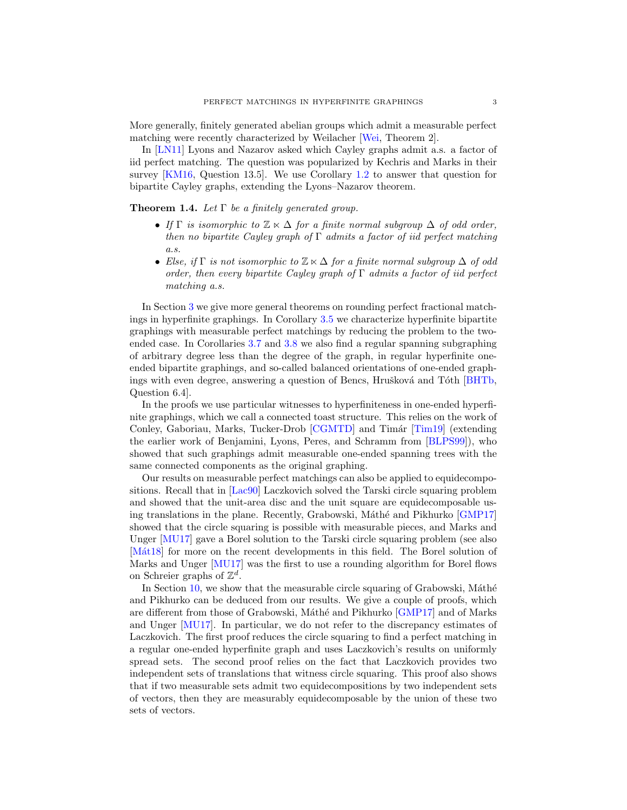More generally, finitely generated abelian groups which admit a measurable perfect matching were recently characterized by Weilacher [\[Wei,](#page-43-6) Theorem 2].

In [\[LN11\]](#page-43-5) Lyons and Nazarov asked which Cayley graphs admit a.s. a factor of iid perfect matching. The question was popularized by Kechris and Marks in their survey [\[KM16,](#page-42-1) Question 13.5]. We use Corollary [1.2](#page-1-2) to answer that question for bipartite Cayley graphs, extending the Lyons–Nazarov theorem.

<span id="page-2-0"></span>**Theorem 1.4.** Let  $\Gamma$  be a finitely generated group.

- If  $\Gamma$  is isomorphic to  $\mathbb{Z} \ltimes \Delta$  for a finite normal subgroup  $\Delta$  of odd order, then no bipartite Cayley graph of  $\Gamma$  admits a factor of iid perfect matching a.s.
- Else, if  $\Gamma$  is not isomorphic to  $\mathbb{Z} \ltimes \Delta$  for a finite normal subgroup  $\Delta$  of odd order, then every bipartite Cayley graph of  $\Gamma$  admits a factor of iid perfect matching a.s.

In Section [3](#page-7-1) we give more general theorems on rounding perfect fractional matchings in hyperfinite graphings. In Corollary [3.5](#page-10-0) we characterize hyperfinite bipartite graphings with measurable perfect matchings by reducing the problem to the twoended case. In Corollaries [3.7](#page-10-1) and [3.8](#page-10-2) we also find a regular spanning subgraphing of arbitrary degree less than the degree of the graph, in regular hyperfinite oneended bipartite graphings, and so-called balanced orientations of one-ended graph-ings with even degree, answering a question of Bencs, Hrušková and Tóth [\[BHTb,](#page-42-7) Question 6.4].

In the proofs we use particular witnesses to hyperfiniteness in one-ended hyperfinite graphings, which we call a connected toast structure. This relies on the work of Conley, Gaboriau, Marks, Tucker-Drob [\[CGMTD\]](#page-42-8) and Timár [\[Tim19\]](#page-43-7) (extending the earlier work of Benjamini, Lyons, Peres, and Schramm from [\[BLPS99\]](#page-42-9)), who showed that such graphings admit measurable one-ended spanning trees with the same connected components as the original graphing.

Our results on measurable perfect matchings can also be applied to equidecompositions. Recall that in [\[Lac90\]](#page-43-8) Laczkovich solved the Tarski circle squaring problem and showed that the unit-area disc and the unit square are equidecomposable us-ing translations in the plane. Recently, Grabowski, Máthé and Pikhurko [\[GMP17\]](#page-42-10) showed that the circle squaring is possible with measurable pieces, and Marks and Unger [\[MU17\]](#page-43-9) gave a Borel solution to the Tarski circle squaring problem (see also [Mat18] for more on the recent developments in this field. The Borel solution of Marks and Unger [\[MU17\]](#page-43-9) was the first to use a rounding algorithm for Borel flows on Schreier graphs of  $\mathbb{Z}^d$ .

In Section  $10$ , we show that the measurable circle squaring of Grabowski, Máthé and Pikhurko can be deduced from our results. We give a couple of proofs, which are different from those of Grabowski, Máthé and Pikhurko [\[GMP17\]](#page-42-10) and of Marks and Unger [\[MU17\]](#page-43-9). In particular, we do not refer to the discrepancy estimates of Laczkovich. The first proof reduces the circle squaring to find a perfect matching in a regular one-ended hyperfinite graph and uses Laczkovich's results on uniformly spread sets. The second proof relies on the fact that Laczkovich provides two independent sets of translations that witness circle squaring. This proof also shows that if two measurable sets admit two equidecompositions by two independent sets of vectors, then they are measurably equidecomposable by the union of these two sets of vectors.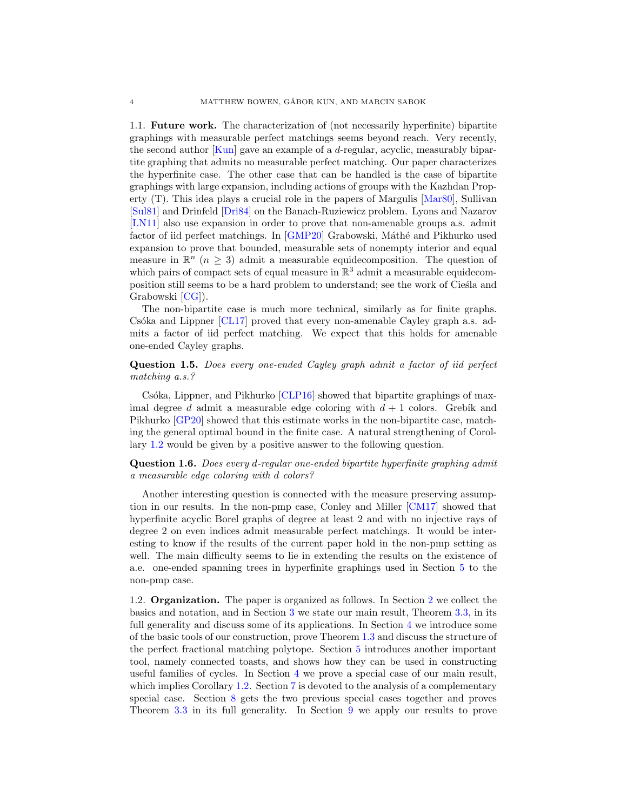1.1. Future work. The characterization of (not necessarily hyperfinite) bipartite graphings with measurable perfect matchings seems beyond reach. Very recently, the second author [\[Kun\]](#page-43-4) gave an example of a d-regular, acyclic, measurably bipartite graphing that admits no measurable perfect matching. Our paper characterizes the hyperfinite case. The other case that can be handled is the case of bipartite graphings with large expansion, including actions of groups with the Kazhdan Property (T). This idea plays a crucial role in the papers of Margulis [\[Mar80\]](#page-43-11), Sullivan [\[Sul81\]](#page-43-12) and Drinfeld [\[Dri84\]](#page-42-11) on the Banach-Ruziewicz problem. Lyons and Nazarov [\[LN11\]](#page-43-5) also use expansion in order to prove that non-amenable groups a.s. admit factor of iid perfect matchings. In [\[GMP20\]](#page-42-12) Grabowski, Máthé and Pikhurko used expansion to prove that bounded, measurable sets of nonempty interior and equal measure in  $\mathbb{R}^n$  ( $n \geq 3$ ) admit a measurable equidecomposition. The question of which pairs of compact sets of equal measure in  $\mathbb{R}^3$  admit a measurable equidecomposition still seems to be a hard problem to understand; see the work of Ciesta and Grabowski [\[CG\]](#page-42-13)).

The non-bipartite case is much more technical, similarly as for finite graphs.  $Csóka$  and Lippner  $\lceil CL17 \rceil$  proved that every non-amenable Cayley graph a.s. admits a factor of iid perfect matching. We expect that this holds for amenable one-ended Cayley graphs.

# Question 1.5. Does every one-ended Cayley graph admit a factor of iid perfect matching a.s.?

Csóka, Lippner, and Pikhurko [\[CLP16\]](#page-42-15) showed that bipartite graphings of maximal degree d admit a measurable edge coloring with  $d+1$  colors. Grebik and Pikhurko [\[GP20\]](#page-42-16) showed that this estimate works in the non-bipartite case, matching the general optimal bound in the finite case. A natural strengthening of Corollary [1.2](#page-1-2) would be given by a positive answer to the following question.

Question 1.6. Does every d-regular one-ended bipartite hyperfinite graphing admit a measurable edge coloring with d colors?

Another interesting question is connected with the measure preserving assumption in our results. In the non-pmp case, Conley and Miller [\[CM17\]](#page-42-17) showed that hyperfinite acyclic Borel graphs of degree at least 2 and with no injective rays of degree 2 on even indices admit measurable perfect matchings. It would be interesting to know if the results of the current paper hold in the non-pmp setting as well. The main difficulty seems to lie in extending the results on the existence of a.e. one-ended spanning trees in hyperfinite graphings used in Section [5](#page-13-0) to the non-pmp case.

1.2. Organization. The paper is organized as follows. In Section [2](#page-4-0) we collect the basics and notation, and in Section [3](#page-7-1) we state our main result, Theorem [3.3,](#page-9-0) in its full generality and discuss some of its applications. In Section [4](#page-11-0) we introduce some of the basic tools of our construction, prove Theorem [1.3](#page-1-1) and discuss the structure of the perfect fractional matching polytope. Section [5](#page-13-0) introduces another important tool, namely connected toasts, and shows how they can be used in constructing useful families of cycles. In Section [4](#page-11-0) we prove a special case of our main result, which implies Corollary [1.2.](#page-1-2) Section [7](#page-21-0) is devoted to the analysis of a complementary special case. Section [8](#page-29-0) gets the two previous special cases together and proves Theorem [3.3](#page-9-0) in its full generality. In Section [9](#page-31-0) we apply our results to prove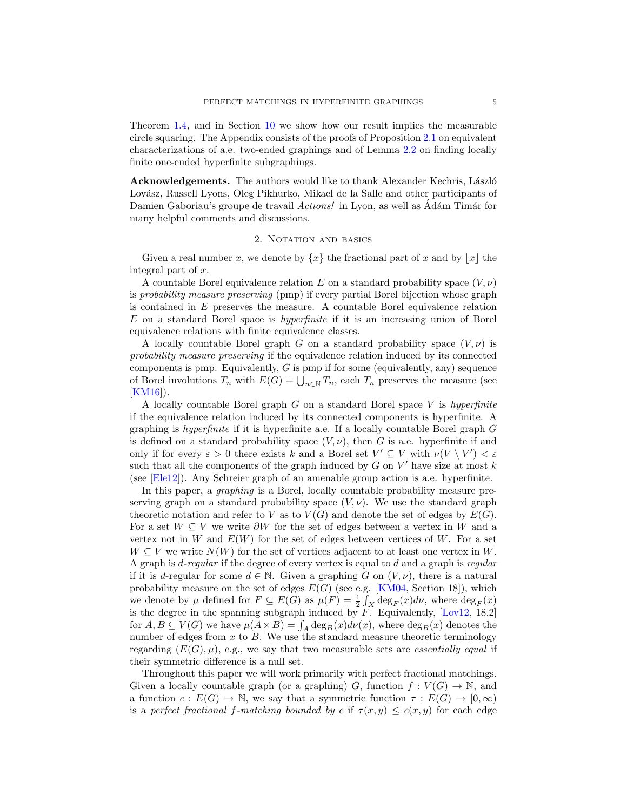Theorem [1.4,](#page-2-0) and in Section [10](#page-36-0) we show how our result implies the measurable circle squaring. The Appendix consists of the proofs of Proposition [2.1](#page-6-0) on equivalent characterizations of a.e. two-ended graphings and of Lemma [2.2](#page-6-2) on finding locally finite one-ended hyperfinite subgraphings.

Acknowledgements. The authors would like to thank Alexander Kechris, László Lovász, Russell Lyons, Oleg Pikhurko, Mikael de la Salle and other participants of Damien Gaboriau's groupe de travail Actions! in Lyon, as well as Adám Timár for many helpful comments and discussions.

### 2. NOTATION AND BASICS

<span id="page-4-0"></span>Given a real number x, we denote by  $\{x\}$  the fractional part of x and by  $|x|$  the integral part of x.

A countable Borel equivalence relation E on a standard probability space  $(V, \nu)$ is probability measure preserving (pmp) if every partial Borel bijection whose graph is contained in  $E$  preserves the measure. A countable Borel equivalence relation E on a standard Borel space is hyperfinite if it is an increasing union of Borel equivalence relations with finite equivalence classes.

A locally countable Borel graph G on a standard probability space  $(V, \nu)$  is probability measure preserving if the equivalence relation induced by its connected components is pmp. Equivalently,  $G$  is pmp if for some (equivalently, any) sequence of Borel involutions  $T_n$  with  $E(G) = \bigcup_{n \in \mathbb{N}} T_n$ , each  $T_n$  preserves the measure (see [\[KM16\]](#page-42-1)).

A locally countable Borel graph  $G$  on a standard Borel space  $V$  is hyperfinite if the equivalence relation induced by its connected components is hyperfinite. A graphing is *hyperfinite* if it is hyperfinite a.e. If a locally countable Borel graph  $G$ is defined on a standard probability space  $(V, \nu)$ , then G is a.e. hyperfinite if and only if for every  $\varepsilon > 0$  there exists k and a Borel set  $V' \subseteq V$  with  $\nu(V \setminus V') < \varepsilon$ such that all the components of the graph induced by  $G$  on  $V'$  have size at most  $k$ (see [\[Ele12\]](#page-42-0)). Any Schreier graph of an amenable group action is a.e. hyperfinite.

In this paper, a graphing is a Borel, locally countable probability measure preserving graph on a standard probability space  $(V, \nu)$ . We use the standard graph theoretic notation and refer to V as to  $V(G)$  and denote the set of edges by  $E(G)$ . For a set  $W \subseteq V$  we write  $\partial W$  for the set of edges between a vertex in W and a vertex not in W and  $E(W)$  for the set of edges between vertices of W. For a set  $W \subseteq V$  we write  $N(W)$  for the set of vertices adjacent to at least one vertex in W. A graph is d-regular if the degree of every vertex is equal to d and a graph is regular if it is d-regular for some  $d \in \mathbb{N}$ . Given a graphing G on  $(V, \nu)$ , there is a natural probability measure on the set of edges  $E(G)$  (see e.g. [\[KM04,](#page-42-3) Section 18]), which we denote by  $\mu$  defined for  $F \subseteq E(G)$  as  $\mu(F) = \frac{1}{2} \int_X \deg_F(x) d\nu$ , where  $\deg_F(x)$ is the degree in the spanning subgraph induced by  $F$ . Equivalently,  $[Lov12, 18.2]$ for  $A, B \subseteq V(G)$  we have  $\mu(A \times B) = \int_A \deg_B(x) d\nu(x)$ , where  $\deg_B(x)$  denotes the number of edges from  $x$  to  $B$ . We use the standard measure theoretic terminology regarding  $(E(G), \mu)$ , e.g., we say that two measurable sets are *essentially equal* if their symmetric difference is a null set.

Throughout this paper we will work primarily with perfect fractional matchings. Given a locally countable graph (or a graphing) G, function  $f: V(G) \to \mathbb{N}$ , and a function  $c: E(G) \to \mathbb{N}$ , we say that a symmetric function  $\tau: E(G) \to [0, \infty)$ is a perfect fractional f-matching bounded by c if  $\tau(x, y) \leq c(x, y)$  for each edge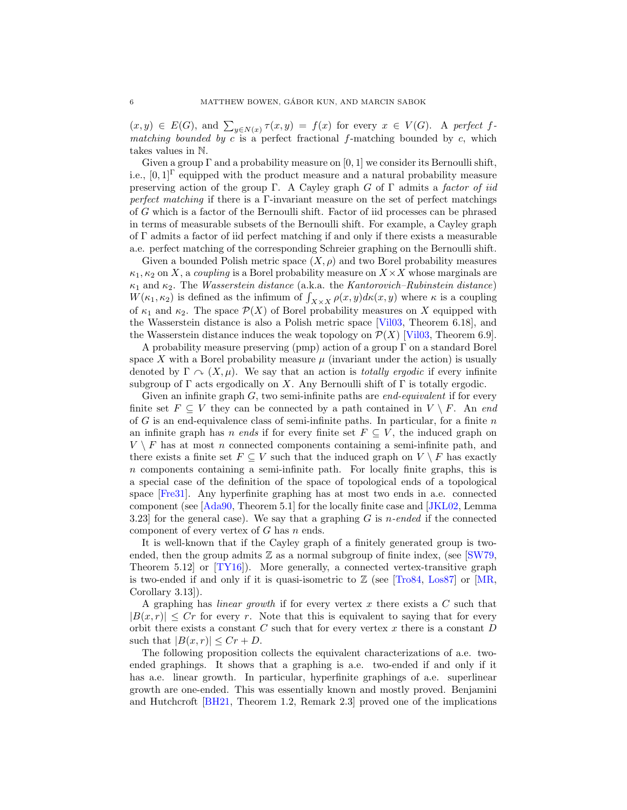$(x, y) \in E(G)$ , and  $\sum_{y \in N(x)} \tau(x, y) = f(x)$  for every  $x \in V(G)$ . A perfect fmatching bounded by c is a perfect fractional f-matching bounded by c, which takes values in N.

Given a group  $\Gamma$  and a probability measure on [0, 1] we consider its Bernoulli shift, i.e.,  $[0, 1]^\Gamma$  equipped with the product measure and a natural probability measure preserving action of the group Γ. A Cayley graph G of Γ admits a factor of iid perfect matching if there is a Γ-invariant measure on the set of perfect matchings of G which is a factor of the Bernoulli shift. Factor of iid processes can be phrased in terms of measurable subsets of the Bernoulli shift. For example, a Cayley graph of Γ admits a factor of iid perfect matching if and only if there exists a measurable a.e. perfect matching of the corresponding Schreier graphing on the Bernoulli shift.

Given a bounded Polish metric space  $(X, \rho)$  and two Borel probability measures  $\kappa_1, \kappa_2$  on X, a coupling is a Borel probability measure on  $X \times X$  whose marginals are  $\kappa_1$  and  $\kappa_2$ . The *Wasserstein distance* (a.k.a. the *Kantorovich–Rubinstein distance*)  $W(\kappa_1, \kappa_2)$  is defined as the infimum of  $\int_{X \times X} \rho(x, y) d\kappa(x, y)$  where  $\kappa$  is a coupling of  $\kappa_1$  and  $\kappa_2$ . The space  $\mathcal{P}(X)$  of Borel probability measures on X equipped with the Wasserstein distance is also a Polish metric space [\[Vil03,](#page-43-13) Theorem 6.18], and the Wasserstein distance induces the weak topology on  $\mathcal{P}(X)$  [\[Vil03,](#page-43-13) Theorem 6.9].

A probability measure preserving (pmp) action of a group Γ on a standard Borel space X with a Borel probability measure  $\mu$  (invariant under the action) is usually denoted by  $\Gamma \curvearrowright (X, \mu)$ . We say that an action is *totally ergodic* if every infinite subgroup of  $\Gamma$  acts ergodically on X. Any Bernoulli shift of  $\Gamma$  is totally ergodic.

Given an infinite graph  $G$ , two semi-infinite paths are *end-equivalent* if for every finite set  $F \subseteq V$  they can be connected by a path contained in  $V \setminus F$ . An end of G is an end-equivalence class of semi-infinite paths. In particular, for a finite  $n$ an infinite graph has *n* ends if for every finite set  $F \subseteq V$ , the induced graph on  $V \setminus F$  has at most n connected components containing a semi-infinite path, and there exists a finite set  $F \subseteq V$  such that the induced graph on  $V \setminus F$  has exactly n components containing a semi-infinite path. For locally finite graphs, this is a special case of the definition of the space of topological ends of a topological space [\[Fre31\]](#page-42-18). Any hyperfinite graphing has at most two ends in a.e. connected component (see [\[Ada90,](#page-41-0) Theorem 5.1] for the locally finite case and [\[JKL02,](#page-42-19) Lemma 3.23] for the general case). We say that a graphing  $G$  is *n*-ended if the connected component of every vertex of  $G$  has  $n$  ends.

It is well-known that if the Cayley graph of a finitely generated group is twoended, then the group admits  $\mathbb Z$  as a normal subgroup of finite index, (see [\[SW79,](#page-43-14) Theorem 5.12] or [\[TY16\]](#page-43-15)). More generally, a connected vertex-transitive graph is two-ended if and only if it is quasi-isometric to  $\mathbb Z$  (see [\[Tro84,](#page-43-16) [Los87\]](#page-43-17) or [\[MR,](#page-43-18) Corollary 3.13]).

A graphing has *linear growth* if for every vertex x there exists a  $C$  such that  $|B(x, r)| \leq Cr$  for every r. Note that this is equivalent to saying that for every orbit there exists a constant  $C$  such that for every vertex  $x$  there is a constant  $D$ such that  $|B(x, r)| \leq Cr + D$ .

The following proposition collects the equivalent characterizations of a.e. twoended graphings. It shows that a graphing is a.e. two-ended if and only if it has a.e. linear growth. In particular, hyperfinite graphings of a.e. superlinear growth are one-ended. This was essentially known and mostly proved. Benjamini and Hutchcroft [\[BH21,](#page-41-1) Theorem 1.2, Remark 2.3] proved one of the implications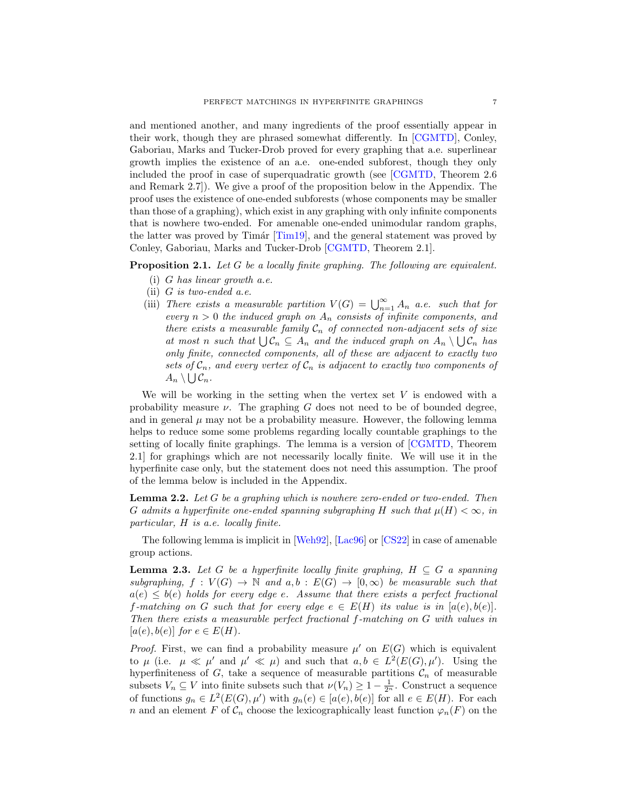and mentioned another, and many ingredients of the proof essentially appear in their work, though they are phrased somewhat differently. In [\[CGMTD\]](#page-42-8), Conley, Gaboriau, Marks and Tucker-Drob proved for every graphing that a.e. superlinear growth implies the existence of an a.e. one-ended subforest, though they only included the proof in case of superquadratic growth (see [\[CGMTD,](#page-42-8) Theorem 2.6 and Remark 2.7]). We give a proof of the proposition below in the Appendix. The proof uses the existence of one-ended subforests (whose components may be smaller than those of a graphing), which exist in any graphing with only infinite components that is nowhere two-ended. For amenable one-ended unimodular random graphs, the latter was proved by Timár  $[Tim19]$ , and the general statement was proved by Conley, Gaboriau, Marks and Tucker-Drob [\[CGMTD,](#page-42-8) Theorem 2.1].

<span id="page-6-0"></span>Proposition 2.1. Let G be a locally finite graphing. The following are equivalent.

- (i) G has linear growth a.e.
- (ii)  $G$  is two-ended a.e.
- (iii) There exists a measurable partition  $V(G) = \bigcup_{n=1}^{\infty} A_n$  a.e. such that for every  $n > 0$  the induced graph on  $A_n$  consists of infinite components, and there exists a measurable family  $C_n$  of connected non-adjacent sets of size at most n such that  $\bigcup \mathcal{C}_n \subseteq A_n$  and the induced graph on  $A_n \setminus \bigcup \mathcal{C}_n$  has only finite, connected components, all of these are adjacent to exactly two sets of  $C_n$ , and every vertex of  $C_n$  is adjacent to exactly two components of  $A_n \setminus \bigcup \mathcal{C}_n$  .

We will be working in the setting when the vertex set  $V$  is endowed with a probability measure  $\nu$ . The graphing G does not need to be of bounded degree, and in general  $\mu$  may not be a probability measure. However, the following lemma helps to reduce some some problems regarding locally countable graphings to the setting of locally finite graphings. The lemma is a version of [\[CGMTD,](#page-42-8) Theorem 2.1] for graphings which are not necessarily locally finite. We will use it in the hyperfinite case only, but the statement does not need this assumption. The proof of the lemma below is included in the Appendix.

<span id="page-6-2"></span>**Lemma 2.2.** Let G be a graphing which is nowhere zero-ended or two-ended. Then G admits a hyperfinite one-ended spanning subgraphing H such that  $\mu(H) < \infty$ , in particular, H is a.e. locally finite.

The following lemma is implicit in [\[Weh92\]](#page-43-19), [\[Lac96\]](#page-43-20) or [\[CS22\]](#page-42-20) in case of amenable group actions.

<span id="page-6-1"></span>**Lemma 2.3.** Let G be a hyperfinite locally finite graphing,  $H \subseteq G$  a spanning subgraphing,  $f: V(G) \to \mathbb{N}$  and  $a, b: E(G) \to [0, \infty)$  be measurable such that  $a(e) \leq b(e)$  holds for every edge e. Assume that there exists a perfect fractional f-matching on G such that for every edge  $e \in E(H)$  its value is in  $[a(e), b(e)]$ . Then there exists a measurable perfect fractional f-matching on G with values in  $[a(e), b(e)]$  for  $e \in E(H)$ .

*Proof.* First, we can find a probability measure  $\mu'$  on  $E(G)$  which is equivalent to  $\mu$  (i.e.  $\mu \ll \mu'$  and  $\mu' \ll \mu$ ) and such that  $a, b \in L^2(E(G), \mu')$ . Using the hyperfiniteness of G, take a sequence of measurable partitions  $C_n$  of measurable subsets  $V_n \subseteq V$  into finite subsets such that  $\nu(V_n) \geq 1 - \frac{1}{2^n}$ . Construct a sequence of functions  $g_n \in L^2(E(G), \mu')$  with  $g_n(e) \in [a(e), b(e)]$  for all  $e \in E(H)$ . For each n and an element F of  $\mathcal{C}_n$  choose the lexicographically least function  $\varphi_n(F)$  on the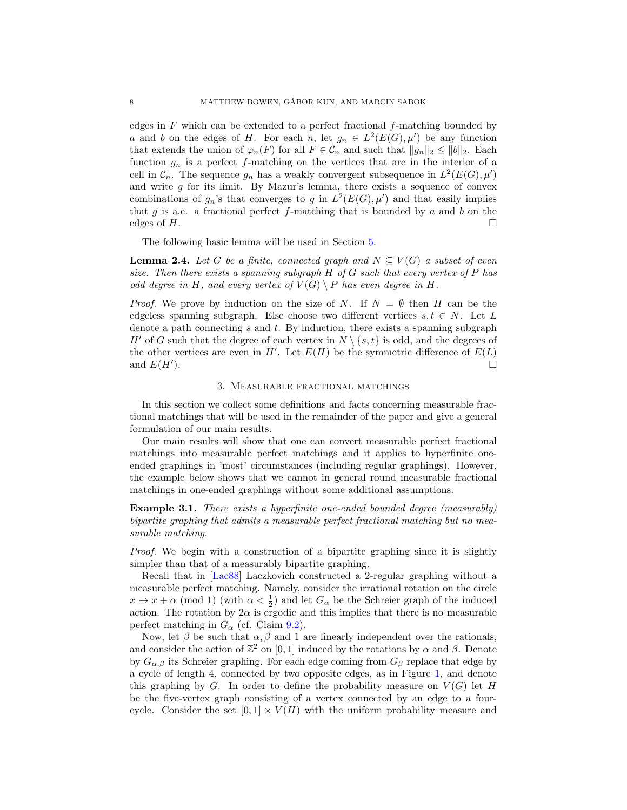edges in  $F$  which can be extended to a perfect fractional  $f$ -matching bounded by a and b on the edges of H. For each n, let  $g_n \in L^2(E(G), \mu')$  be any function that extends the union of  $\varphi_n(F)$  for all  $F \in \mathcal{C}_n$  and such that  $||g_n||_2 \le ||b||_2$ . Each function  $g_n$  is a perfect f-matching on the vertices that are in the interior of a cell in  $\mathcal{C}_n$ . The sequence  $g_n$  has a weakly convergent subsequence in  $L^2(E(G), \mu')$ and write  $g$  for its limit. By Mazur's lemma, there exists a sequence of convex combinations of  $g_n$ 's that converges to g in  $L^2(E(G), \mu')$  and that easily implies that g is a.e. a fractional perfect f-matching that is bounded by  $a$  and  $b$  on the edges of H.

The following basic lemma will be used in Section [5.](#page-13-0)

<span id="page-7-2"></span>**Lemma 2.4.** Let G be a finite, connected graph and  $N \subset V(G)$  a subset of even size. Then there exists a spanning subgraph  $H$  of  $G$  such that every vertex of  $P$  has odd degree in H, and every vertex of  $V(G) \setminus P$  has even degree in H.

*Proof.* We prove by induction on the size of N. If  $N = \emptyset$  then H can be the edgeless spanning subgraph. Else choose two different vertices  $s, t \in N$ . Let L denote a path connecting s and t. By induction, there exists a spanning subgraph H' of G such that the degree of each vertex in  $N \setminus \{s, t\}$  is odd, and the degrees of the other vertices are even in  $H'$ . Let  $E(H)$  be the symmetric difference of  $E(L)$ and  $E(H')$ . ).  $\Box$ 

## 3. Measurable fractional matchings

<span id="page-7-1"></span>In this section we collect some definitions and facts concerning measurable fractional matchings that will be used in the remainder of the paper and give a general formulation of our main results.

Our main results will show that one can convert measurable perfect fractional matchings into measurable perfect matchings and it applies to hyperfinite oneended graphings in 'most' circumstances (including regular graphings). However, the example below shows that we cannot in general round measurable fractional matchings in one-ended graphings without some additional assumptions.

<span id="page-7-0"></span>**Example 3.1.** There exists a hyperfinite one-ended bounded degree (measurably) bipartite graphing that admits a measurable perfect fractional matching but no measurable matching.

Proof. We begin with a construction of a bipartite graphing since it is slightly simpler than that of a measurably bipartite graphing.

Recall that in [\[Lac88\]](#page-43-2) Laczkovich constructed a 2-regular graphing without a measurable perfect matching. Namely, consider the irrational rotation on the circle  $x \mapsto x + \alpha \pmod{1}$  (with  $\alpha < \frac{1}{2}$ ) and let  $G_{\alpha}$  be the Schreier graph of the induced action. The rotation by  $2\alpha$  is ergodic and this implies that there is no measurable perfect matching in  $G_{\alpha}$  (cf. Claim [9.2\)](#page-32-0).

Now, let  $\beta$  be such that  $\alpha, \beta$  and 1 are linearly independent over the rationals, and consider the action of  $\mathbb{Z}^2$  on [0, 1] induced by the rotations by  $\alpha$  and  $\beta$ . Denote by  $G_{\alpha,\beta}$  its Schreier graphing. For each edge coming from  $G_{\beta}$  replace that edge by a cycle of length 4, connected by two opposite edges, as in Figure [1,](#page-8-0) and denote this graphing by G. In order to define the probability measure on  $V(G)$  let H be the five-vertex graph consisting of a vertex connected by an edge to a fourcycle. Consider the set  $[0, 1] \times V(H)$  with the uniform probability measure and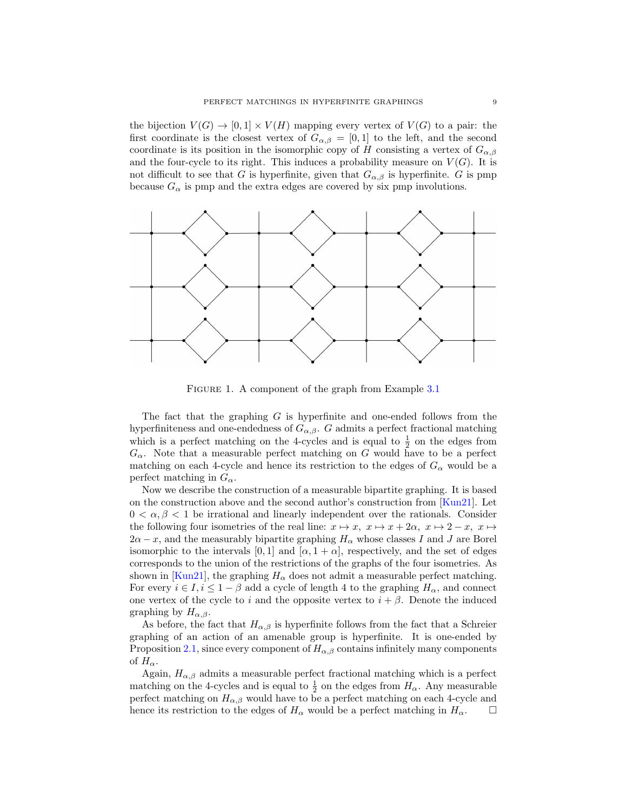the bijection  $V(G) \to [0,1] \times V(H)$  mapping every vertex of  $V(G)$  to a pair: the first coordinate is the closest vertex of  $G_{\alpha,\beta} = [0,1]$  to the left, and the second coordinate is its position in the isomorphic copy of H consisting a vertex of  $G_{\alpha,\beta}$ and the four-cycle to its right. This induces a probability measure on  $V(G)$ . It is not difficult to see that G is hyperfinite, given that  $G_{\alpha,\beta}$  is hyperfinite. G is pmp because  $G_{\alpha}$  is pmp and the extra edges are covered by six pmp involutions.



<span id="page-8-0"></span>FIGURE 1. A component of the graph from Example [3.1](#page-7-0)

The fact that the graphing  $G$  is hyperfinite and one-ended follows from the hyperfiniteness and one-endedness of  $G_{\alpha,\beta}$ . G admits a perfect fractional matching which is a perfect matching on the 4-cycles and is equal to  $\frac{1}{2}$  on the edges from  $G_{\alpha}$ . Note that a measurable perfect matching on G would have to be a perfect matching on each 4-cycle and hence its restriction to the edges of  $G_{\alpha}$  would be a perfect matching in  $G_{\alpha}$ .

Now we describe the construction of a measurable bipartite graphing. It is based on the construction above and the second author's construction from [\[Kun21\]](#page-43-21). Let  $0 < \alpha, \beta < 1$  be irrational and linearly independent over the rationals. Consider the following four isometries of the real line:  $x \mapsto x$ ,  $x \mapsto x + 2\alpha$ ,  $x \mapsto 2 - x$ ,  $x \mapsto$  $2\alpha - x$ , and the measurably bipartite graphing  $H_{\alpha}$  whose classes I and J are Borel isomorphic to the intervals [0, 1] and  $[\alpha, 1 + \alpha]$ , respectively, and the set of edges corresponds to the union of the restrictions of the graphs of the four isometries. As shown in [\[Kun21\]](#page-43-21), the graphing  $H_{\alpha}$  does not admit a measurable perfect matching. For every  $i \in I$ ,  $i \leq 1 - \beta$  add a cycle of length 4 to the graphing  $H_{\alpha}$ , and connect one vertex of the cycle to i and the opposite vertex to  $i + \beta$ . Denote the induced graphing by  $H_{\alpha,\beta}$ .

As before, the fact that  $H_{\alpha,\beta}$  is hyperfinite follows from the fact that a Schreier graphing of an action of an amenable group is hyperfinite. It is one-ended by Proposition [2.1,](#page-6-0) since every component of  $H_{\alpha,\beta}$  contains infinitely many components of  $H_{\alpha}$ .

Again,  $H_{\alpha,\beta}$  admits a measurable perfect fractional matching which is a perfect matching on the 4-cycles and is equal to  $\frac{1}{2}$  on the edges from  $H_{\alpha}$ . Any measurable perfect matching on  $H_{\alpha,\beta}$  would have to be a perfect matching on each 4-cycle and hence its restriction to the edges of  $H_{\alpha}$  would be a perfect matching in  $H_{\alpha}$ .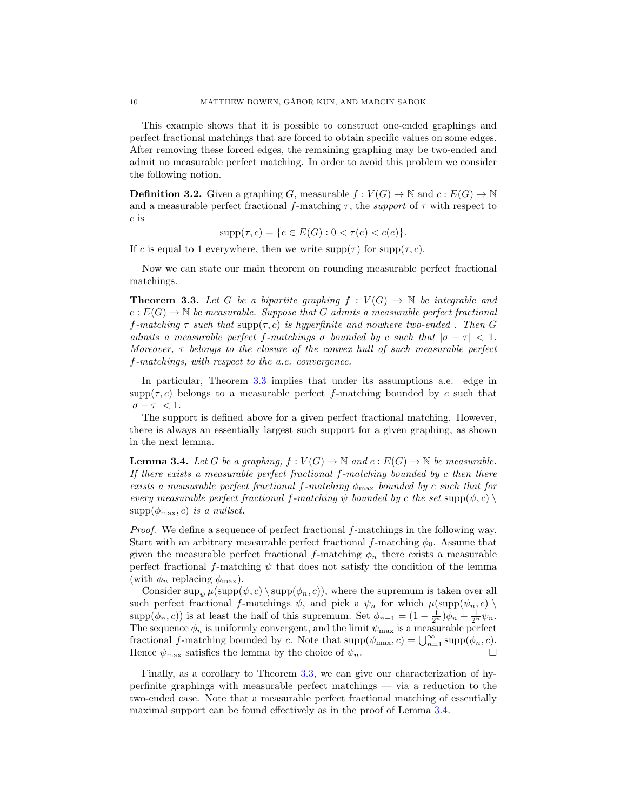This example shows that it is possible to construct one-ended graphings and perfect fractional matchings that are forced to obtain specific values on some edges. After removing these forced edges, the remaining graphing may be two-ended and admit no measurable perfect matching. In order to avoid this problem we consider the following notion.

**Definition 3.2.** Given a graphing G, measurable  $f: V(G) \to \mathbb{N}$  and  $c: E(G) \to \mathbb{N}$ and a measurable perfect fractional f-matching  $\tau$ , the support of  $\tau$  with respect to c is

$$
supp(\tau, c) = \{ e \in E(G) : 0 < \tau(e) < c(e) \}.
$$

If c is equal to 1 everywhere, then we write  $\text{supp}(\tau)$  for  $\text{supp}(\tau, c)$ .

Now we can state our main theorem on rounding measurable perfect fractional matchings.

<span id="page-9-0"></span>**Theorem 3.3.** Let G be a bipartite graphing  $f : V(G) \to \mathbb{N}$  be integrable and  $c: E(G) \to \mathbb{N}$  be measurable. Suppose that G admits a measurable perfect fractional f-matching  $\tau$  such that  $\text{supp}(\tau, c)$  is hyperfinite and nowhere two-ended. Then G admits a measurable perfect f-matchings  $\sigma$  bounded by c such that  $|\sigma - \tau| < 1$ . Moreover,  $\tau$  belongs to the closure of the convex hull of such measurable perfect f-matchings, with respect to the a.e. convergence.

In particular, Theorem [3.3](#page-9-0) implies that under its assumptions a.e. edge in  $\text{supp}(\tau, c)$  belongs to a measurable perfect f-matching bounded by c such that  $|\sigma - \tau| < 1.$ 

The support is defined above for a given perfect fractional matching. However, there is always an essentially largest such support for a given graphing, as shown in the next lemma.

<span id="page-9-1"></span>**Lemma 3.4.** Let G be a graphing,  $f : V(G) \to \mathbb{N}$  and  $c : E(G) \to \mathbb{N}$  be measurable. If there exists a measurable perfect fractional  $f$ -matching bounded by  $c$  then there exists a measurable perfect fractional f-matching  $\phi_{\text{max}}$  bounded by c such that for every measurable perfect fractional f-matching  $\psi$  bounded by c the set supp $(\psi, c)$  $supp(\phi_{\text{max}}, c)$  is a nullset.

*Proof.* We define a sequence of perfect fractional  $f$ -matchings in the following way. Start with an arbitrary measurable perfect fractional f-matching  $\phi_0$ . Assume that given the measurable perfect fractional f-matching  $\phi_n$  there exists a measurable perfect fractional f-matching  $\psi$  that does not satisfy the condition of the lemma (with  $\phi_n$  replacing  $\phi_{\text{max}}$ ).

Consider sup<sub>y</sub>  $\mu(\text{supp}(\psi, c) \setminus \text{supp}(\phi_n, c))$ , where the supremum is taken over all such perfect fractional f-matchings  $\psi$ , and pick a  $\psi_n$  for which  $\mu(\text{supp}(\psi_n, c) \setminus$ supp $(\phi_n, c)$ ) is at least the half of this supremum. Set  $\phi_{n+1} = (1 - \frac{1}{2^n})\phi_n + \frac{1}{2^n}\psi_n$ . The sequence  $\phi_n$  is uniformly convergent, and the limit  $\psi_{\text{max}}$  is a measurable perfect fractional f-matching bounded by c. Note that  $\text{supp}(\psi_{\text{max}}, c) = \bigcup_{n=1}^{\infty} \text{supp}(\phi_n, c)$ . Hence  $\psi_{\text{max}}$  satisfies the lemma by the choice of  $\psi_n$ .

Finally, as a corollary to Theorem [3.3,](#page-9-0) we can give our characterization of hyperfinite graphings with measurable perfect matchings — via a reduction to the two-ended case. Note that a measurable perfect fractional matching of essentially maximal support can be found effectively as in the proof of Lemma [3.4.](#page-9-1)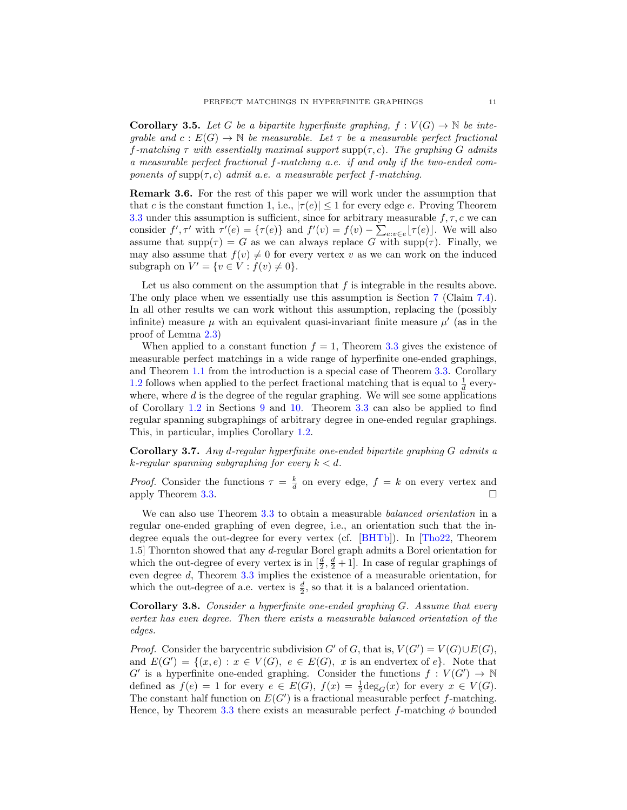<span id="page-10-0"></span>**Corollary 3.5.** Let G be a bipartite hyperfinite graphing,  $f : V(G) \to \mathbb{N}$  be inteqrable and  $c: E(G) \to \mathbb{N}$  be measurable. Let  $\tau$  be a measurable perfect fractional f-matching  $\tau$  with essentially maximal support supp $(\tau, c)$ . The graphing G admits a measurable perfect fractional f-matching a.e. if and only if the two-ended components of supp $(\tau, c)$  admit a.e. a measurable perfect f-matching.

<span id="page-10-3"></span>Remark 3.6. For the rest of this paper we will work under the assumption that that c is the constant function 1, i.e.,  $|\tau(e)| \leq 1$  for every edge e. Proving Theorem [3.3](#page-9-0) under this assumption is sufficient, since for arbitrary measurable  $f, \tau, c$  we can consider  $f', \tau'$  with  $\tau'(e) = {\tau(e)}$  and  $f'(v) = f(v) - \sum_{e:v \in e} {\tau(e)}$ . We will also assume that  $\text{supp}(\tau) = G$  as we can always replace G with  $\text{supp}(\tau)$ . Finally, we may also assume that  $f(v) \neq 0$  for every vertex v as we can work on the induced subgraph on  $V' = \{v \in V : f(v) \neq 0\}.$ 

Let us also comment on the assumption that  $f$  is integrable in the results above. The only place when we essentially use this assumption is Section [7](#page-21-0) (Claim [7.4\)](#page-24-0). In all other results we can work without this assumption, replacing the (possibly infinite) measure  $\mu$  with an equivalent quasi-invariant finite measure  $\mu'$  (as in the proof of Lemma [2.3\)](#page-6-1)

When applied to a constant function  $f = 1$ , Theorem [3.3](#page-9-0) gives the existence of measurable perfect matchings in a wide range of hyperfinite one-ended graphings, and Theorem [1.1](#page-1-0) from the introduction is a special case of Theorem [3.3.](#page-9-0) Corollary [1.2](#page-1-2) follows when applied to the perfect fractional matching that is equal to  $\frac{1}{d}$  everywhere, where  $d$  is the degree of the regular graphing. We will see some applications of Corollary [1.2](#page-1-2) in Sections [9](#page-31-0) and [10.](#page-36-0) Theorem [3.3](#page-9-0) can also be applied to find regular spanning subgraphings of arbitrary degree in one-ended regular graphings. This, in particular, implies Corollary [1.2.](#page-1-2)

<span id="page-10-1"></span>Corollary 3.7. Any d-regular hyperfinite one-ended bipartite graphing G admits a  $k$ -regular spanning subgraphing for every  $k < d$ .

*Proof.* Consider the functions  $\tau = \frac{k}{d}$  on every edge,  $f = k$  on every vertex and apply Theorem [3.3.](#page-9-0)  $\Box$ 

We can also use Theorem [3.3](#page-9-0) to obtain a measurable *balanced orientation* in a regular one-ended graphing of even degree, i.e., an orientation such that the indegree equals the out-degree for every vertex (cf. [\[BHTb\]](#page-42-7)). In [\[Tho22,](#page-43-22) Theorem 1.5] Thornton showed that any d-regular Borel graph admits a Borel orientation for which the out-degree of every vertex is in  $\left[\frac{d}{2}, \frac{d}{2} + 1\right]$ . In case of regular graphings of even degree d, Theorem [3.3](#page-9-0) implies the existence of a measurable orientation, for which the out-degree of a.e. vertex is  $\frac{d}{2}$ , so that it is a balanced orientation.

<span id="page-10-2"></span>Corollary 3.8. Consider a hyperfinite one-ended graphing G. Assume that every vertex has even degree. Then there exists a measurable balanced orientation of the edges.

*Proof.* Consider the barycentric subdivision G' of G, that is,  $V(G') = V(G) \cup E(G)$ , and  $E(G') = \{(x, e) : x \in V(G), e \in E(G), x \text{ is an endvertex of } e\}.$  Note that  $G'$  is a hyperfinite one-ended graphing. Consider the functions  $f: V(G') \to \mathbb{N}$ defined as  $f(e) = 1$  for every  $e \in E(G)$ ,  $f(x) = \frac{1}{2} \text{deg}_G(x)$  for every  $x \in V(G)$ . The constant half function on  $E(G')$  is a fractional measurable perfect f-matching. Hence, by Theorem [3.3](#page-9-0) there exists an measurable perfect f-matching  $\phi$  bounded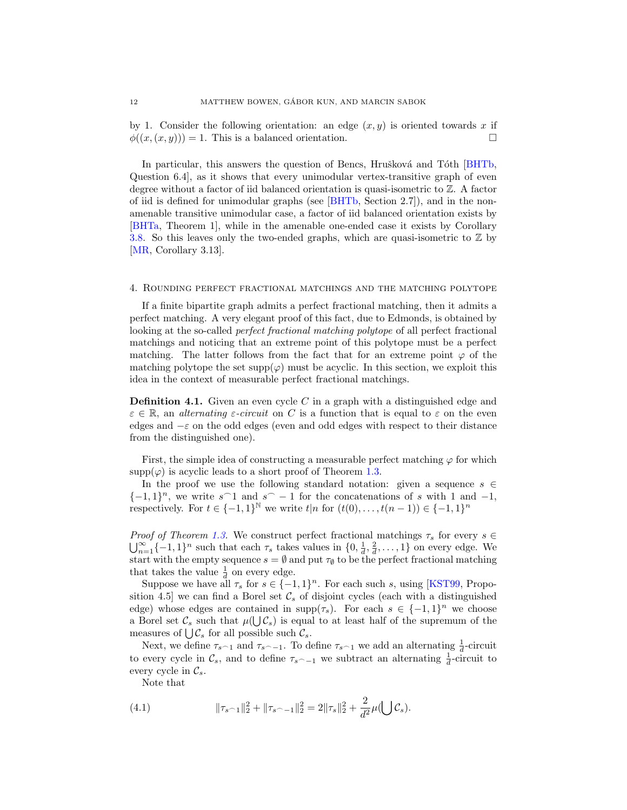by 1. Consider the following orientation: an edge  $(x, y)$  is oriented towards x if  $\phi((x,(x,y))) = 1$ . This is a balanced orientation.

In particular, this answers the question of Bencs, Hrušková and Tóth [\[BHTb,](#page-42-7) Question 6.4], as it shows that every unimodular vertex-transitive graph of even degree without a factor of iid balanced orientation is quasi-isometric to Z. A factor of iid is defined for unimodular graphs (see [\[BHTb,](#page-42-7) Section 2.7]), and in the nonamenable transitive unimodular case, a factor of iid balanced orientation exists by [\[BHTa,](#page-42-21) Theorem 1], while in the amenable one-ended case it exists by Corollary [3.8.](#page-10-2) So this leaves only the two-ended graphs, which are quasi-isometric to  $\mathbb Z$  by [\[MR,](#page-43-18) Corollary 3.13].

### <span id="page-11-0"></span>4. Rounding perfect fractional matchings and the matching polytope

If a finite bipartite graph admits a perfect fractional matching, then it admits a perfect matching. A very elegant proof of this fact, due to Edmonds, is obtained by looking at the so-called perfect fractional matching polytope of all perfect fractional matchings and noticing that an extreme point of this polytope must be a perfect matching. The latter follows from the fact that for an extreme point  $\varphi$  of the matching polytope the set  $supp(\varphi)$  must be acyclic. In this section, we exploit this idea in the context of measurable perfect fractional matchings.

**Definition 4.1.** Given an even cycle C in a graph with a distinguished edge and  $\varepsilon \in \mathbb{R}$ , an *alternating ε-circuit* on C is a function that is equal to  $\varepsilon$  on the even edges and  $-\varepsilon$  on the odd edges (even and odd edges with respect to their distance from the distinguished one).

First, the simple idea of constructing a measurable perfect matching  $\varphi$  for which  $\text{supp}(\varphi)$  is acyclic leads to a short proof of Theorem [1.3.](#page-1-1)

In the proof we use the following standard notation: given a sequence  $s \in \mathbb{R}$  ${-1, 1}^n$ , we write s<sup> $\cap$ 1</sup> and s<sup> $\cap$ </sup> − 1 for the concatenations of s with 1 and −1, respectively. For  $t \in \{-1,1\}^{\mathbb{N}}$  we write  $t|n$  for  $(t(0),...,t(n-1)) \in \{-1,1\}^n$ 

*Proof of Theorem [1.3.](#page-1-1)* We construct perfect fractional matchings  $\tau_s$  for every  $s \in$  $\bigcup_{n=1}^{\infty} \{-1,1\}^n$  such that each  $\tau_s$  takes values in  $\{0, \frac{1}{d}, \frac{2}{d}, \ldots, 1\}$  on every edge. We start with the empty sequence  $s = \emptyset$  and put  $\tau_{\emptyset}$  to be the perfect fractional matching that takes the value  $\frac{1}{d}$  on every edge.

Suppose we have all  $\tau_s$  for  $s \in \{-1,1\}^n$ . For each such s, using [\[KST99,](#page-42-22) Proposition 4.5] we can find a Borel set  $\mathcal{C}_s$  of disjoint cycles (each with a distinguished edge) whose edges are contained in  $\text{supp}(\tau_s)$ . For each  $s \in \{-1,1\}^n$  we choose a Borel set  $\mathcal{C}_s$  such that  $\mu(\bigcup \mathcal{C}_s)$  is equal to at least half of the supremum of the measures of  $\bigcup \mathcal{C}_s$  for all possible such  $\mathcal{C}_s$ .

Next, we define  $\tau_{s^{\frown}1}$  and  $\tau_{s^{\frown}1}$ . To define  $\tau_{s^{\frown}1}$  we add an alternating  $\frac{1}{d}$ -circuit to every cycle in  $\mathcal{C}_s$ , and to define  $\tau_{s\sim-1}$  we subtract an alternating  $\frac{1}{d}$ -circuit to every cycle in  $\mathcal{C}_s$ .

<span id="page-11-1"></span>Note that

(4.1) 
$$
\|\tau_{s-1}\|_{2}^{2} + \|\tau_{s-1}\|_{2}^{2} = 2\|\tau_{s}\|_{2}^{2} + \frac{2}{d^{2}}\mu(\bigcup \mathcal{C}_{s}).
$$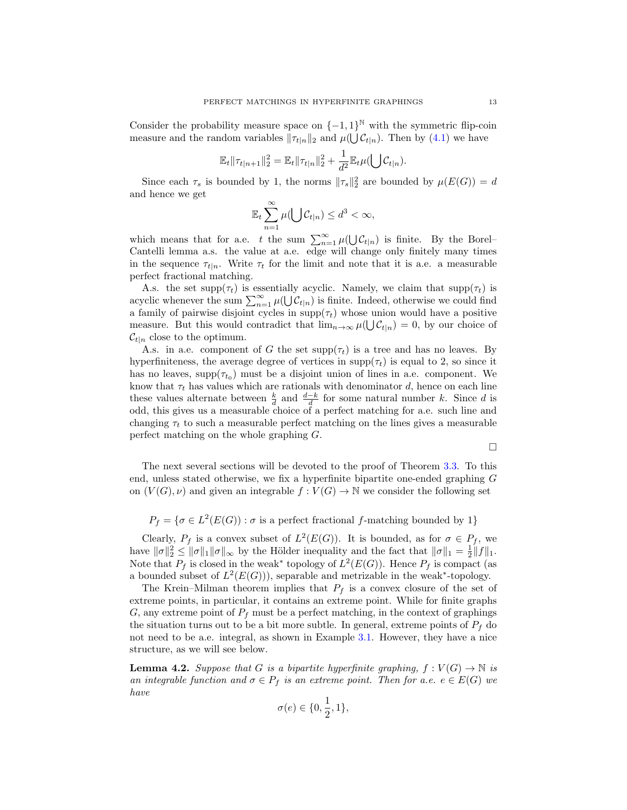Consider the probability measure space on  $\{-1,1\}^{\mathbb{N}}$  with the symmetric flip-coin measure and the random variables  $\|\tau_{t|n}\|_2$  and  $\mu(\bigcup \mathcal{C}_{t|n})$ . Then by  $(4.1)$  we have

$$
\mathbb{E}_{t} \|\tau_{t|n+1}\|_{2}^{2} = \mathbb{E}_{t} \|\tau_{t|n}\|_{2}^{2} + \frac{1}{d^{2}} \mathbb{E}_{t} \mu(\bigcup \mathcal{C}_{t|n}).
$$

Since each  $\tau_s$  is bounded by 1, the norms  $\|\tau_s\|_2^2$  are bounded by  $\mu(E(G)) = d$ and hence we get

$$
\mathbb{E}_t \sum_{n=1}^{\infty} \mu(\bigcup \mathcal{C}_{t|n}) \leq d^3 < \infty,
$$

which means that for a.e. t the sum  $\sum_{n=1}^{\infty} \mu(\bigcup \mathcal{C}_{t|n})$  is finite. By the Borel– Cantelli lemma a.s. the value at a.e. edge will change only finitely many times in the sequence  $\tau_{t|n}$ . Write  $\tau_t$  for the limit and note that it is a.e. a measurable perfect fractional matching.

A.s. the set supp( $\tau_t$ ) is essentially acyclic. Namely, we claim that supp( $\tau_t$ ) is acyclic whenever the sum  $\sum_{n=1}^{\infty} \mu(\bigcup \mathcal{C}_{t|n})$  is finite. Indeed, otherwise we could find a family of pairwise disjoint cycles in  $\text{supp}(\tau_t)$  whose union would have a positive measure. But this would contradict that  $\lim_{n\to\infty}\mu(\bigcup \mathcal{C}_{t|n})=0$ , by our choice of  $\mathcal{C}_{t|n}$  close to the optimum.

A.s. in a.e. component of G the set  $\text{supp}(\tau_t)$  is a tree and has no leaves. By hyperfiniteness, the average degree of vertices in  $\text{supp}(\tau_t)$  is equal to 2, so since it has no leaves,  $\text{supp}(\tau_{t_0})$  must be a disjoint union of lines in a.e. component. We know that  $\tau_t$  has values which are rationals with denominator d, hence on each line these values alternate between  $\frac{k}{d}$  and  $\frac{d-k}{d}$  for some natural number k. Since d is odd, this gives us a measurable choice of a perfect matching for a.e. such line and changing  $\tau_t$  to such a measurable perfect matching on the lines gives a measurable perfect matching on the whole graphing G.

$$
\Box
$$

The next several sections will be devoted to the proof of Theorem [3.3.](#page-9-0) To this end, unless stated otherwise, we fix a hyperfinite bipartite one-ended graphing G on  $(V(G), \nu)$  and given an integrable  $f : V(G) \to \mathbb{N}$  we consider the following set

$$
P_f = \{ \sigma \in L^2(E(G)) : \sigma \text{ is a perfect fractional } f\text{-matching bounded by 1} \}
$$

Clearly,  $P_f$  is a convex subset of  $L^2(E(G))$ . It is bounded, as for  $\sigma \in P_f$ , we have  $\|\sigma\|_2^2 \le \|\sigma\|_1 \|\sigma\|_{\infty}$  by the Hölder inequality and the fact that  $\|\sigma\|_1 = \frac{1}{2} \|f\|_1$ . Note that  $P_f$  is closed in the weak<sup>\*</sup> topology of  $L^2(E(G))$ . Hence  $P_f$  is compact (as a bounded subset of  $L^2(E(G))$ , separable and metrizable in the weak<sup>\*</sup>-topology.

The Krein–Milman theorem implies that  $P_f$  is a convex closure of the set of extreme points, in particular, it contains an extreme point. While for finite graphs G, any extreme point of  $P_f$  must be a perfect matching, in the context of graphings the situation turns out to be a bit more subtle. In general, extreme points of  $P_f$  do not need to be a.e. integral, as shown in Example [3.1.](#page-7-0) However, they have a nice structure, as we will see below.

<span id="page-12-0"></span>**Lemma 4.2.** Suppose that G is a bipartite hyperfinite graphing,  $f: V(G) \to \mathbb{N}$  is an integrable function and  $\sigma \in P_f$  is an extreme point. Then for a.e.  $e \in E(G)$  we have

$$
\sigma(e)\in\{0,\frac{1}{2},1\},
$$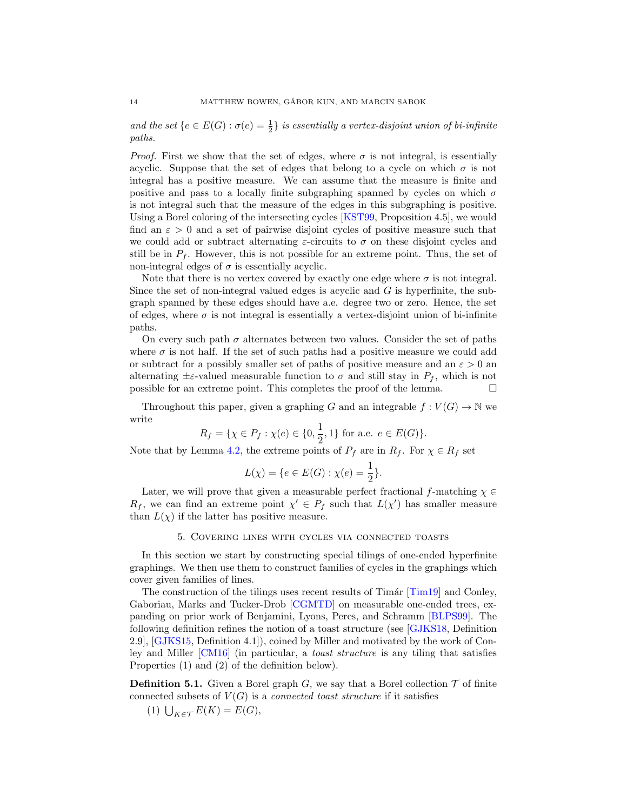and the set  $\{e \in E(G) : \sigma(e) = \frac{1}{2}\}$  is essentially a vertex-disjoint union of bi-infinite paths.

*Proof.* First we show that the set of edges, where  $\sigma$  is not integral, is essentially acyclic. Suppose that the set of edges that belong to a cycle on which  $\sigma$  is not integral has a positive measure. We can assume that the measure is finite and positive and pass to a locally finite subgraphing spanned by cycles on which  $\sigma$ is not integral such that the measure of the edges in this subgraphing is positive. Using a Borel coloring of the intersecting cycles [\[KST99,](#page-42-22) Proposition 4.5], we would find an  $\varepsilon > 0$  and a set of pairwise disjoint cycles of positive measure such that we could add or subtract alternating  $\varepsilon$ -circuits to  $\sigma$  on these disjoint cycles and still be in  $P_f$ . However, this is not possible for an extreme point. Thus, the set of non-integral edges of  $\sigma$  is essentially acyclic.

Note that there is no vertex covered by exactly one edge where  $\sigma$  is not integral. Since the set of non-integral valued edges is acyclic and G is hyperfinite, the subgraph spanned by these edges should have a.e. degree two or zero. Hence, the set of edges, where  $\sigma$  is not integral is essentially a vertex-disjoint union of bi-infinite paths.

On every such path  $\sigma$  alternates between two values. Consider the set of paths where  $\sigma$  is not half. If the set of such paths had a positive measure we could add or subtract for a possibly smaller set of paths of positive measure and an  $\varepsilon > 0$  and alternating  $\pm \varepsilon$ -valued measurable function to  $\sigma$  and still stay in  $P_f$ , which is not possible for an extreme point. This completes the proof of the lemma.  $\Box$ 

Throughout this paper, given a graphing G and an integrable  $f: V(G) \to \mathbb{N}$  we write

$$
R_f = \{ \chi \in P_f : \chi(e) \in \{0, \frac{1}{2}, 1\} \text{ for a.e. } e \in E(G) \}.
$$

Note that by Lemma [4.2,](#page-12-0) the extreme points of  $P_f$  are in  $R_f$ . For  $\chi \in R_f$  set

$$
L(\chi) = \{ e \in E(G) : \chi(e) = \frac{1}{2} \}.
$$

Later, we will prove that given a measurable perfect fractional f-matching  $\chi \in$  $R_f$ , we can find an extreme point  $\chi' \in P_f$  such that  $L(\chi')$  has smaller measure than  $L(\chi)$  if the latter has positive measure.

### 5. Covering lines with cycles via connected toasts

<span id="page-13-0"></span>In this section we start by constructing special tilings of one-ended hyperfinite graphings. We then use them to construct families of cycles in the graphings which cover given families of lines.

The construction of the tilings uses recent results of  $T_{\text{im}}(T_{\text{im}})$  and Conley, Gaboriau, Marks and Tucker-Drob [\[CGMTD\]](#page-42-8) on measurable one-ended trees, expanding on prior work of Benjamini, Lyons, Peres, and Schramm [\[BLPS99\]](#page-42-9). The following definition refines the notion of a toast structure (see [\[GJKS18,](#page-42-23) Definition 2.9], [\[GJKS15,](#page-42-24) Definition 4.1]), coined by Miller and motivated by the work of Conley and Miller [\[CM16\]](#page-42-25) (in particular, a toast structure is any tiling that satisfies Properties (1) and (2) of the definition below).

**Definition 5.1.** Given a Borel graph  $G$ , we say that a Borel collection  $T$  of finite connected subsets of  $V(G)$  is a *connected toast structure* if it satisfies

(1)  $\bigcup_{K \in \mathcal{T}} E(K) = E(G),$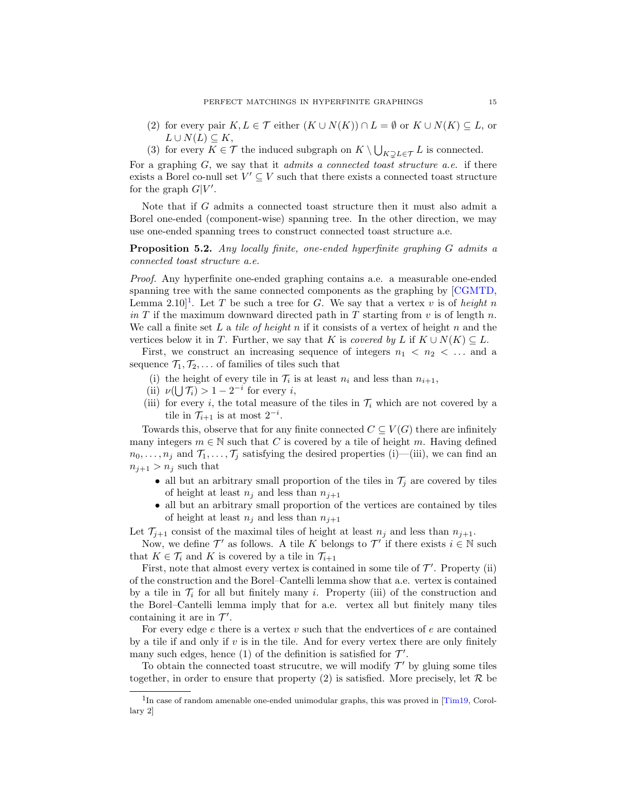- (2) for every pair  $K, L \in \mathcal{T}$  either  $(K \cup N(K)) \cap L = \emptyset$  or  $K \cup N(K) \subseteq L$ , or  $L \cup N(L) \subset K$ ,
- (3) for every  $K \in \mathcal{T}$  the induced subgraph on  $K \setminus \bigcup_{K \supsetneq L \in \mathcal{T}} L$  is connected.

For a graphing  $G$ , we say that it *admits a connected toast structure a.e.* if there exists a Borel co-null set  $V' \subseteq V$  such that there exists a connected toast structure for the graph  $G|V'$ .

Note that if G admits a connected toast structure then it must also admit a Borel one-ended (component-wise) spanning tree. In the other direction, we may use one-ended spanning trees to construct connected toast structure a.e.

<span id="page-14-1"></span>Proposition 5.2. Any locally finite, one-ended hyperfinite graphing G admits a connected toast structure a.e.

Proof. Any hyperfinite one-ended graphing contains a.e. a measurable one-ended spanning tree with the same connected components as the graphing by [\[CGMTD,](#page-42-8) Lemma 2.[1](#page-14-0)0<sup>1</sup>. Let T be such a tree for G. We say that a vertex v is of height n in T if the maximum downward directed path in T starting from  $v$  is of length n. We call a finite set L a tile of height n if it consists of a vertex of height n and the vertices below it in T. Further, we say that K is covered by L if  $K \cup N(K) \subset L$ .

First, we construct an increasing sequence of integers  $n_1 < n_2 < \ldots$  and a sequence  $\mathcal{T}_1, \mathcal{T}_2, \ldots$  of families of tiles such that

- (i) the height of every tile in  $\mathcal{T}_i$  is at least  $n_i$  and less than  $n_{i+1}$ ,
- (ii)  $\nu(\bigcup \mathcal{T}_i) > 1 2^{-i}$  for every i,
- (iii) for every i, the total measure of the tiles in  $\mathcal{T}_i$  which are not covered by a tile in  $\mathcal{T}_{i+1}$  is at most  $2^{-i}$ .

Towards this, observe that for any finite connected  $C \subseteq V(G)$  there are infinitely many integers  $m \in \mathbb{N}$  such that C is covered by a tile of height m. Having defined  $n_0, \ldots, n_j$  and  $\mathcal{T}_1, \ldots, \mathcal{T}_j$  satisfying the desired properties (i)—(iii), we can find an  $n_{j+1} > n_j$  such that

- all but an arbitrary small proportion of the tiles in  $\mathcal{T}_j$  are covered by tiles of height at least  $n_i$  and less than  $n_{i+1}$
- $\bullet\,$  all but an arbitrary small proportion of the vertices are contained by tiles of height at least  $n_j$  and less than  $n_{j+1}$

Let  $\mathcal{T}_{i+1}$  consist of the maximal tiles of height at least  $n_i$  and less than  $n_{i+1}$ .

Now, we define  $\mathcal{T}'$  as follows. A tile K belongs to  $\mathcal{T}'$  if there exists  $i \in \mathbb{N}$  such that  $K \in \mathcal{T}_i$  and K is covered by a tile in  $\mathcal{T}_{i+1}$ 

First, note that almost every vertex is contained in some tile of  $\mathcal{T}'$ . Property (ii) of the construction and the Borel–Cantelli lemma show that a.e. vertex is contained by a tile in  $\mathcal{T}_i$  for all but finitely many i. Property (iii) of the construction and the Borel–Cantelli lemma imply that for a.e. vertex all but finitely many tiles containing it are in  $\mathcal{T}'$ .

For every edge  $e$  there is a vertex  $v$  such that the endvertices of  $e$  are contained by a tile if and only if  $v$  is in the tile. And for every vertex there are only finitely many such edges, hence (1) of the definition is satisfied for  $\mathcal{T}'$ .

To obtain the connected toast strucutre, we will modify  $\mathcal{T}'$  by gluing some tiles together, in order to ensure that property (2) is satisfied. More precisely, let  $\mathcal R$  be

<span id="page-14-0"></span><sup>&</sup>lt;sup>1</sup>In case of random amenable one-ended unimodular graphs, this was proved in [\[Tim19,](#page-43-7) Corollary 2]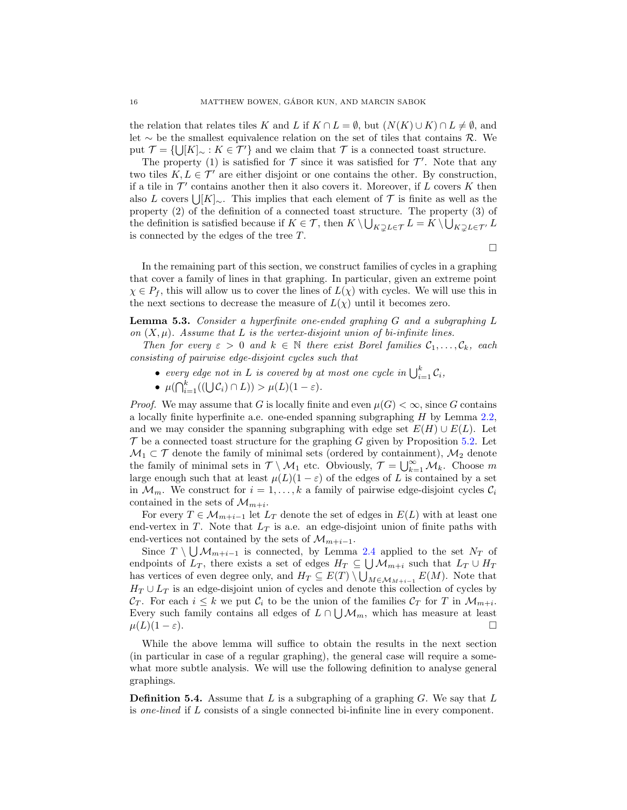the relation that relates tiles K and L if  $K \cap L = \emptyset$ , but  $(N(K) \cup K) \cap L \neq \emptyset$ , and let ∼ be the smallest equivalence relation on the set of tiles that contains  $\mathcal{R}$ . We put  $\mathcal{T} = \{ \bigcup [K]_{\sim} : K \in \mathcal{T}' \}$  and we claim that  $\mathcal{T}$  is a connected toast structure.

The property (1) is satisfied for  $\mathcal T$  since it was satisfied for  $\mathcal T'$ . Note that any two tiles  $K, L \in \mathcal{T}'$  are either disjoint or one contains the other. By construction, if a tile in  $\mathcal{T}'$  contains another then it also covers it. Moreover, if L covers K then also L covers  $\bigcup [K]_{\sim}$ . This implies that each element of  $\mathcal T$  is finite as well as the property (2) of the definition of a connected toast structure. The property (3) of the definition is satisfied because if  $K \in \mathcal{T}$ , then  $K \setminus \bigcup_{K \supsetneq L \in \mathcal{T}} L = K \setminus \bigcup_{K \supsetneq L \in \mathcal{T}'} L$ is connected by the edges of the tree T.

 $\Box$ 

In the remaining part of this section, we construct families of cycles in a graphing that cover a family of lines in that graphing. In particular, given an extreme point  $\chi \in P_f$ , this will allow us to cover the lines of  $L(\chi)$  with cycles. We will use this in the next sections to decrease the measure of  $L(\chi)$  until it becomes zero.

<span id="page-15-0"></span>Lemma 5.3. Consider a hyperfinite one-ended graphing G and a subgraphing L on  $(X, \mu)$ . Assume that L is the vertex-disjoint union of bi-infinite lines.

Then for every  $\varepsilon > 0$  and  $k \in \mathbb{N}$  there exist Borel families  $C_1, \ldots, C_k$ , each consisting of pairwise edge-disjoint cycles such that

- every edge not in L is covered by at most one cycle in  $\bigcup_{i=1}^k C_i$ ,
- $\mu(\bigcap_{i=1}^k ((\bigcup \mathcal{C}_i) \cap L)) > \mu(L)(1-\varepsilon).$

*Proof.* We may assume that G is locally finite and even  $\mu(G) < \infty$ , since G contains a locally finite hyperfinite a.e. one-ended spanning subgraphing  $H$  by Lemma [2.2,](#page-6-2) and we may consider the spanning subgraphing with edge set  $E(H) \cup E(L)$ . Let  $\mathcal T$  be a connected toast structure for the graphing G given by Proposition [5.2.](#page-14-1) Let  $\mathcal{M}_1 \subset \mathcal{T}$  denote the family of minimal sets (ordered by containment),  $\mathcal{M}_2$  denote the family of minimal sets in  $\mathcal{T} \setminus \mathcal{M}_1$  etc. Obviously,  $\mathcal{T} = \bigcup_{k=1}^{\infty} \mathcal{M}_k$ . Choose m large enough such that at least  $\mu(L)(1-\varepsilon)$  of the edges of L is contained by a set in  $\mathcal{M}_m$ . We construct for  $i = 1, \ldots, k$  a family of pairwise edge-disjoint cycles  $\mathcal{C}_i$ contained in the sets of  $\mathcal{M}_{m+i}$ .

For every  $T \in \mathcal{M}_{m+i-1}$  let  $L_T$  denote the set of edges in  $E(L)$  with at least one end-vertex in T. Note that  $L_T$  is a.e. an edge-disjoint union of finite paths with end-vertices not contained by the sets of  $\mathcal{M}_{m+i-1}$ .

Since  $T \setminus \bigcup \mathcal{M}_{m+i-1}$  is connected, by Lemma [2.4](#page-7-2) applied to the set  $N_T$  of endpoints of  $L_T$ , there exists a set of edges  $H_T \subseteq \bigcup \mathcal{M}_{m+i}$  such that  $L_T \cup H_T$ has vertices of even degree only, and  $H_T \subseteq E(T) \setminus \bigcup_{M \in \mathcal{M}_{M+i-1}} E(M)$ . Note that  $H_T \cup L_T$  is an edge-disjoint union of cycles and denote this collection of cycles by  $\mathcal{C}_T$ . For each  $i \leq k$  we put  $\mathcal{C}_i$  to be the union of the families  $\mathcal{C}_T$  for T in  $\mathcal{M}_{m+i}$ . Every such family contains all edges of  $L \cap \bigcup \mathcal{M}_m$ , which has measure at least  $\mu(L)(1-\varepsilon).$ 

While the above lemma will suffice to obtain the results in the next section (in particular in case of a regular graphing), the general case will require a somewhat more subtle analysis. We will use the following definition to analyse general graphings.

**Definition 5.4.** Assume that  $L$  is a subgraphing of a graphing  $G$ . We say that  $L$ is one-lined if L consists of a single connected bi-infinite line in every component.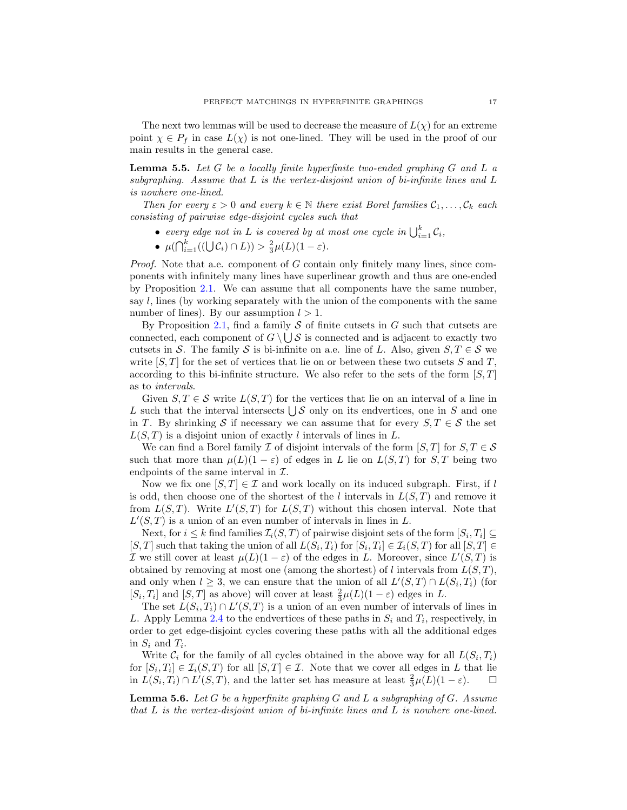The next two lemmas will be used to decrease the measure of  $L(\chi)$  for an extreme point  $\chi \in P_f$  in case  $L(\chi)$  is not one-lined. They will be used in the proof of our main results in the general case.

<span id="page-16-0"></span>**Lemma 5.5.** Let G be a locally finite hyperfinite two-ended graphing G and L a subgraphing. Assume that  $L$  is the vertex-disjoint union of bi-infinite lines and  $L$ is nowhere one-lined.

Then for every  $\varepsilon > 0$  and every  $k \in \mathbb{N}$  there exist Borel families  $\mathcal{C}_1, \ldots, \mathcal{C}_k$  each consisting of pairwise edge-disjoint cycles such that

- every edge not in L is covered by at most one cycle in  $\bigcup_{i=1}^k C_i$ ,
- $\mu(\bigcap_{i=1}^k ((\bigcup \mathcal{C}_i) \cap L)) > \frac{2}{3} \mu(L)(1-\varepsilon).$

Proof. Note that a.e. component of G contain only finitely many lines, since components with infinitely many lines have superlinear growth and thus are one-ended by Proposition [2.1.](#page-6-0) We can assume that all components have the same number, say  $l$ , lines (by working separately with the union of the components with the same number of lines). By our assumption  $l > 1$ .

By Proposition [2.1,](#page-6-0) find a family  $S$  of finite cutsets in  $G$  such that cutsets are connected, each component of  $G \setminus \bigcup S$  is connected and is adjacent to exactly two cutsets in S. The family S is bi-infinite on a.e. line of L. Also, given  $S, T \in \mathcal{S}$  we write  $[S, T]$  for the set of vertices that lie on or between these two cutsets S and T, according to this bi-infinite structure. We also refer to the sets of the form  $[S, T]$ as to intervals.

Given  $S, T \in \mathcal{S}$  write  $L(S, T)$  for the vertices that lie on an interval of a line in L such that the interval intersects  $\bigcup \mathcal{S}$  only on its endvertices, one in S and one in T. By shrinking S if necessary we can assume that for every  $S, T \in \mathcal{S}$  the set  $L(S,T)$  is a disjoint union of exactly l intervals of lines in L.

We can find a Borel family I of disjoint intervals of the form  $[S, T]$  for  $S, T \in \mathcal{S}$ such that more than  $\mu(L)(1 - \varepsilon)$  of edges in L lie on  $L(S,T)$  for  $S,T$  being two endpoints of the same interval in  $\mathcal{I}$ .

Now we fix one  $[S, T] \in \mathcal{I}$  and work locally on its induced subgraph. First, if l is odd, then choose one of the shortest of the l intervals in  $L(S,T)$  and remove it from  $L(S,T)$ . Write  $L'(S,T)$  for  $L(S,T)$  without this chosen interval. Note that  $L'(S,T)$  is a union of an even number of intervals in lines in L.

Next, for  $i \leq k$  find families  $\mathcal{I}_i(S, T)$  of pairwise disjoint sets of the form  $[S_i, T_i] \subseteq$ [S, T] such that taking the union of all  $L(S_i, T_i)$  for  $[S_i, T_i] \in \mathcal{I}_i(S, T)$  for all  $[S, T] \in$ *I* we still cover at least  $\mu(L)(1 - \varepsilon)$  of the edges in L. Moreover, since  $L'(S,T)$  is obtained by removing at most one (among the shortest) of l intervals from  $L(S,T)$ , and only when  $l \geq 3$ , we can ensure that the union of all  $L'(S,T) \cap L(S_i,T_i)$  (for  $[S_i, T_i]$  and  $[S, T]$  as above) will cover at least  $\frac{2}{3}\mu(L)(1-\varepsilon)$  edges in L.

The set  $L(S_i, T_i) \cap L'(S, T)$  is a union of an even number of intervals of lines in L. Apply Lemma [2.4](#page-7-2) to the endvertices of these paths in  $S_i$  and  $T_i$ , respectively, in order to get edge-disjoint cycles covering these paths with all the additional edges in  $S_i$  and  $T_i$ .

Write  $\mathcal{C}_i$  for the family of all cycles obtained in the above way for all  $L(S_i, T_i)$ for  $[S_i, T_i] \in \mathcal{I}_i(S, T)$  for all  $[S, T] \in \mathcal{I}$ . Note that we cover all edges in L that lie in  $\overline{L}(S_i, T_i) \cap L'(S, T)$ , and the latter set has measure at least  $\frac{2}{3}\mu(L)(1-\varepsilon)$ .  $\Box$ 

<span id="page-16-1"></span>**Lemma 5.6.** Let G be a hyperfinite graphing G and L a subgraphing of G. Assume that L is the vertex-disjoint union of bi-infinite lines and L is nowhere one-lined.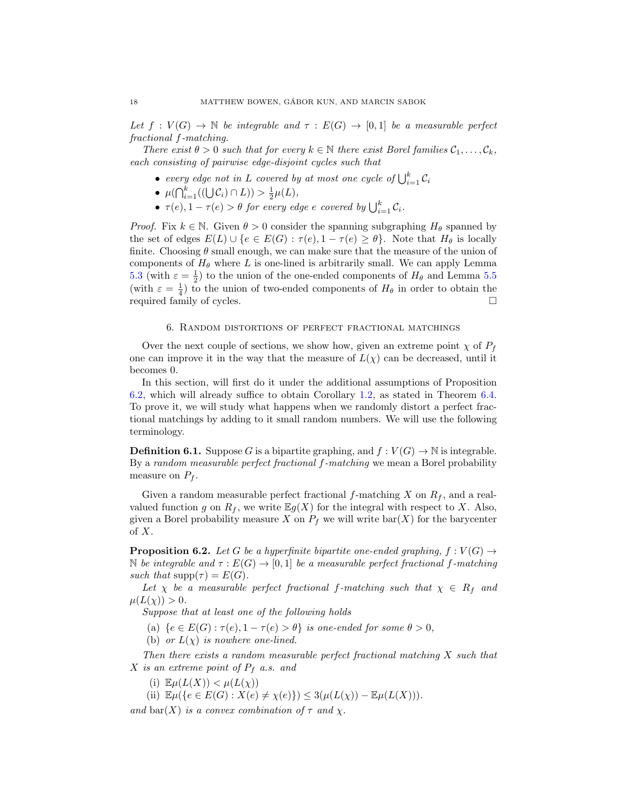Let  $f: V(G) \to \mathbb{N}$  be integrable and  $\tau: E(G) \to [0,1]$  be a measurable perfect fractional f-matching.

There exist  $\theta > 0$  such that for every  $k \in \mathbb{N}$  there exist Borel families  $C_1, \ldots, C_k$ , each consisting of pairwise edge-disjoint cycles such that

- every edge not in L covered by at most one cycle of  $\bigcup_{i=1}^k \mathcal{C}_i$
- $\mu(\bigcap_{i=1}^k ((\bigcup \mathcal{C}_i) \cap L)) > \frac{1}{2}\mu(L),$
- $\tau(e), 1 \tau(e) > \theta$  for every edge e covered by  $\bigcup_{i=1}^{k} C_i$ .

*Proof.* Fix  $k \in \mathbb{N}$ . Given  $\theta > 0$  consider the spanning subgraphing  $H_{\theta}$  spanned by the set of edges  $E(L) \cup \{e \in E(G) : \tau(e), 1 - \tau(e) \geq \theta\}$ . Note that  $H_{\theta}$  is locally finite. Choosing  $\theta$  small enough, we can make sure that the measure of the union of components of  $H_{\theta}$  where L is one-lined is arbitrarily small. We can apply Lemma [5.3](#page-15-0) (with  $\varepsilon = \frac{1}{2}$ ) to the union of the one-ended components of  $H_{\theta}$  and Lemma [5.5](#page-16-0) (with  $\varepsilon = \frac{1}{4}$ ) to the union of two-ended components of  $H_{\theta}$  in order to obtain the required family of cycles.

## 6. Random distortions of perfect fractional matchings

Over the next couple of sections, we show how, given an extreme point  $\chi$  of  $P_f$ one can improve it in the way that the measure of  $L(\chi)$  can be decreased, until it becomes 0.

In this section, will first do it under the additional assumptions of Proposition [6.2,](#page-17-0) which will already suffice to obtain Corollary [1.2,](#page-1-2) as stated in Theorem [6.4.](#page-20-0) To prove it, we will study what happens when we randomly distort a perfect fractional matchings by adding to it small random numbers. We will use the following terminology.

**Definition 6.1.** Suppose G is a bipartite graphing, and  $f : V(G) \to \mathbb{N}$  is integrable. By a random measurable perfect fractional f-matching we mean a Borel probability measure on  $P_f$ .

Given a random measurable perfect fractional f-matching X on  $R_f$ , and a realvalued function g on  $R_f$ , we write  $\mathbb{E}g(X)$  for the integral with respect to X. Also, given a Borel probability measure X on  $P_f$  we will write bar(X) for the barycenter of  $X$ .

<span id="page-17-0"></span>**Proposition 6.2.** Let G be a hyperfinite bipartite one-ended graphing,  $f : V(G) \rightarrow$ N be integrable and  $\tau : E(G) \to [0, 1]$  be a measurable perfect fractional f-matching such that  $\text{supp}(\tau) = E(G)$ .

Let  $\chi$  be a measurable perfect fractional f-matching such that  $\chi \in R_f$  and  $\mu(L(\chi)) > 0.$ 

Suppose that at least one of the following holds

- (a)  ${e \in E(G) : \tau(e), 1 \tau(e) > \theta}$  is one-ended for some  $\theta > 0$ ,
- (b) or  $L(\chi)$  is nowhere one-lined.

Then there exists a random measurable perfect fractional matching X such that X is an extreme point of  $P_f$  a.s. and

(i)  $\mathbb{E}\mu(L(X)) < \mu(L(\chi))$ 

(ii)  $\mathbb{E}\mu({e \in E(G) : X(e) \neq \chi(e)} \geq 3(\mu(L(\chi)) - \mathbb{E}\mu(L(X))).$ 

and bar(X) is a convex combination of  $\tau$  and  $\chi$ .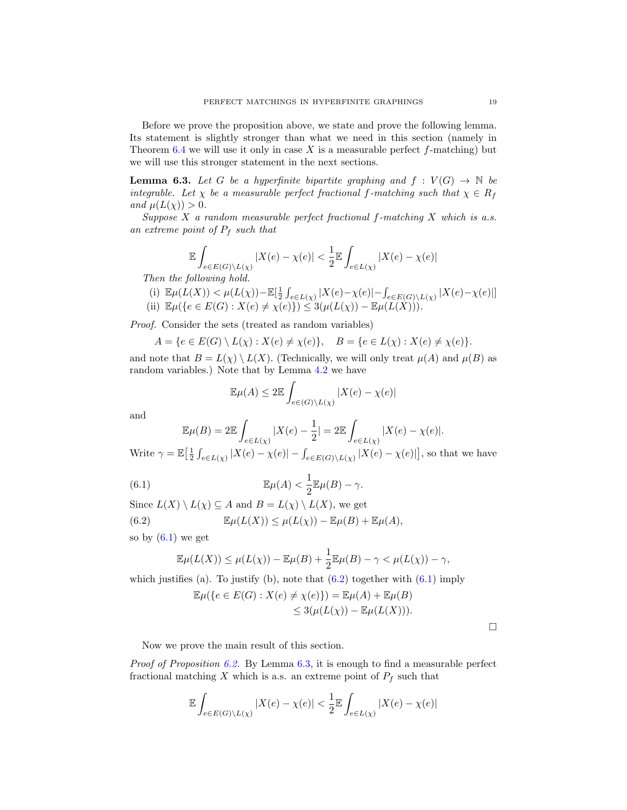Before we prove the proposition above, we state and prove the following lemma. Its statement is slightly stronger than what we need in this section (namely in Theorem [6.4](#page-20-0) we will use it only in case  $X$  is a measurable perfect  $f$ -matching) but we will use this stronger statement in the next sections.

<span id="page-18-2"></span>**Lemma 6.3.** Let G be a hyperfinite bipartite graphing and  $f : V(G) \rightarrow \mathbb{N}$  be integrable. Let  $\chi$  be a measurable perfect fractional f-matching such that  $\chi \in R_f$ and  $\mu(L(\chi)) > 0$ .

Suppose  $X$  a random measurable perfect fractional f-matching  $X$  which is a.s. an extreme point of  $P_f$  such that

$$
\mathbb{E}\int_{e\in E(G)\backslash L(\chi)}|X(e)-\chi(e)|<\frac{1}{2}\mathbb{E}\int_{e\in L(\chi)}|X(e)-\chi(e)|
$$

Then the following hold.

(i) 
$$
\mathbb{E}\mu(L(X)) < \mu(L(\chi)) - \mathbb{E}[\frac{1}{2}\int_{e \in L(\chi)}|X(e) - \chi(e)| - \int_{e \in E(G)\backslash L(\chi)}|X(e) - \chi(e)|]
$$
  
(ii)  $\mathbb{E}\mu(\{e \in E(G) : X(e) \neq \chi(e)\}) \leq 3(\mu(L(\chi)) - \mathbb{E}\mu(L(X))).$ 

Proof. Consider the sets (treated as random variables)

$$
A = \{e \in E(G) \setminus L(\chi) : X(e) \neq \chi(e)\}, \quad B = \{e \in L(\chi) : X(e) \neq \chi(e)\}.
$$

and note that  $B = L(\chi) \setminus L(X)$ . (Technically, we will only treat  $\mu(A)$  and  $\mu(B)$  as random variables.) Note that by Lemma [4.2](#page-12-0) we have

<span id="page-18-0"></span>
$$
\mathbb{E}\mu(A) \le 2\mathbb{E}\int_{e \in (G)\backslash L(\chi)} |X(e) - \chi(e)|
$$

and

$$
\mathbb{E}\mu(B) = 2\mathbb{E}\int_{e \in L(\chi)} |X(e) - \frac{1}{2}| = 2\mathbb{E}\int_{e \in L(\chi)} |X(e) - \chi(e)|.
$$

Write  $\gamma = \mathbb{E} \left[ \frac{1}{2} \int_{e \in L(\chi)} |X(e) - \chi(e)| - \int_{e \in E(G) \setminus L(\chi)} |X(e) - \chi(e)| \right]$ , so that we have

(6.1) 
$$
\mathbb{E}\mu(A) < \frac{1}{2}\mathbb{E}\mu(B) - \gamma.
$$

Since  $L(X) \setminus L(\chi) \subseteq A$  and  $B = L(\chi) \setminus L(X)$ , we get (6.2)  $\mathbb{E}\mu(L(X)) \leq \mu(L(\chi)) - \mathbb{E}\mu(B) + \mathbb{E}\mu(A),$ 

so by  $(6.1)$  we get

<span id="page-18-1"></span>
$$
\mathbb{E}\mu(L(X)) \leq \mu(L(\chi)) - \mathbb{E}\mu(B) + \frac{1}{2}\mathbb{E}\mu(B) - \gamma < \mu(L(\chi)) - \gamma,
$$

which justifies (a). To justify (b), note that  $(6.2)$  together with  $(6.1)$  imply

$$
\mathbb{E}\mu({e \in E(G) : X(e) \neq \chi(e)} = \mathbb{E}\mu(A) + \mathbb{E}\mu(B)
$$
  
\n
$$
\leq 3(\mu(L(\chi)) - \mathbb{E}\mu(L(X))).
$$

 $\Box$ 

Now we prove the main result of this section.

*Proof of Proposition [6.2.](#page-17-0)* By Lemma [6.3,](#page-18-2) it is enough to find a measurable perfect fractional matching X which is a.s. an extreme point of  $P_f$  such that

$$
\mathbb{E}\int_{e\in E(G)\backslash L(\chi)}|X(e)-\chi(e)|<\frac{1}{2}\mathbb{E}\int_{e\in L(\chi)}|X(e)-\chi(e)|
$$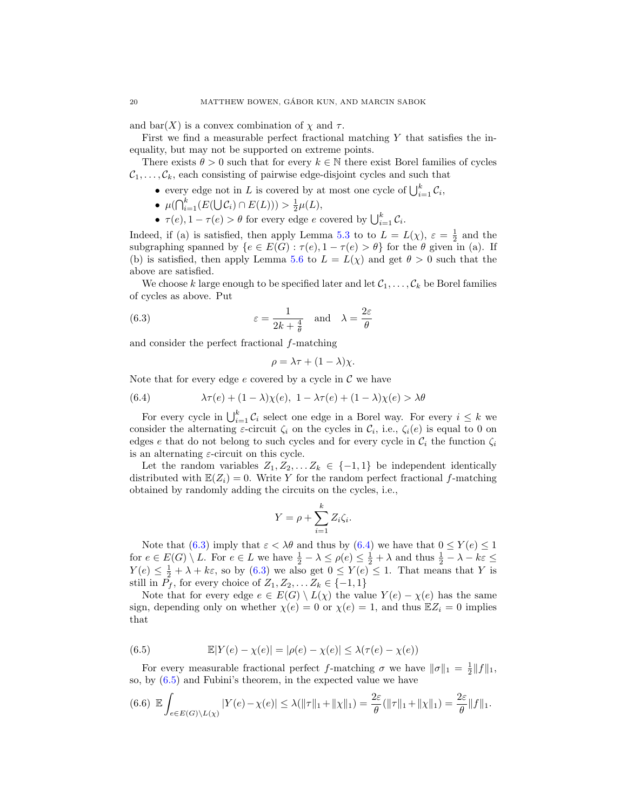and bar $(X)$  is a convex combination of  $\chi$  and  $\tau$ .

First we find a measurable perfect fractional matching  $Y$  that satisfies the inequality, but may not be supported on extreme points.

There exists  $\theta > 0$  such that for every  $k \in \mathbb{N}$  there exist Borel families of cycles  $C_1, \ldots, C_k$ , each consisting of pairwise edge-disjoint cycles and such that

- every edge not in L is covered by at most one cycle of  $\bigcup_{i=1}^{k} C_i$ ,
- $\mu(\bigcap_{i=1}^k (E(\bigcup \mathcal{C}_i) \cap E(L))) > \frac{1}{2}\mu(L),$
- $\tau(e), 1 \tau(e) > \theta$  for every edge e covered by  $\bigcup_{i=1}^{k} C_i$ .

Indeed, if (a) is satisfied, then apply Lemma [5.3](#page-15-0) to to  $L = L(\chi)$ ,  $\varepsilon = \frac{1}{2}$  and the subgraphing spanned by  $\{e \in E(G) : \tau(e), 1 - \tau(e) > \theta\}$  for the  $\theta$  given in (a). If (b) is satisfied, then apply Lemma [5.6](#page-16-1) to  $L = L(\chi)$  and get  $\theta > 0$  such that the above are satisfied.

We choose k large enough to be specified later and let  $\mathcal{C}_1, \ldots, \mathcal{C}_k$  be Borel families of cycles as above. Put

(6.3) 
$$
\varepsilon = \frac{1}{2k + \frac{4}{\theta}} \quad \text{and} \quad \lambda = \frac{2\varepsilon}{\theta}
$$

and consider the perfect fractional f-matching

<span id="page-19-0"></span>
$$
\rho = \lambda \tau + (1 - \lambda)\chi.
$$

Note that for every edge e covered by a cycle in  $\mathcal C$  we have

<span id="page-19-1"></span>(6.4) 
$$
\lambda \tau(e) + (1 - \lambda)\chi(e), \ 1 - \lambda \tau(e) + (1 - \lambda)\chi(e) > \lambda \theta
$$

For every cycle in  $\bigcup_{i=1}^k C_i$  select one edge in a Borel way. For every  $i \leq k$  we consider the alternating  $\varepsilon$ -circuit  $\zeta_i$  on the cycles in  $\mathcal{C}_i$ , i.e.,  $\zeta_i(e)$  is equal to 0 on edges e that do not belong to such cycles and for every cycle in  $\mathcal{C}_i$  the function  $\zeta_i$ is an alternating  $\varepsilon$ -circuit on this cycle.

Let the random variables  $Z_1, Z_2, \ldots Z_k \in \{-1,1\}$  be independent identically distributed with  $\mathbb{E}(Z_i) = 0$ . Write Y for the random perfect fractional f-matching obtained by randomly adding the circuits on the cycles, i.e.,

$$
Y = \rho + \sum_{i=1}^{k} Z_i \zeta_i.
$$

Note that [\(6.3\)](#page-19-0) imply that  $\varepsilon < \lambda \theta$  and thus by [\(6.4\)](#page-19-1) we have that  $0 \le Y(e) \le 1$ for  $e \in E(G) \setminus L$ . For  $e \in L$  we have  $\frac{1}{2} - \lambda \leq \rho(e) \leq \frac{1}{2} + \lambda$  and thus  $\frac{1}{2} - \lambda - k\varepsilon \leq$  $Y(e) \leq \frac{1}{2} + \lambda + k\varepsilon$ , so by [\(6.3\)](#page-19-0) we also get  $0 \leq Y(e) \leq 1$ . That means that Y is still in  $P_f$ , for every choice of  $Z_1, Z_2, \ldots Z_k \in \{-1, 1\}$ 

Note that for every edge  $e \in E(G) \setminus L(\chi)$  the value  $Y(e) - \chi(e)$  has the same sign, depending only on whether  $\chi(e) = 0$  or  $\chi(e) = 1$ , and thus  $\mathbb{E}Z_i = 0$  implies that

<span id="page-19-2"></span>(6.5) 
$$
\mathbb{E}|Y(e) - \chi(e)| = |\rho(e) - \chi(e)| \leq \lambda(\tau(e) - \chi(e))
$$

For every measurable fractional perfect f-matching  $\sigma$  we have  $\|\sigma\|_1 = \frac{1}{2} \|f\|_1$ , so, by [\(6.5\)](#page-19-2) and Fubini's theorem, in the expected value we have

<span id="page-19-3"></span>
$$
(6.6) \mathbb{E} \int_{e \in E(G) \setminus L(\chi)} |Y(e) - \chi(e)| \leq \lambda (||\tau||_1 + ||\chi||_1) = \frac{2\varepsilon}{\theta} (||\tau||_1 + ||\chi||_1) = \frac{2\varepsilon}{\theta} ||f||_1.
$$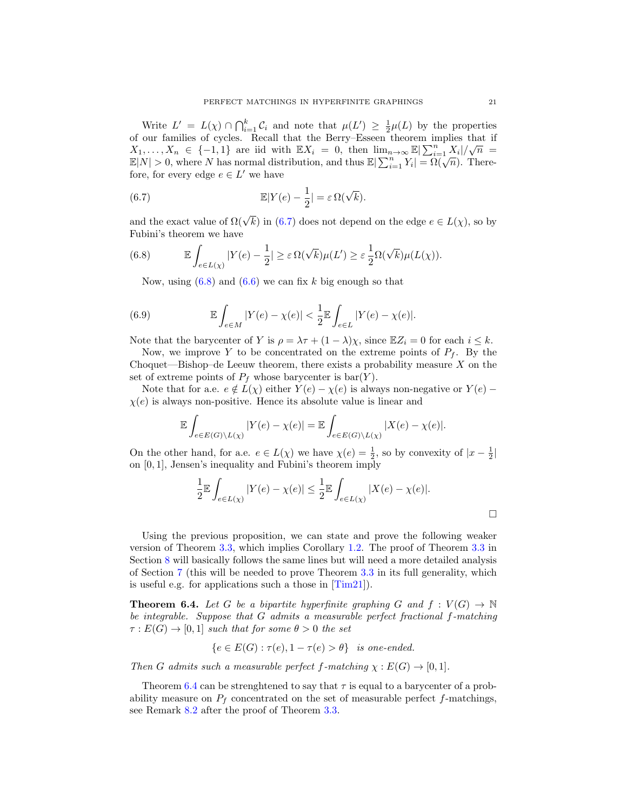Write  $L' = L(\chi) \cap \bigcap_{i=1}^k C_i$  and note that  $\mu(L') \geq \frac{1}{2}\mu(L)$  by the properties of our families of cycles. Recall that the Berry–Esseen theorem implies that if of our families of cycles. Recall that the Berry-Esseen theorem implies that if  $X_1, \ldots, X_n \in \{-1,1\}$  are iid with  $\mathbb{E}X_i = 0$ , then  $\lim_{n\to\infty} \mathbb{E}|\sum_{i=1}^n X_i|/\sqrt{n} =$  $\mathbb{E}[N] > 0$ , where N has normal distribution, and thus  $\mathbb{E}[\sum_{i=1}^{n} Y_i] = \Omega(\sqrt{n})$ . Therefore, for every edge  $e \in L'$  we have

<span id="page-20-1"></span>(6.7) 
$$
\mathbb{E}|Y(e) - \frac{1}{2}| = \varepsilon \Omega(\sqrt{k}).
$$

and the exact value of  $\Omega(\sqrt{k})$  in [\(6.7\)](#page-20-1) does not depend on the edge  $e \in L(\chi)$ , so by Fubini's theorem we have

(6.8) 
$$
\mathbb{E}\int_{e\in L(\chi)}|Y(e)-\frac{1}{2}|\geq \varepsilon \Omega(\sqrt{k})\mu(L')\geq \varepsilon \frac{1}{2}\Omega(\sqrt{k})\mu(L(\chi)).
$$

<span id="page-20-2"></span>Now, using  $(6.8)$  and  $(6.6)$  we can fix k big enough so that

(6.9) 
$$
\mathbb{E}\int_{e \in M} |Y(e) - \chi(e)| < \frac{1}{2} \mathbb{E}\int_{e \in L} |Y(e) - \chi(e)|.
$$

Note that the barycenter of Y is  $\rho = \lambda \tau + (1 - \lambda)\chi$ , since  $\mathbb{E}Z_i = 0$  for each  $i \leq k$ .

Now, we improve Y to be concentrated on the extreme points of  $P_f$ . By the Choquet—Bishop–de Leeuw theorem, there exists a probability measure  $X$  on the set of extreme points of  $P_f$  whose barycenter is  $bar(Y)$ .

Note that for a.e.  $e \notin L(\chi)$  either  $Y(e) - \chi(e)$  is always non-negative or  $Y(e)$  –  $\chi(e)$  is always non-positive. Hence its absolute value is linear and

$$
\mathbb{E}\int_{e\in E(G)\backslash L(\chi)}|Y(e)-\chi(e)|=\mathbb{E}\int_{e\in E(G)\backslash L(\chi)}|X(e)-\chi(e)|.
$$

On the other hand, for a.e.  $e \in L(\chi)$  we have  $\chi(e) = \frac{1}{2}$ , so by convexity of  $|x - \frac{1}{2}|$ on [0, 1], Jensen's inequality and Fubini's theorem imply

$$
\frac{1}{2}\mathbb{E}\int_{e\in L(\chi)}|Y(e)-\chi(e)|\leq \frac{1}{2}\mathbb{E}\int_{e\in L(\chi)}|X(e)-\chi(e)|.
$$

Using the previous proposition, we can state and prove the following weaker version of Theorem [3.3,](#page-9-0) which implies Corollary [1.2.](#page-1-2) The proof of Theorem [3.3](#page-9-0) in Section [8](#page-29-0) will basically follows the same lines but will need a more detailed analysis of Section [7](#page-21-0) (this will be needed to prove Theorem [3.3](#page-9-0) in its full generality, which is useful e.g. for applications such a those in  $\text{[Tim21]}$ .

<span id="page-20-0"></span>**Theorem 6.4.** Let G be a bipartite hyperfinite graphing G and  $f: V(G) \to \mathbb{N}$ be integrable. Suppose that G admits a measurable perfect fractional f-matching  $\tau: E(G) \to [0,1]$  such that for some  $\theta > 0$  the set

$$
\{e \in E(G) : \tau(e), 1 - \tau(e) > \theta\} \text{ is one-ended.}
$$

Then G admits such a measurable perfect f-matching  $\chi : E(G) \to [0,1].$ 

Theorem [6.4](#page-20-0) can be strenghtened to say that  $\tau$  is equal to a barycenter of a probability measure on  $P_f$  concentrated on the set of measurable perfect f-matchings, see Remark [8.2](#page-31-1) after the proof of Theorem [3.3.](#page-9-0)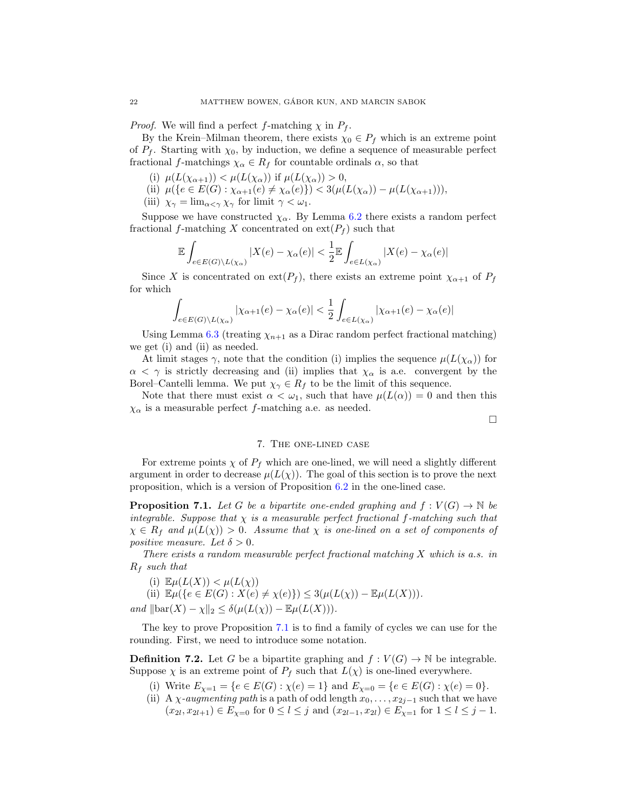*Proof.* We will find a perfect f-matching  $\chi$  in  $P_f$ .

By the Krein–Milman theorem, there exists  $\chi_0 \in P_f$  which is an extreme point of  $P_f$ . Starting with  $\chi_0$ , by induction, we define a sequence of measurable perfect fractional f-matchings  $\chi_{\alpha} \in R_f$  for countable ordinals  $\alpha$ , so that

- (i)  $\mu(L(\chi_{\alpha+1})) < \mu(L(\chi_{\alpha}))$  if  $\mu(L(\chi_{\alpha})) > 0$ ,
- (ii)  $\mu({e \in E(G) : \chi_{\alpha+1}(e) \neq \chi_{\alpha}(e)}) < 3(\mu(L(\chi_{\alpha})) \mu(L(\chi_{\alpha+1}))),$
- (iii)  $\chi_{\gamma} = \lim_{\alpha \leq \gamma} \chi_{\gamma}$  for limit  $\gamma < \omega_1$ .

Suppose we have constructed  $\chi_{\alpha}$ . By Lemma [6.2](#page-17-0) there exists a random perfect fractional f-matching X concentrated on  $ext{ext}(P_f)$  such that

$$
\mathbb{E}\int_{e\in E(G)\backslash L(\chi_{\alpha})}|X(e)-\chi_{\alpha}(e)|<\frac{1}{2}\mathbb{E}\int_{e\in L(\chi_{\alpha})}|X(e)-\chi_{\alpha}(e)|
$$

Since X is concentrated on ext( $P_f$ ), there exists an extreme point  $\chi_{\alpha+1}$  of  $P_f$ for which

$$
\int_{e \in E(G) \setminus L(\chi_{\alpha})} |\chi_{\alpha+1}(e) - \chi_{\alpha}(e)| < \frac{1}{2} \int_{e \in L(\chi_{\alpha})} |\chi_{\alpha+1}(e) - \chi_{\alpha}(e)|
$$

Using Lemma [6.3](#page-18-2) (treating  $\chi_{n+1}$  as a Dirac random perfect fractional matching) we get (i) and (ii) as needed.

At limit stages  $\gamma$ , note that the condition (i) implies the sequence  $\mu(L(\chi_{\alpha}))$  for  $\alpha < \gamma$  is strictly decreasing and (ii) implies that  $\chi_{\alpha}$  is a.e. convergent by the Borel–Cantelli lemma. We put  $\chi_{\gamma} \in R_f$  to be the limit of this sequence.

Note that there must exist  $\alpha < \omega_1$ , such that have  $\mu(L(\alpha)) = 0$  and then this  $\chi_{\alpha}$  is a measurable perfect f-matching a.e. as needed.

 $\Box$ 

# 7. The one-lined case

<span id="page-21-0"></span>For extreme points  $\chi$  of  $P_f$  which are one-lined, we will need a slightly different argument in order to decrease  $\mu(L(\chi))$ . The goal of this section is to prove the next proposition, which is a version of Proposition [6.2](#page-17-0) in the one-lined case.

<span id="page-21-1"></span>**Proposition 7.1.** Let G be a bipartite one-ended graphing and  $f: V(G) \to \mathbb{N}$  be integrable. Suppose that  $\chi$  is a measurable perfect fractional f-matching such that  $\chi \in R_f$  and  $\mu(L(\chi)) > 0$ . Assume that  $\chi$  is one-lined on a set of components of positive measure. Let  $\delta > 0$ .

There exists a random measurable perfect fractional matching X which is a.s. in  $R_f$  such that

(i)  $\mathbb{E}\mu(L(X)) < \mu(L(\chi))$ 

(ii)  $\mathbb{E}\mu({e \in E(G) : X(e) \neq \chi(e)} \geq 3(\mu(L(\chi)) - \mathbb{E}\mu(L(X))).$ and  $\|\text{bar}(X) - \chi\|_2 \leq \delta(\mu(L(\chi)) - \mathbb{E}\mu(L(X))).$ 

The key to prove Proposition [7.1](#page-21-1) is to find a family of cycles we can use for the rounding. First, we need to introduce some notation.

**Definition 7.2.** Let G be a bipartite graphing and  $f : V(G) \to \mathbb{N}$  be integrable. Suppose  $\chi$  is an extreme point of  $P_f$  such that  $L(\chi)$  is one-lined everywhere.

- (i) Write  $E_{\chi=1} = \{e \in E(G) : \chi(e) = 1\}$  and  $E_{\chi=0} = \{e \in E(G) : \chi(e) = 0\}.$
- (ii) A  $\chi$ -augmenting path is a path of odd length  $x_0, \ldots, x_{2j-1}$  such that we have  $(x_{2l}, x_{2l+1}) \in E_{\chi=0}$  for  $0 \le l \le j$  and  $(x_{2l-1}, x_{2l}) \in E_{\chi=1}$  for  $1 \le l \le j-1$ .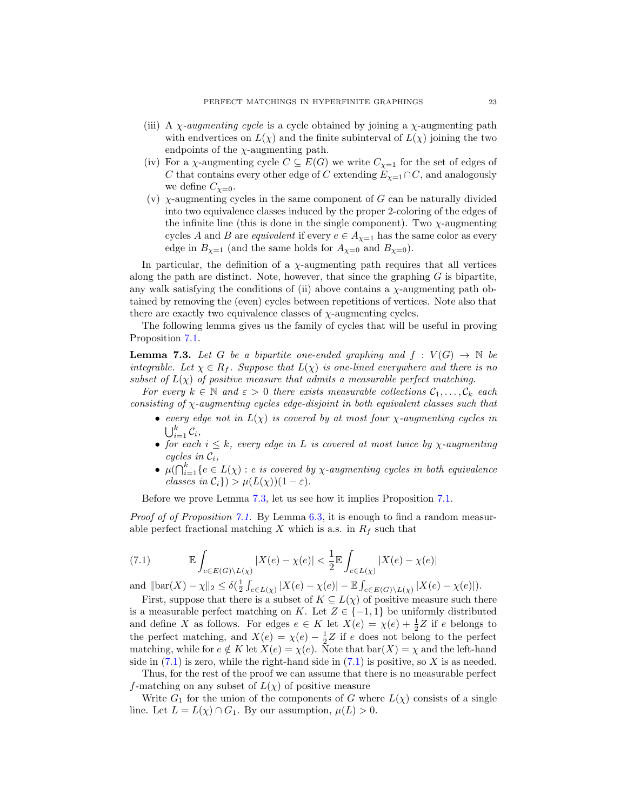- (iii) A  $\chi$ -augmenting cycle is a cycle obtained by joining a  $\chi$ -augmenting path with endvertices on  $L(\chi)$  and the finite subinterval of  $L(\chi)$  joining the two endpoints of the  $\chi$ -augmenting path.
- (iv) For a  $\chi$ -augmenting cycle  $C \subseteq E(G)$  we write  $C_{\chi=1}$  for the set of edges of C that contains every other edge of C extending  $E_{\chi=1} \cap C$ , and analogously we define  $C_{\chi=0}$ .
- (v)  $\chi$ -augmenting cycles in the same component of G can be naturally divided into two equivalence classes induced by the proper 2-coloring of the edges of the infinite line (this is done in the single component). Two  $\chi$ -augmenting cycles A and B are equivalent if every  $e \in A_{\chi=1}$  has the same color as every edge in  $B_{\chi=1}$  (and the same holds for  $A_{\chi=0}$  and  $B_{\chi=0}$ ).

In particular, the definition of a  $\chi$ -augmenting path requires that all vertices along the path are distinct. Note, however, that since the graphing  $G$  is bipartite, any walk satisfying the conditions of (ii) above contains a  $\chi$ -augmenting path obtained by removing the (even) cycles between repetitions of vertices. Note also that there are exactly two equivalence classes of  $\chi$ -augmenting cycles.

The following lemma gives us the family of cycles that will be useful in proving Proposition [7.1.](#page-21-1)

<span id="page-22-0"></span>**Lemma 7.3.** Let G be a bipartite one-ended graphing and  $f : V(G) \rightarrow \mathbb{N}$  be integrable. Let  $\chi \in R_f$ . Suppose that  $L(\chi)$  is one-lined everywhere and there is no subset of  $L(\chi)$  of positive measure that admits a measurable perfect matching.

For every  $k \in \mathbb{N}$  and  $\varepsilon > 0$  there exists measurable collections  $C_1, \ldots, C_k$  each consisting of  $\chi$ -augmenting cycles edge-disjoint in both equivalent classes such that

- every edge not in  $L(\chi)$  is covered by at most four  $\chi$ -augmenting cycles in  $\bigcup_{i=1}^k \mathcal{C}_i,$
- for each  $i \leq k$ , every edge in L is covered at most twice by  $\chi$ -augmenting cycles in  $\mathcal{C}_i$ ,
- $\mu(\bigcap_{i=1}^k \{e \in L(\chi) : e \text{ is covered by } \chi\text{-augmenting cycles in both equivalence}\}$ classes in  $\mathcal{C}_i$ }) >  $\mu(L(\chi))(1-\varepsilon)$ .

Before we prove Lemma [7.3,](#page-22-0) let us see how it implies Proposition [7.1.](#page-21-1)

Proof of of Proposition [7.1.](#page-21-1) By Lemma [6.3,](#page-18-2) it is enough to find a random measurable perfect fractional matching  $X$  which is a.s. in  $R_f$  such that

<span id="page-22-1"></span>(7.1) 
$$
\mathbb{E}\int_{e\in E(G)\backslash L(\chi)}|X(e)-\chi(e)|<\frac{1}{2}\mathbb{E}\int_{e\in L(\chi)}|X(e)-\chi(e)|
$$

and  $\|\text{bar}(X) - \chi\|_2 \leq \delta\left(\frac{1}{2} \int_{e \in L(\chi)} |X(e) - \chi(e)| - \mathbb{E} \int_{e \in E(G) \setminus L(\chi)} |X(e) - \chi(e)|\right).$ 

First, suppose that there is a subset of  $K \subseteq L(\chi)$  of positive measure such there is a measurable perfect matching on K. Let  $Z \in \{-1,1\}$  be uniformly distributed and define X as follows. For edges  $e \in K$  let  $X(e) = \chi(e) + \frac{1}{2}Z$  if e belongs to the perfect matching, and  $X(e) = \chi(e) - \frac{1}{2}Z$  if e does not belong to the perfect matching, while for  $e \notin K$  let  $X(e) = \chi(e)$ . Note that  $bar(X) = \chi$  and the left-hand side in  $(7.1)$  is zero, while the right-hand side in  $(7.1)$  is positive, so X is as needed.

Thus, for the rest of the proof we can assume that there is no measurable perfect f-matching on any subset of  $L(\chi)$  of positive measure

Write  $G_1$  for the union of the components of G where  $L(\chi)$  consists of a single line. Let  $L = L(\chi) \cap G_1$ . By our assumption,  $\mu(L) > 0$ .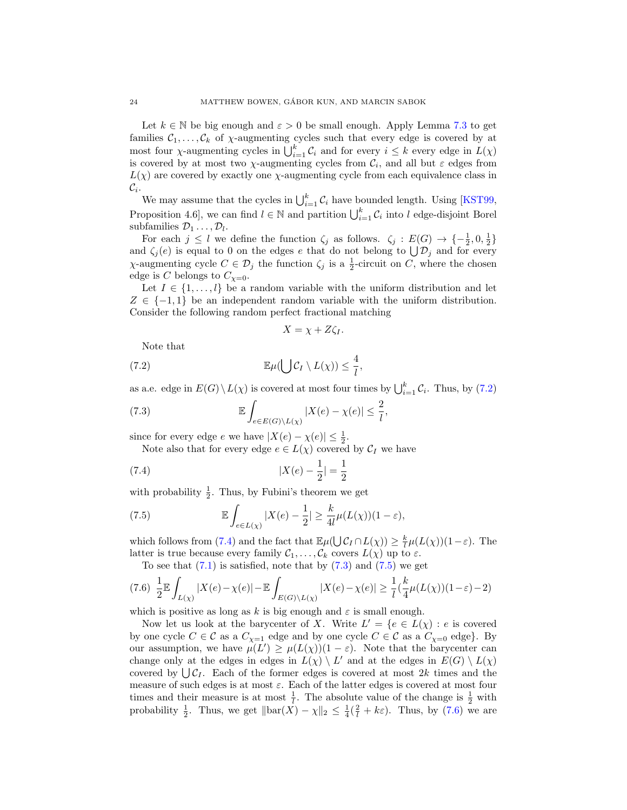Let  $k \in \mathbb{N}$  be big enough and  $\varepsilon > 0$  be small enough. Apply Lemma [7.3](#page-22-0) to get families  $C_1, \ldots, C_k$  of  $\chi$ -augmenting cycles such that every edge is covered by at most four  $\chi$ -augmenting cycles in  $\bigcup_{i=1}^k C_i$  and for every  $i \leq k$  every edge in  $L(\chi)$ is covered by at most two  $\chi$ -augmenting cycles from  $\mathcal{C}_i$ , and all but  $\varepsilon$  edges from  $L(\chi)$  are covered by exactly one  $\chi$ -augmenting cycle from each equivalence class in  $\mathcal{C}_i.$ 

We may assume that the cycles in  $\bigcup_{i=1}^k C_i$  have bounded length. Using [\[KST99,](#page-42-22) Proposition 4.6, we can find  $l \in \mathbb{N}$  and partition  $\bigcup_{i=1}^{k} C_i$  into l edge-disjoint Borel subfamilies  $\mathcal{D}_1 \ldots, \mathcal{D}_l$ .

For each  $j \leq l$  we define the function  $\zeta_j$  as follows.  $\zeta_j : E(G) \to \{-\frac{1}{2}, 0, \frac{1}{2}\}\$ and  $\zeta_j(e)$  is equal to 0 on the edges e that do not belong to  $\bigcup \mathcal{D}_j$  and for every  $\chi$ -augmenting cycle  $C \in \mathcal{D}_j$  the function  $\zeta_j$  is a  $\frac{1}{2}$ -circuit on C, where the chosen edge is C belongs to  $C_{\chi=0}$ .

Let  $I \in \{1, \ldots, l\}$  be a random variable with the uniform distribution and let  $Z \in \{-1,1\}$  be an independent random variable with the uniform distribution. Consider the following random perfect fractional matching

<span id="page-23-2"></span><span id="page-23-1"></span><span id="page-23-0"></span>
$$
X = \chi + Z\zeta_I.
$$

Note that

(7.2) 
$$
\mathbb{E}\mu(\bigcup \mathcal{C}_I \setminus L(\chi)) \leq \frac{4}{l},
$$

as a.e. edge in  $E(G) \setminus L(\chi)$  is covered at most four times by  $\bigcup_{i=1}^{k} C_i$ . Thus, by [\(7.2\)](#page-23-0)

(7.3) 
$$
\mathbb{E}\int_{e\in E(G)\backslash L(\chi)}|X(e)-\chi(e)|\leq \frac{2}{l},
$$

since for every edge  $e$  we have  $|X(e) - \chi(e)| \leq \frac{1}{2}$ .

Note also that for every edge  $e \in L(\chi)$  covered by  $\mathcal{C}_I$  we have

(7.4) 
$$
|X(e) - \frac{1}{2}| = \frac{1}{2}
$$

with probability  $\frac{1}{2}$ . Thus, by Fubini's theorem we get

<span id="page-23-3"></span>(7.5) 
$$
\mathbb{E}\int_{e\in L(\chi)}|X(e)-\frac{1}{2}|\geq \frac{k}{4l}\mu(L(\chi))(1-\varepsilon),
$$

which follows from [\(7.4\)](#page-23-1) and the fact that  $\mathbb{E}\mu(\bigcup \mathcal{C}_I \cap L(\chi)) \geq \frac{k}{l}\mu(L(\chi))(1-\varepsilon)$ . The latter is true because every family  $C_1, \ldots, C_k$  covers  $L(\chi)$  up to  $\varepsilon$ .

<span id="page-23-4"></span>To see that  $(7.1)$  is satisfied, note that by  $(7.3)$  and  $(7.5)$  we get

$$
(7.6)\ \ \frac{1}{2}\mathbb{E}\int_{L(\chi)}|X(e)-\chi(e)|-\mathbb{E}\int_{E(G)\backslash L(\chi)}|X(e)-\chi(e)|\geq \frac{1}{l}(\frac{k}{4}\mu(L(\chi))(1-\varepsilon)-2)
$$

which is positive as long as k is big enough and  $\varepsilon$  is small enough.

Now let us look at the barycenter of X. Write  $L' = \{e \in L(\chi) : e \text{ is covered}\}\$ by one cycle  $C \in \mathcal{C}$  as a  $C_{\chi=1}$  edge and by one cycle  $C \in \mathcal{C}$  as a  $C_{\chi=0}$  edge}. By our assumption, we have  $\mu(L') \geq \mu(L(\chi))(1-\varepsilon)$ . Note that the barycenter can change only at the edges in edges in  $L(\chi) \setminus L'$  and at the edges in  $E(G) \setminus L(\chi)$ covered by  $\bigcup \mathcal{C}_I$ . Each of the former edges is covered at most 2k times and the measure of such edges is at most  $\varepsilon$ . Each of the latter edges is covered at most four times and their measure is at most  $\frac{1}{l}$ . The absolute value of the change is  $\frac{1}{2}$  with probability  $\frac{1}{2}$ . Thus, we get  $\|\text{bar}(X) - \chi\|_2 \leq \frac{1}{4}(\frac{2}{l} + k\varepsilon)$ . Thus, by [\(7.6\)](#page-23-4) we are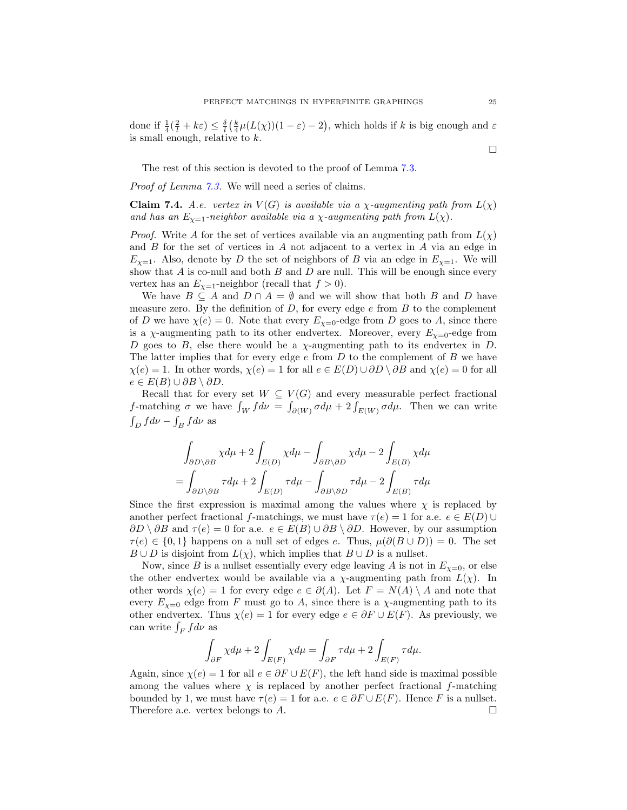done if  $\frac{1}{4}(\frac{2}{l}+k\varepsilon) \leq \frac{\delta}{l}(\frac{k}{4}\mu(L(\chi))(1-\varepsilon)-2)$ , which holds if k is big enough and  $\varepsilon$ is small enough, relative to  $k$ .

The rest of this section is devoted to the proof of Lemma [7.3.](#page-22-0)

Proof of Lemma [7.3.](#page-22-0) We will need a series of claims.

<span id="page-24-0"></span>Claim 7.4. A.e. vertex in  $V(G)$  is available via a  $\chi$ -augmenting path from  $L(\chi)$ and has an  $E_{\chi=1}$ -neighbor available via a  $\chi$ -augmenting path from  $L(\chi)$ .

*Proof.* Write A for the set of vertices available via an augmenting path from  $L(\chi)$ and B for the set of vertices in A not adjacent to a vertex in A via an edge in  $E_{\chi=1}$ . Also, denote by D the set of neighbors of B via an edge in  $E_{\chi=1}$ . We will show that  $A$  is co-null and both  $B$  and  $D$  are null. This will be enough since every vertex has an  $E_{\chi=1}$ -neighbor (recall that  $f > 0$ ).

We have  $B \subseteq A$  and  $D \cap A = \emptyset$  and we will show that both B and D have measure zero. By the definition of  $D$ , for every edge  $e$  from  $B$  to the complement of D we have  $\chi(e) = 0$ . Note that every  $E_{\chi=0}$ -edge from D goes to A, since there is a  $\chi$ -augmenting path to its other endvertex. Moreover, every  $E_{\chi=0}$ -edge from D goes to B, else there would be a  $\chi$ -augmenting path to its endvertex in D. The latter implies that for every edge  $e$  from  $D$  to the complement of  $B$  we have  $\chi(e) = 1$ . In other words,  $\chi(e) = 1$  for all  $e \in E(D) \cup \partial D \setminus \partial B$  and  $\chi(e) = 0$  for all  $e \in E(B) \cup \partial B \setminus \partial D.$ 

Recall that for every set  $W \subseteq V(G)$  and every measurable perfect fractional *f*-matching  $\sigma$  we have  $\int_W f d\nu = \int_{\partial(W)} \sigma d\mu + 2 \int_{E(W)} \sigma d\mu$ . Then we can write  $\int_D f d\nu - \int_B f d\nu$  as

$$
\int_{\partial D \setminus \partial B} \chi d\mu + 2 \int_{E(D)} \chi d\mu - \int_{\partial B \setminus \partial D} \chi d\mu - 2 \int_{E(B)} \chi d\mu
$$

$$
= \int_{\partial D \setminus \partial B} \tau d\mu + 2 \int_{E(D)} \tau d\mu - \int_{\partial B \setminus \partial D} \tau d\mu - 2 \int_{E(B)} \tau d\mu
$$

Since the first expression is maximal among the values where  $\chi$  is replaced by another perfect fractional f-matchings, we must have  $\tau(e) = 1$  for a.e.  $e \in E(D) \cup$  $\partial D \setminus \partial B$  and  $\tau(e) = 0$  for a.e.  $e \in E(B) \cup \partial B \setminus \partial D$ . However, by our assumption  $\tau(e) \in \{0,1\}$  happens on a null set of edges e. Thus,  $\mu(\partial(B \cup D)) = 0$ . The set  $B \cup D$  is disjoint from  $L(\chi)$ , which implies that  $B \cup D$  is a nullset.

Now, since B is a nullset essentially every edge leaving A is not in  $E_{\chi=0}$ , or else the other endvertex would be available via a  $\chi$ -augmenting path from  $L(\chi)$ . In other words  $\chi(e) = 1$  for every edge  $e \in \partial(A)$ . Let  $F = N(A) \setminus A$  and note that every  $E_{\chi=0}$  edge from F must go to A, since there is a  $\chi$ -augmenting path to its other endvertex. Thus  $\chi(e) = 1$  for every edge  $e \in \partial F \cup E(F)$ . As previously, we can write  $\int_F f d\nu$  as

$$
\int_{\partial F} \chi d\mu + 2 \int_{E(F)} \chi d\mu = \int_{\partial F} \tau d\mu + 2 \int_{E(F)} \tau d\mu.
$$

Again, since  $\chi(e) = 1$  for all  $e \in \partial F \cup E(F)$ , the left hand side is maximal possible among the values where  $\chi$  is replaced by another perfect fractional f-matching bounded by 1, we must have  $\tau(e) = 1$  for a.e.  $e \in \partial F \cup E(F)$ . Hence F is a nullset. Therefore a.e. vertex belongs to  $A$ .

 $\Box$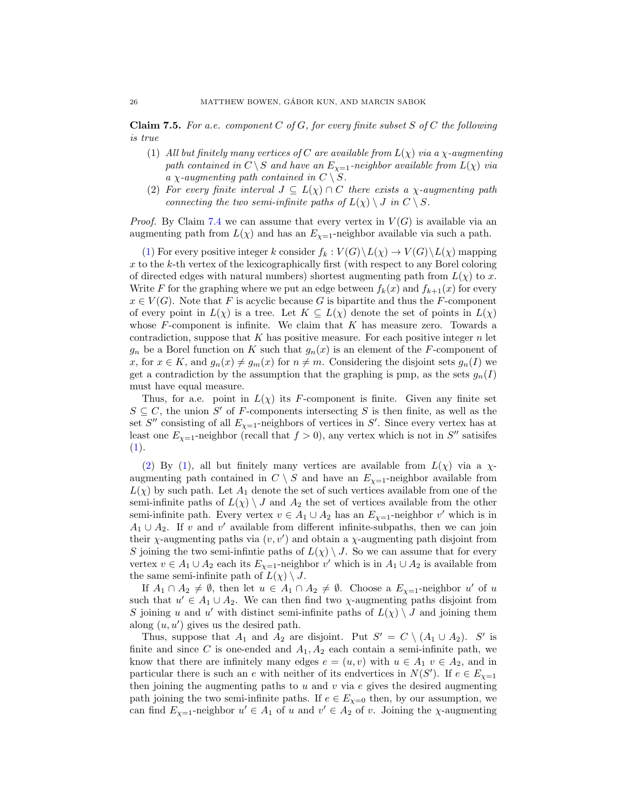<span id="page-25-2"></span>**Claim 7.5.** For a.e. component  $C$  of  $G$ , for every finite subset  $S$  of  $C$  the following is true

- <span id="page-25-0"></span>(1) All but finitely many vertices of C are available from  $L(\chi)$  via a  $\chi$ -augmenting path contained in  $C \setminus S$  and have an  $E_{\chi=1}$ -neighbor available from  $L(\chi)$  via a  $\chi$ -augmenting path contained in  $C \setminus S$ .
- <span id="page-25-1"></span>(2) For every finite interval  $J \subseteq L(\chi) \cap C$  there exists a  $\chi$ -augmenting path connecting the two semi-infinite paths of  $L(\chi) \setminus J$  in  $C \setminus S$ .

*Proof.* By Claim [7.4](#page-24-0) we can assume that every vertex in  $V(G)$  is available via an augmenting path from  $L(\chi)$  and has an  $E_{\chi=1}$ -neighbor available via such a path.

[\(1\)](#page-25-0) For every positive integer k consider  $f_k : V(G) \backslash L(\chi) \to V(G) \backslash L(\chi)$  mapping x to the k-th vertex of the lexicographically first (with respect to any Borel coloring of directed edges with natural numbers) shortest augmenting path from  $L(\chi)$  to x. Write F for the graphing where we put an edge between  $f_k(x)$  and  $f_{k+1}(x)$  for every  $x \in V(G)$ . Note that F is acyclic because G is bipartite and thus the F-component of every point in  $L(\chi)$  is a tree. Let  $K \subseteq L(\chi)$  denote the set of points in  $L(\chi)$ whose  $F$ -component is infinite. We claim that  $K$  has measure zero. Towards a contradiction, suppose that  $K$  has positive measure. For each positive integer  $n$  let  $g_n$  be a Borel function on K such that  $g_n(x)$  is an element of the F-component of x, for  $x \in K$ , and  $g_n(x) \neq g_m(x)$  for  $n \neq m$ . Considering the disjoint sets  $g_n(I)$  we get a contradiction by the assumption that the graphing is pmp, as the sets  $g_n(I)$ must have equal measure.

Thus, for a.e. point in  $L(\chi)$  its F-component is finite. Given any finite set  $S \subseteq C$ , the union S' of F-components intersecting S is then finite, as well as the set S'' consisting of all  $E_{\chi=1}$ -neighbors of vertices in S'. Since every vertex has at least one  $E_{\chi=1}$ -neighbor (recall that  $f > 0$ ), any vertex which is not in  $S''$  satisifes [\(1\)](#page-25-0).

[\(2\)](#page-25-1) By [\(1\)](#page-25-0), all but finitely many vertices are available from  $L(\chi)$  via a  $\chi$ augmenting path contained in  $C \; \backslash \; S$  and have an  $E_{\chi=1}$  -neighbor available from  $L(\chi)$  by such path. Let  $A_1$  denote the set of such vertices available from one of the semi-infinite paths of  $L(\chi) \setminus J$  and  $A_2$  the set of vertices available from the other semi-infinite path. Every vertex  $v \in A_1 \cup A_2$  has an  $E_{\chi=1}$ -neighbor v' which is in  $A_1 \cup A_2$ . If v and v' available from different infinite-subpaths, then we can join their  $\chi$ -augmenting paths via  $(v, v')$  and obtain a  $\chi$ -augmenting path disjoint from S joining the two semi-infinite paths of  $L(\chi) \setminus J$ . So we can assume that for every vertex  $v \in A_1 \cup A_2$  each its  $E_{\chi=1}$ -neighbor v' which is in  $A_1 \cup A_2$  is available from the same semi-infinite path of  $L(\chi) \setminus J$ .

If  $A_1 \cap A_2 \neq \emptyset$ , then let  $u \in A_1 \cap A_2 \neq \emptyset$ . Choose a  $E_{\chi=1}$ -neighbor u' of u such that  $u' \in A_1 \cup A_2$ . We can then find two  $\chi$ -augmenting paths disjoint from S joining u and u' with distinct semi-infinite paths of  $L(\chi) \setminus J$  and joining them along  $(u, u')$  gives us the desired path.

Thus, suppose that  $A_1$  and  $A_2$  are disjoint. Put  $S' = C \setminus (A_1 \cup A_2)$ . S' is finite and since C is one-ended and  $A_1, A_2$  each contain a semi-infinite path, we know that there are infinitely many edges  $e = (u, v)$  with  $u \in A_1$   $v \in A_2$ , and in particular there is such an e with neither of its endvertices in  $N(S')$ . If  $e \in E_{\chi=1}$ then joining the augmenting paths to  $u$  and  $v$  via  $e$  gives the desired augmenting path joining the two semi-infinite paths. If  $e \in E_{\chi=0}$  then, by our assumption, we can find  $E_{\chi=1}$ -neighbor  $u' \in A_1$  of u and  $v' \in A_2$  of v. Joining the  $\chi$ -augmenting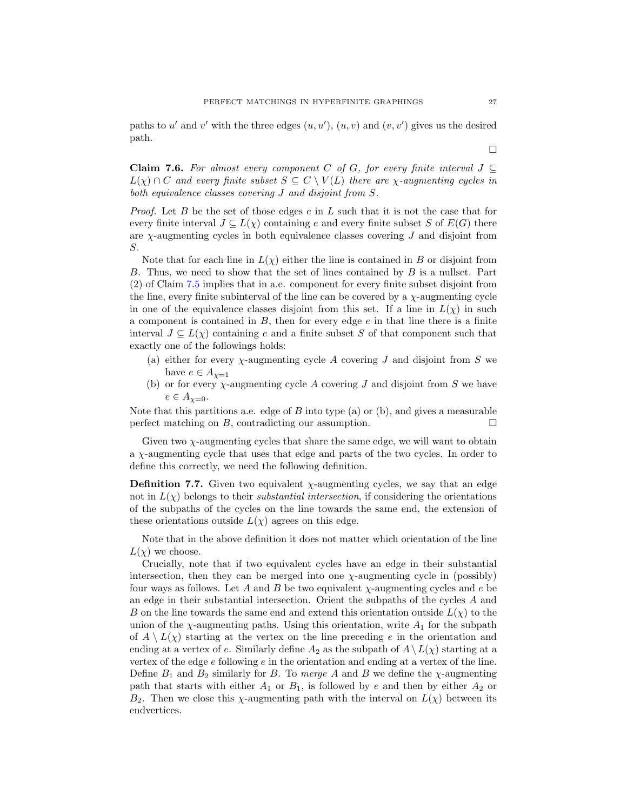paths to u' and v' with the three edges  $(u, u')$ ,  $(u, v)$  and  $(v, v')$  gives us the desired path.

<span id="page-26-0"></span>Claim 7.6. For almost every component C of G, for every finite interval  $J \subseteq$  $L(\chi) \cap C$  and every finite subset  $S \subseteq C \setminus V(L)$  there are  $\chi$ -augmenting cycles in both equivalence classes covering J and disjoint from S.

*Proof.* Let B be the set of those edges  $e$  in  $L$  such that it is not the case that for every finite interval  $J \subseteq L(\chi)$  containing e and every finite subset S of  $E(G)$  there are  $\chi$ -augmenting cycles in both equivalence classes covering  $J$  and disjoint from S.

Note that for each line in  $L(\chi)$  either the line is contained in B or disjoint from B. Thus, we need to show that the set of lines contained by B is a nullset. Part (2) of Claim [7.5](#page-25-2) implies that in a.e. component for every finite subset disjoint from the line, every finite subinterval of the line can be covered by a  $\chi$ -augmenting cycle in one of the equivalence classes disjoint from this set. If a line in  $L(\chi)$  in such a component is contained in  $B$ , then for every edge  $e$  in that line there is a finite interval  $J \subseteq L(\chi)$  containing e and a finite subset S of that component such that exactly one of the followings holds:

- (a) either for every  $\chi$ -augmenting cycle A covering J and disjoint from S we have  $e \in A_{\chi=1}$
- (b) or for every  $\chi$ -augmenting cycle A covering J and disjoint from S we have  $e \in A_{\gamma=0}$ .

Note that this partitions a.e. edge of  $B$  into type (a) or (b), and gives a measurable perfect matching on B, contradicting our assumption.  $\Box$ 

Given two  $\chi$ -augmenting cycles that share the same edge, we will want to obtain a  $\chi$ -augmenting cycle that uses that edge and parts of the two cycles. In order to define this correctly, we need the following definition.

**Definition 7.7.** Given two equivalent  $\chi$ -augmenting cycles, we say that an edge not in  $L(\chi)$  belongs to their *substantial intersection*, if considering the orientations of the subpaths of the cycles on the line towards the same end, the extension of these orientations outside  $L(\chi)$  agrees on this edge.

Note that in the above definition it does not matter which orientation of the line  $L(\chi)$  we choose.

Crucially, note that if two equivalent cycles have an edge in their substantial intersection, then they can be merged into one  $\chi$ -augmenting cycle in (possibly) four ways as follows. Let A and B be two equivalent  $\chi$ -augmenting cycles and e be an edge in their substantial intersection. Orient the subpaths of the cycles A and B on the line towards the same end and extend this orientation outside  $L(\chi)$  to the union of the  $\chi$ -augmenting paths. Using this orientation, write  $A_1$  for the subpath of  $A \setminus L(\chi)$  starting at the vertex on the line preceding e in the orientation and ending at a vertex of e. Similarly define  $A_2$  as the subpath of  $A \setminus L(\chi)$  starting at a vertex of the edge e following e in the orientation and ending at a vertex of the line. Define  $B_1$  and  $B_2$  similarly for B. To merge A and B we define the  $\chi$ -augmenting path that starts with either  $A_1$  or  $B_1$ , is followed by e and then by either  $A_2$  or  $B_2$ . Then we close this  $\chi$ -augmenting path with the interval on  $L(\chi)$  between its endvertices.

 $\Box$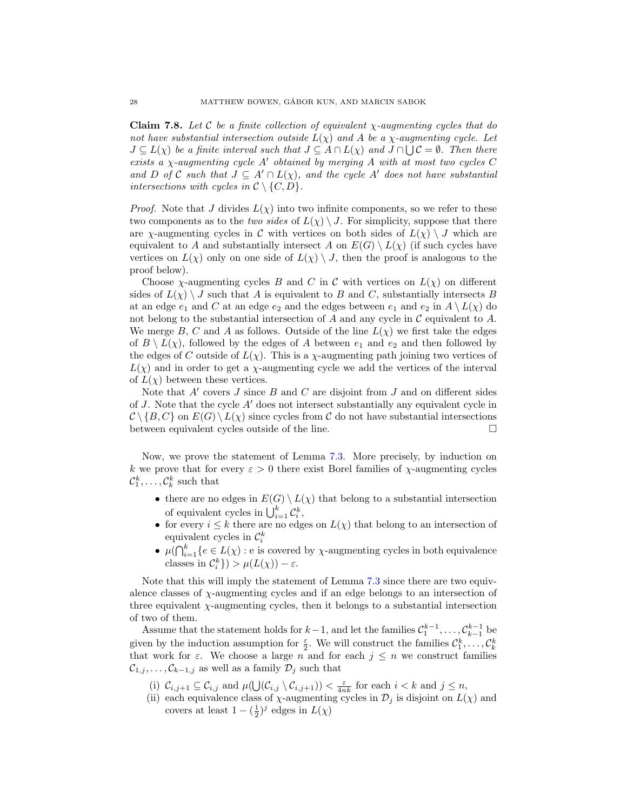<span id="page-27-0"></span>**Claim 7.8.** Let C be a finite collection of equivalent  $\chi$ -augmenting cycles that do not have substantial intersection outside  $L(\chi)$  and A be a  $\chi$ -augmenting cycle. Let  $J \subseteq L(\chi)$  be a finite interval such that  $J \subseteq A \cap L(\chi)$  and  $J \cap \bigcup C = \emptyset$ . Then there exists a  $\chi$ -augmenting cycle A' obtained by merging A with at most two cycles C and D of C such that  $J \subseteq A' \cap L(\chi)$ , and the cycle A' does not have substantial intersections with cycles in  $\mathcal{C} \setminus \{C, D\}.$ 

*Proof.* Note that J divides  $L(\chi)$  into two infinite components, so we refer to these two components as to the two sides of  $L(\chi) \setminus J$ . For simplicity, suppose that there are  $\chi$ -augmenting cycles in C with vertices on both sides of  $L(\chi) \setminus J$  which are equivalent to A and substantially intersect A on  $E(G) \setminus L(\chi)$  (if such cycles have vertices on  $L(\chi)$  only on one side of  $L(\chi) \setminus J$ , then the proof is analogous to the proof below).

Choose  $\chi$ -augmenting cycles B and C in C with vertices on  $L(\chi)$  on different sides of  $L(\chi) \setminus J$  such that A is equivalent to B and C, substantially intersects B at an edge  $e_1$  and C at an edge  $e_2$  and the edges between  $e_1$  and  $e_2$  in  $A \setminus L(\chi)$  do not belong to the substantial intersection of  $A$  and any cycle in  $C$  equivalent to  $A$ . We merge B, C and A as follows. Outside of the line  $L(\chi)$  we first take the edges of  $B \setminus L(\chi)$ , followed by the edges of A between  $e_1$  and  $e_2$  and then followed by the edges of C outside of  $L(\chi)$ . This is a  $\chi$ -augmenting path joining two vertices of  $L(\chi)$  and in order to get a  $\chi$ -augmenting cycle we add the vertices of the interval of  $L(\chi)$  between these vertices.

Note that  $A'$  covers  $J$  since  $B$  and  $C$  are disjoint from  $J$  and on different sides of J. Note that the cycle  $A'$  does not intersect substantially any equivalent cycle in  $\mathcal{C} \setminus \{B, C\}$  on  $E(G) \setminus L(\chi)$  since cycles from C do not have substantial intersections between equivalent cycles outside of the line.

Now, we prove the statement of Lemma [7.3.](#page-22-0) More precisely, by induction on k we prove that for every  $\varepsilon > 0$  there exist Borel families of  $\chi$ -augmenting cycles  $\mathcal{C}_1^k, \ldots, \mathcal{C}_k^k$  such that

- there are no edges in  $E(G) \setminus L(\chi)$  that belong to a substantial intersection of equivalent cycles in  $\bigcup_{i=1}^k C_i^k$ ,
- for every  $i \leq k$  there are no edges on  $L(\chi)$  that belong to an intersection of equivalent cycles in  $\mathcal{C}_i^k$
- $\mu(\bigcap_{i=1}^k \{e \in L(\chi) : e \text{ is covered by } \chi\text{-augmenting cycles in both equivalence}\}$ classes in  $\mathcal{C}_i^k$ }) >  $\mu(L(\chi)) - \varepsilon$ .

Note that this will imply the statement of Lemma [7.3](#page-22-0) since there are two equivalence classes of  $\chi$ -augmenting cycles and if an edge belongs to an intersection of three equivalent χ-augmenting cycles, then it belongs to a substantial intersection of two of them.

Assume that the statement holds for  $k-1$ , and let the families  $\mathcal{C}_1^{k-1}, \ldots, \mathcal{C}_{k-1}^{k-1}$  be given by the induction assumption for  $\frac{\varepsilon}{2}$ . We will construct the families  $\mathcal{C}_1^k, \ldots, \mathcal{C}_k^k$ that work for  $\varepsilon$ . We choose a large n and for each  $j \leq n$  we construct families  $\mathcal{C}_{1,j}, \ldots, \mathcal{C}_{k-1,j}$  as well as a family  $\mathcal{D}_j$  such that

(i)  $\mathcal{C}_{i,j+1} \subseteq \mathcal{C}_{i,j}$  and  $\mu(\bigcup(\mathcal{C}_{i,j} \setminus \mathcal{C}_{i,j+1})) < \frac{\varepsilon}{4nk}$  for each  $i < k$  and  $j \leq n$ ,

(ii) each equivalence class of  $\chi$ -augmenting cycles in  $\mathcal{D}_j$  is disjoint on  $L(\chi)$  and covers at least  $1 - (\frac{1}{2})^j$  edges in  $L(\chi)$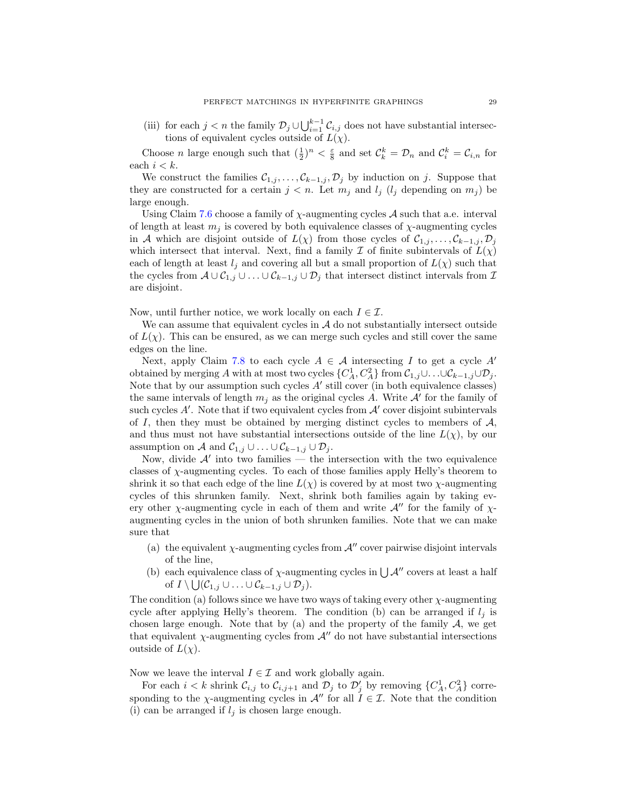(iii) for each  $j < n$  the family  $\mathcal{D}_j \cup \bigcup_{i=1}^{k-1} \mathcal{C}_{i,j}$  does not have substantial intersections of equivalent cycles outside of  $L(\chi)$ .

Choose *n* large enough such that  $(\frac{1}{2})^n < \frac{\varepsilon}{8}$  and set  $C_k^k = \mathcal{D}_n$  and  $C_i^k = \mathcal{C}_{i,n}$  for each  $i < k$ .

We construct the families  $C_{1,j}, \ldots, C_{k-1,j}, D_j$  by induction on j. Suppose that they are constructed for a certain  $j < n$ . Let  $m_j$  and  $l_j$  ( $l_j$  depending on  $m_j$ ) be large enough.

Using Claim [7.6](#page-26-0) choose a family of  $\chi$ -augmenting cycles A such that a.e. interval of length at least  $m_j$  is covered by both equivalence classes of  $\chi$ -augmenting cycles in A which are disjoint outside of  $L(\chi)$  from those cycles of  $C_{1,j},\ldots,C_{k-1,j},\mathcal{D}_j$ which intersect that interval. Next, find a family I of finite subintervals of  $L(\chi)$ each of length at least  $l_i$  and covering all but a small proportion of  $L(\chi)$  such that the cycles from  $A\cup C_{1,j}\cup \ldots \cup C_{k-1,j}\cup \mathcal{D}_j$  that intersect distinct intervals from  $\mathcal I$ are disjoint.

Now, until further notice, we work locally on each  $I \in \mathcal{I}$ .

We can assume that equivalent cycles in  $A$  do not substantially intersect outside of  $L(\chi)$ . This can be ensured, as we can merge such cycles and still cover the same edges on the line.

Next, apply Claim [7.8](#page-27-0) to each cycle  $A \in \mathcal{A}$  intersecting I to get a cycle A' obtained by merging A with at most two cycles  $\{C_A^1, C_A^2\}$  from  $\mathcal{C}_{1,j} \cup \ldots \cup \mathcal{C}_{k-1,j} \cup \mathcal{D}_j$ . Note that by our assumption such cycles  $A'$  still cover (in both equivalence classes) the same intervals of length  $m_j$  as the original cycles A. Write  $\mathcal{A}'$  for the family of such cycles  $A'$ . Note that if two equivalent cycles from  $A'$  cover disjoint subintervals of  $I$ , then they must be obtained by merging distinct cycles to members of  $A$ , and thus must not have substantial intersections outside of the line  $L(\chi)$ , by our assumption on A and  $C_{1,j} \cup ... \cup C_{k-1,j} \cup \mathcal{D}_j$ .

Now, divide  $\mathcal{A}'$  into two families  $\frac{1}{\sqrt{2}}$  the intersection with the two equivalence classes of χ-augmenting cycles. To each of those families apply Helly's theorem to shrink it so that each edge of the line  $L(\chi)$  is covered by at most two  $\chi$ -augmenting cycles of this shrunken family. Next, shrink both families again by taking every other  $\chi$ -augmenting cycle in each of them and write  $\mathcal{A}$ <sup>*u*</sup> for the family of  $\chi$ augmenting cycles in the union of both shrunken families. Note that we can make sure that

- (a) the equivalent  $\chi$ -augmenting cycles from  $\mathcal{A}$ " cover pairwise disjoint intervals of the line,
- (b) each equivalence class of  $\chi$ -augmenting cycles in  $\bigcup \mathcal{A}''$  covers at least a half of  $I \setminus \bigcup (C_{1,j} \cup \ldots \cup C_{k-1,j} \cup \mathcal{D}_j).$

The condition (a) follows since we have two ways of taking every other  $\chi$ -augmenting cycle after applying Helly's theorem. The condition (b) can be arranged if  $l_i$  is chosen large enough. Note that by (a) and the property of the family  $A$ , we get that equivalent  $\chi$ -augmenting cycles from  $\mathcal{A}^{\prime\prime}$  do not have substantial intersections outside of  $L(\chi)$ .

Now we leave the interval  $I \in \mathcal{I}$  and work globally again.

For each  $i < k$  shrink  $\mathcal{C}_{i,j}$  to  $\mathcal{C}_{i,j+1}$  and  $\mathcal{D}_j$  to  $\mathcal{D}'_j$  by removing  $\{C_A^1, C_A^2\}$  corresponding to the  $\chi$ -augmenting cycles in  $\mathcal{A}''$  for all  $\tilde{I} \in \mathcal{I}$ . Note that the condition (i) can be arranged if  $l_j$  is chosen large enough.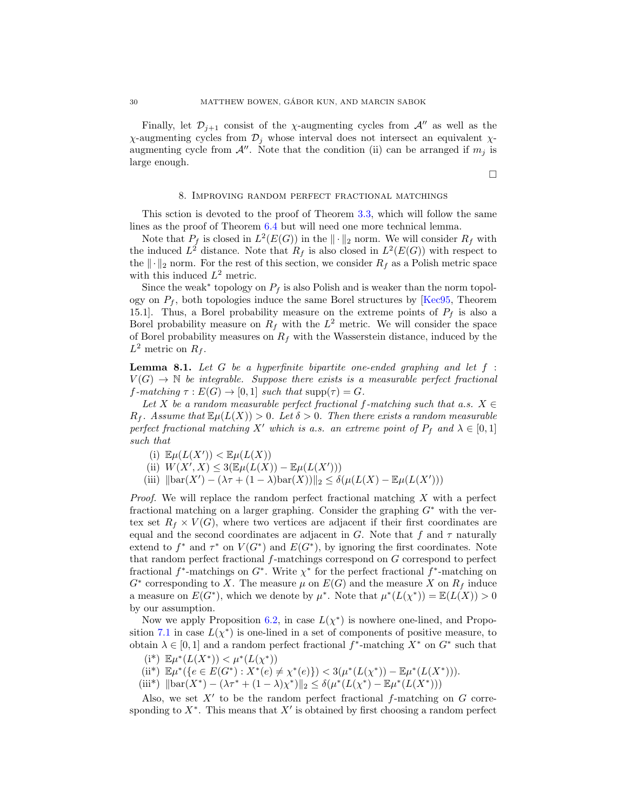Finally, let  $\mathcal{D}_{i+1}$  consist of the *χ*-augmenting cycles from  $\mathcal{A}$ <sup>*u*</sup> as well as the  $χ$ -augmenting cycles from  $\mathcal{D}_j$  whose interval does not intersect an equivalent  $χ$ augmenting cycle from  $A''$ . Note that the condition (ii) can be arranged if  $m_i$  is large enough.

 $\Box$ 

#### 8. Improving random perfect fractional matchings

<span id="page-29-0"></span>This sction is devoted to the proof of Theorem [3.3,](#page-9-0) which will follow the same lines as the proof of Theorem [6.4](#page-20-0) but will need one more technical lemma.

Note that  $P_f$  is closed in  $L^2(E(G))$  in the  $\|\cdot\|_2$  norm. We will consider  $R_f$  with the induced  $L^2$  distance. Note that  $R_f$  is also closed in  $L^2(E(G))$  with respect to the  $\|\cdot\|_2$  norm. For the rest of this section, we consider  $R_f$  as a Polish metric space with this induced  $L^2$  metric.

Since the weak<sup>\*</sup> topology on  $P_f$  is also Polish and is weaker than the norm topology on  $P_f$ , both topologies induce the same Borel structures by [\[Kec95,](#page-42-26) Theorem 15.1]. Thus, a Borel probability measure on the extreme points of  $P_f$  is also a Borel probability measure on  $R_f$  with the  $L^2$  metric. We will consider the space of Borel probability measures on  $R_f$  with the Wasserstein distance, induced by the  $L^2$  metric on  $R_f$ .

<span id="page-29-1"></span>**Lemma 8.1.** Let  $G$  be a hyperfinite bipartite one-ended graphing and let  $f$ :  $V(G) \to \mathbb{N}$  be integrable. Suppose there exists is a measurable perfect fractional  $f\text{-}matching \tau : E(G) \to [0,1] such that supp(\tau) = G.$ 

Let X be a random measurable perfect fractional f-matching such that a.s.  $X \in$  $R_f$ . Assume that  $\mathbb{E}\mu(L(X)) > 0$ . Let  $\delta > 0$ . Then there exists a random measurable perfect fractional matching X' which is a.s. an extreme point of  $P_f$  and  $\lambda \in [0, 1]$ such that

- (i)  $\mathbb{E}\mu(L(X')) < \mathbb{E}\mu(L(X))$
- (ii)  $W(X', X) \leq 3(\mathbb{E}\mu(L(X')) \mathbb{E}\mu(L(X')))$
- (iii)  $\|\text{bar}(X') (\lambda \tau + (1 \lambda) \text{bar}(X))\|_2 \leq \delta(\mu(L(X) \mathbb{E}\mu(L(X')))$

Proof. We will replace the random perfect fractional matching X with a perfect fractional matching on a larger graphing. Consider the graphing  $G^*$  with the vertex set  $R_f \times V(G)$ , where two vertices are adjacent if their first coordinates are equal and the second coordinates are adjacent in G. Note that f and  $\tau$  naturally extend to  $f^*$  and  $\tau^*$  on  $V(G^*)$  and  $E(G^*)$ , by ignoring the first coordinates. Note that random perfect fractional f-matchings correspond on G correspond to perfect fractional  $f^*$ -matchings on  $G^*$ . Write  $\chi^*$  for the perfect fractional  $f^*$ -matching on  $G^*$  corresponding to X. The measure  $\mu$  on  $E(G)$  and the measure X on  $R_f$  induce a measure on  $E(G^*)$ , which we denote by  $\mu^*$ . Note that  $\mu^*(L(\chi^*)) = \mathbb{E}(L(X)) > 0$ by our assumption.

Now we apply Proposition [6.2,](#page-17-0) in case  $L(\chi^*)$  is nowhere one-lined, and Propo-sition [7.1](#page-21-1) in case  $L(\chi^*)$  is one-lined in a set of components of positive measure, to obtain  $\lambda \in [0,1]$  and a random perfect fractional  $f^*$ -matching  $X^*$  on  $G^*$  such that

- (i\*)  $\mathbb{E}\mu^*(L(X^*)) < \mu^*(L(\chi^*))$
- (ii\*)  $\mathbb{E}\mu^*(\{e \in E(G^*) : X^*(e) \neq \chi^*(e)\}) < 3(\mu^*(L(\chi^*)) \mathbb{E}\mu^*(L(X^*))).$
- (iii\*)  $\|\text{bar}(X^*) (\lambda \tau^* + (1 \lambda)\chi^*)\|_2 \leq \delta(\mu^*(L(\chi^*) \mathbb{E}\mu^*(L(X^*)))$

Also, we set  $X'$  to be the random perfect fractional f-matching on  $G$  corresponding to  $X^*$ . This means that  $X'$  is obtained by first choosing a random perfect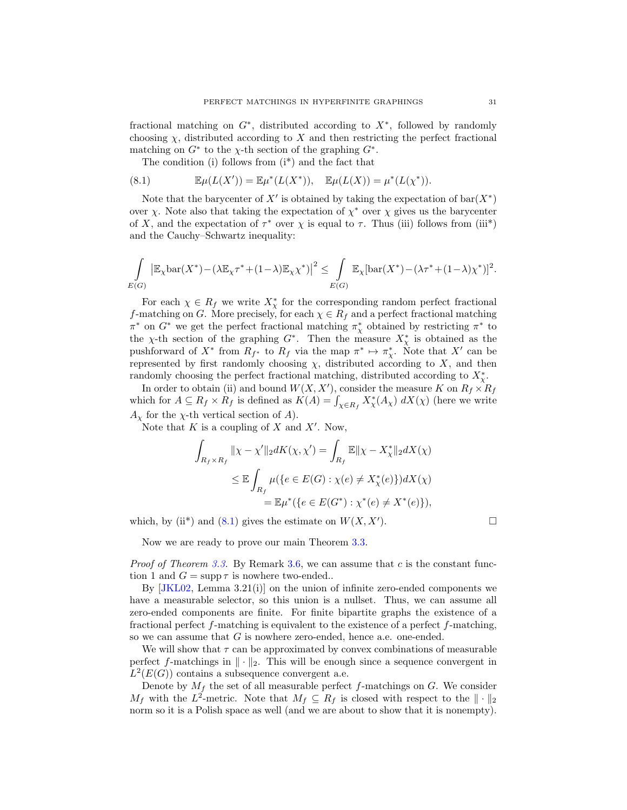fractional matching on  $G^*$ , distributed according to  $X^*$ , followed by randomly choosing  $\chi$ , distributed according to X and then restricting the perfect fractional matching on  $G^*$  to the  $\chi$ -th section of the graphing  $G^*$ .

<span id="page-30-0"></span>The condition  $(i)$  follows from  $(i^*)$  and the fact that

(8.1) 
$$
\mathbb{E}\mu(L(X')) = \mathbb{E}\mu^*(L(X^*)), \quad \mathbb{E}\mu(L(X)) = \mu^*(L(\chi^*)).
$$

Note that the barycenter of X' is obtained by taking the expectation of  $bar(X^*)$ over  $\chi$ . Note also that taking the expectation of  $\chi^*$  over  $\chi$  gives us the barycenter of X, and the expectation of  $\tau^*$  over  $\chi$  is equal to  $\tau$ . Thus (iii) follows from (iii<sup>\*</sup>) and the Cauchy–Schwartz inequality:

$$
\int_{E(G)} \left| \mathbb{E}_{\chi} \text{bar}(X^*) - (\lambda \mathbb{E}_{\chi} \tau^* + (1 - \lambda) \mathbb{E}_{\chi} \chi^*) \right|^2 \leq \int_{E(G)} \mathbb{E}_{\chi} [\text{bar}(X^*) - (\lambda \tau^* + (1 - \lambda) \chi^*)]^2.
$$

For each  $\chi \in R_f$  we write  $X^*_{\chi}$  for the corresponding random perfect fractional f-matching on G. More precisely, for each  $\chi \in R_f$  and a perfect fractional matching  $\pi^*$  on  $G^*$  we get the perfect fractional matching  $\pi^*$  obtained by restricting  $\pi^*$  to the  $\chi$ -th section of the graphing  $G^*$ . Then the measure  $X^*_{\chi}$  is obtained as the pushforward of  $X^*$  from  $R_{f^*}$  to  $R_f$  via the map  $\pi^* \mapsto \pi^*_{\chi}$ . Note that  $X'$  can be represented by first randomly choosing  $\chi$ , distributed according to X, and then randomly choosing the perfect fractional matching, distributed according to  $X^*_{\chi}$ .

In order to obtain (ii) and bound  $W(X, X')$ , consider the measure K on  $R_f \times R_f$ which for  $A \subseteq R_f \times R_f$  is defined as  $K(A) = \int_{\chi \in R_f} X^*_{\chi}(A_{\chi}) dX(\chi)$  (here we write  $A_{\chi}$  for the  $\chi$ -th vertical section of A).

Note that  $K$  is a coupling of  $X$  and  $X'$ . Now,

$$
\int_{R_f \times R_f} ||\chi - \chi'||_2 dK(\chi, \chi') = \int_{R_f} \mathbb{E} ||\chi - X_{\chi}^*||_2 dX(\chi)
$$
  
\n
$$
\leq \mathbb{E} \int_{R_f} \mu(\{e \in E(G) : \chi(e) \neq X_{\chi}^*(e)\}) dX(\chi)
$$
  
\n
$$
= \mathbb{E} \mu^*(\{e \in E(G^*) : \chi^*(e) \neq X^*(e)\}),
$$

which, by (ii<sup>\*</sup>) and [\(8.1\)](#page-30-0) gives the estimate on  $W(X, X')$ .

 $\Box$ 

Now we are ready to prove our main Theorem [3.3.](#page-9-0)

*Proof of Theorem [3.3.](#page-9-0)* By Remark [3.6,](#page-10-3) we can assume that c is the constant function 1 and  $G = \text{supp } \tau$  is nowhere two-ended..

By  $JKL02$ , Lemma 3.21(i) on the union of infinite zero-ended components we have a measurable selector, so this union is a nullset. Thus, we can assume all zero-ended components are finite. For finite bipartite graphs the existence of a fractional perfect f-matching is equivalent to the existence of a perfect f-matching, so we can assume that G is nowhere zero-ended, hence a.e. one-ended.

We will show that  $\tau$  can be approximated by convex combinations of measurable perfect f-matchings in  $\|\cdot\|_2$ . This will be enough since a sequence convergent in  $L^2(E(G))$  contains a subsequence convergent a.e.

Denote by  $M_f$  the set of all measurable perfect  $f$ -matchings on  $G$ . We consider  $M_f$  with the  $L^2$ -metric. Note that  $M_f \subseteq R_f$  is closed with respect to the  $\|\cdot\|_2$ norm so it is a Polish space as well (and we are about to show that it is nonempty).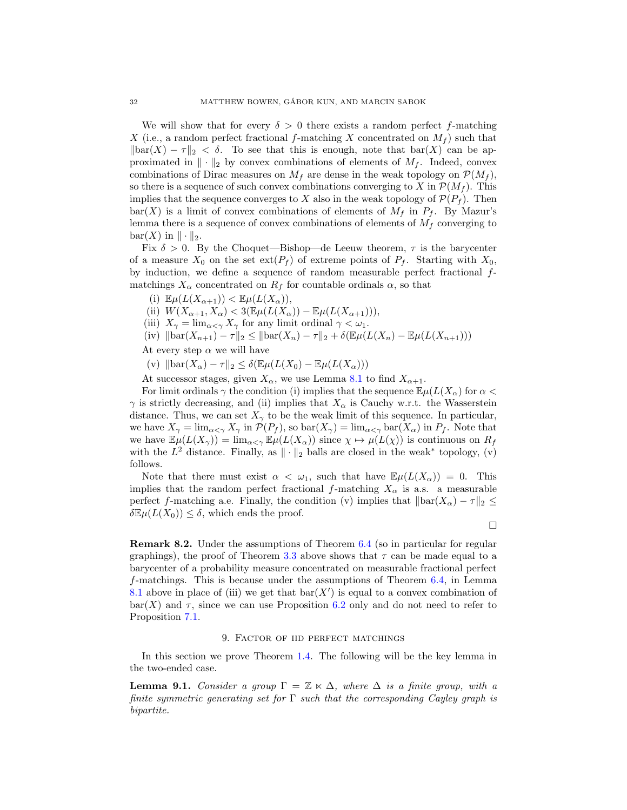We will show that for every  $\delta > 0$  there exists a random perfect f-matching X (i.e., a random perfect fractional f-matching X concentrated on  $M_f$ ) such that  $\|\text{bar}(X) - \tau\|_2 < \delta$ . To see that this is enough, note that  $\text{bar}(X)$  can be approximated in  $\|\cdot\|_2$  by convex combinations of elements of  $M_f$ . Indeed, convex combinations of Dirac measures on  $M_f$  are dense in the weak topology on  $\mathcal{P}(M_f)$ , so there is a sequence of such convex combinations converging to X in  $\mathcal{P}(M_f)$ . This implies that the sequence converges to X also in the weak topology of  $\mathcal{P}(P_f)$ . Then  $bar(X)$  is a limit of convex combinations of elements of  $M_f$  in  $P_f$ . By Mazur's lemma there is a sequence of convex combinations of elements of  $M_f$  converging to  $bar(X)$  in  $\|\cdot\|_2$ .

Fix  $\delta > 0$ . By the Choquet—Bishop—de Leeuw theorem,  $\tau$  is the barycenter of a measure  $X_0$  on the set  $ext(P_f)$  of extreme points of  $P_f$ . Starting with  $X_0$ , by induction, we define a sequence of random measurable perfect fractional fmatchings  $X_{\alpha}$  concentrated on  $R_f$  for countable ordinals  $\alpha$ , so that

(i)  $\mathbb{E}\mu(L(X_{\alpha+1})) < \mathbb{E}\mu(L(X_{\alpha})),$ 

(ii)  $W(X_{\alpha+1}, X_{\alpha}) < 3(\mathbb{E}\mu(L(X_{\alpha})) - \mathbb{E}\mu(L(X_{\alpha+1}))),$ 

- (iii)  $X_{\gamma} = \lim_{\alpha \leq \gamma} X_{\gamma}$  for any limit ordinal  $\gamma < \omega_1$ .
- (iv)  $\|\text{bar}(X_{n+1}) \tau\|_2 \le \|\text{bar}(X_n) \tau\|_2 + \delta(\mathbb{E}\mu(L(X_n) \mathbb{E}\mu(L(X_{n+1})))$

At every step  $\alpha$  we will have

(v)  $\|\text{bar}(X_{\alpha}) - \tau\|_2 \leq \delta(\mathbb{E}\mu(L(X_0) - \mathbb{E}\mu(L(X_{\alpha})))$ 

At successor stages, given  $X_{\alpha}$ , we use Lemma [8.1](#page-29-1) to find  $X_{\alpha+1}$ .

For limit ordinals  $\gamma$  the condition (i) implies that the sequence  $\mathbb{E}\mu(L(X_{\alpha}))$  for  $\alpha$  $\gamma$  is strictly decreasing, and (ii) implies that  $X_{\alpha}$  is Cauchy w.r.t. the Wasserstein distance. Thus, we can set  $X_{\gamma}$  to be the weak limit of this sequence. In particular, we have  $X_{\gamma} = \lim_{\alpha \le \gamma} X_{\gamma}$  in  $\mathcal{P}(P_f)$ , so  $\text{bar}(X_{\gamma}) = \lim_{\alpha \le \gamma} \text{bar}(X_{\alpha})$  in  $P_f$ . Note that we have  $\mathbb{E}\mu(L(X_{\gamma})) = \lim_{\alpha \leq \gamma} \mathbb{E}\mu(L(X_{\alpha}))$  since  $\chi \mapsto \mu(L(\chi))$  is continuous on  $R_f$ with the  $L^2$  distance. Finally, as  $\|\cdot\|_2$  balls are closed in the weak<sup>\*</sup> topology, (v) follows.

Note that there must exist  $\alpha < \omega_1$ , such that have  $\mathbb{E}\mu(L(X_\alpha)) = 0$ . This implies that the random perfect fractional f-matching  $X_{\alpha}$  is a.s. a measurable perfect f-matching a.e. Finally, the condition (v) implies that  $\|\text{bar}(X_{\alpha}) - \tau\|_2 \leq$  $\delta \mathbb{E} \mu(L(X_0)) \leq \delta$ , which ends the proof.

 $\Box$ 

<span id="page-31-1"></span>Remark 8.2. Under the assumptions of Theorem [6.4](#page-20-0) (so in particular for regular graphings), the proof of Theorem [3.3](#page-9-0) above shows that  $\tau$  can be made equal to a barycenter of a probability measure concentrated on measurable fractional perfect f-matchings. This is because under the assumptions of Theorem [6.4,](#page-20-0) in Lemma [8.1](#page-29-1) above in place of (iii) we get that  $bar(X')$  is equal to a convex combination of  $bar(X)$  and  $\tau$ , since we can use Proposition [6.2](#page-17-0) only and do not need to refer to Proposition [7.1.](#page-21-1)

## 9. Factor of iid perfect matchings

<span id="page-31-0"></span>In this section we prove Theorem [1.4.](#page-2-0) The following will be the key lemma in the two-ended case.

<span id="page-31-2"></span>**Lemma 9.1.** Consider a group  $\Gamma = \mathbb{Z} \ltimes \Delta$ , where  $\Delta$  is a finite group, with a finite symmetric generating set for  $\Gamma$  such that the corresponding Cayley graph is bipartite.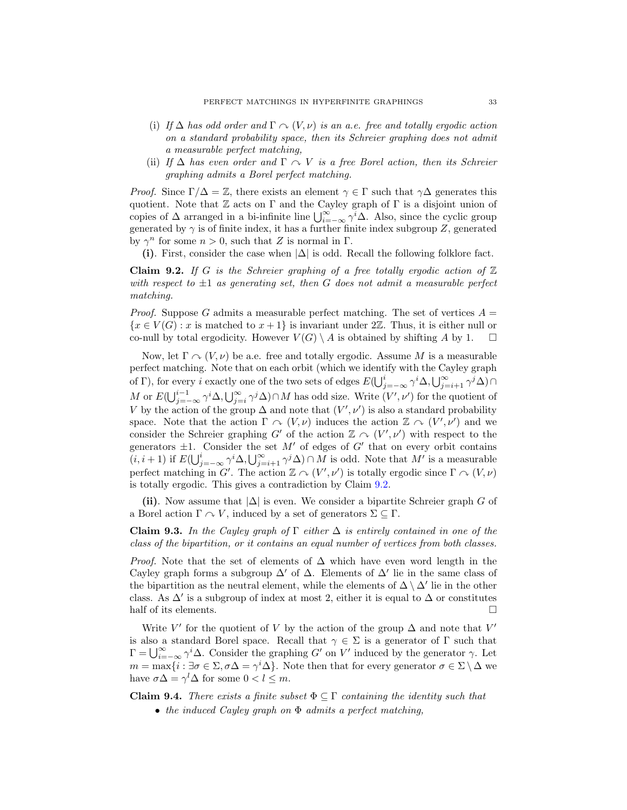- (i) If  $\Delta$  has odd order and  $\Gamma \sim (V, \nu)$  is an a.e. free and totally ergodic action on a standard probability space, then its Schreier graphing does not admit a measurable perfect matching,
- (ii) If  $\Delta$  has even order and  $\Gamma \sim V$  is a free Borel action, then its Schreier graphing admits a Borel perfect matching.

*Proof.* Since  $\Gamma/\Delta = \mathbb{Z}$ , there exists an element  $\gamma \in \Gamma$  such that  $\gamma\Delta$  generates this quotient. Note that  $\mathbb Z$  acts on  $\Gamma$  and the Cayley graph of  $\Gamma$  is a disjoint union of copies of  $\Delta$  arranged in a bi-infinite line  $\bigcup_{i=-\infty}^{\infty} \gamma^{i} \Delta$ . Also, since the cyclic group generated by  $\gamma$  is of finite index, it has a further finite index subgroup Z, generated by  $\gamma^n$  for some  $n > 0$ , such that Z is normal in  $\Gamma$ .

(i). First, consider the case when  $|\Delta|$  is odd. Recall the following folklore fact.

<span id="page-32-0"></span>**Claim 9.2.** If G is the Schreier graphing of a free totally ergodic action of  $\mathbb{Z}$ with respect to  $\pm 1$  as generating set, then G does not admit a measurable perfect matching.

*Proof.* Suppose G admits a measurable perfect matching. The set of vertices  $A =$  ${x \in V(G) : x$  is matched to  $x+1$  is invariant under 2Z. Thus, it is either null or co-null by total ergodicity. However  $V(G) \setminus A$  is obtained by shifting A by 1.  $\square$ 

Now, let  $\Gamma \cap (V, \nu)$  be a.e. free and totally ergodic. Assume M is a measurable perfect matching. Note that on each orbit (which we identify with the Cayley graph of Γ), for every *i* exactly one of the two sets of edges  $E(\bigcup_{j=-\infty}^{i} \gamma^{i} \Delta, \bigcup_{j=i+1}^{\infty} \gamma^{j} \Delta) \cap$ M or  $E(\bigcup_{j=-\infty}^{i-1} \gamma^i \Delta, \bigcup_{j=i}^{\infty} \gamma^j \Delta) \cap M$  has odd size. Write  $(V', \nu')$  for the quotient of V by the action of the group  $\Delta$  and note that  $(V', \nu')$  is also a standard probability space. Note that the action  $\Gamma \curvearrowright (V, \nu)$  induces the action  $\mathbb{Z} \curvearrowright (V', \nu')$  and we consider the Schreier graphing  $G'$  of the action  $\mathbb{Z} \curvearrowright (V', \nu')$  with respect to the generators  $\pm 1$ . Consider the set M' of edges of G' that on every orbit contains  $(i, i+1)$  if  $E(\bigcup_{j=-\infty}^{i} \gamma^{j} \Delta, \bigcup_{j=i+1}^{\infty} \gamma^{j} \Delta) \cap M$  is odd. Note that  $M'$  is a measurable perfect matching in G'. The action  $\mathbb{Z} \curvearrowright (V', \nu')$  is totally ergodic since  $\Gamma \curvearrowright (V, \nu)$ is totally ergodic. This gives a contradiction by Claim [9.2.](#page-32-0)

(ii). Now assume that  $|\Delta|$  is even. We consider a bipartite Schreier graph G of a Borel action  $\Gamma \cap V$ , induced by a set of generators  $\Sigma \subseteq \Gamma$ .

<span id="page-32-1"></span>**Claim 9.3.** In the Cayley graph of  $\Gamma$  either  $\Delta$  is entirely contained in one of the class of the bipartition, or it contains an equal number of vertices from both classes.

*Proof.* Note that the set of elements of  $\Delta$  which have even word length in the Cayley graph forms a subgroup  $\Delta'$  of  $\Delta$ . Elements of  $\Delta'$  lie in the same class of the bipartition as the neutral element, while the elements of  $\Delta \setminus \Delta'$  lie in the other class. As  $\Delta'$  is a subgroup of index at most 2, either it is equal to  $\Delta$  or constitutes half of its elements.  $\Box$ 

Write V' for the quotient of V by the action of the group  $\Delta$  and note that V' is also a standard Borel space. Recall that  $\gamma \in \Sigma$  is a generator of  $\Gamma$  such that  $\Gamma = \bigcup_{i=-\infty}^{\infty} \gamma^i \Delta$ . Consider the graphing G' on V' induced by the generator  $\gamma$ . Let  $m = \max\{i : \exists \sigma \in \Sigma, \sigma \Delta = \gamma^i \Delta\}.$  Note then that for every generator  $\sigma \in \Sigma \setminus \Delta$  we have  $\sigma \Delta = \gamma^l \Delta$  for some  $0 < l \leq m$ .

<span id="page-32-2"></span>**Claim 9.4.** There exists a finite subset  $\Phi \subseteq \Gamma$  containing the identity such that

• the induced Cayley graph on Φ admits a perfect matching,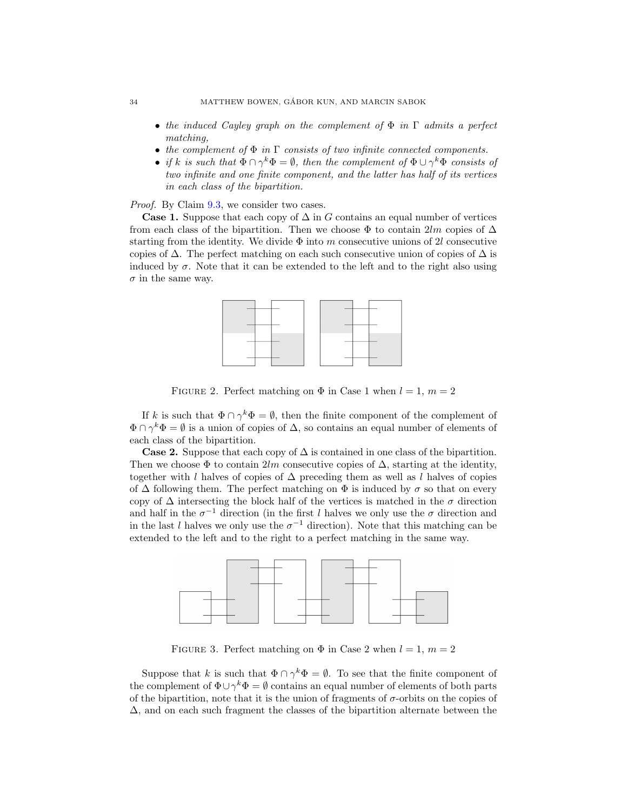- the induced Cayley graph on the complement of  $\Phi$  in  $\Gamma$  admits a perfect matching,
- the complement of  $\Phi$  in  $\Gamma$  consists of two infinite connected components.
- if k is such that  $\Phi \cap \gamma^k \Phi = \emptyset$ , then the complement of  $\Phi \cup \gamma^k \Phi$  consists of two infinite and one finite component, and the latter has half of its vertices in each class of the bipartition.

Proof. By Claim [9.3,](#page-32-1) we consider two cases.

**Case 1.** Suppose that each copy of  $\Delta$  in G contains an equal number of vertices from each class of the bipartition. Then we choose  $\Phi$  to contain 2lm copies of  $\Delta$ starting from the identity. We divide  $\Phi$  into m consecutive unions of 2l consecutive copies of  $\Delta$ . The perfect matching on each such consecutive union of copies of  $\Delta$  is induced by  $\sigma$ . Note that it can be extended to the left and to the right also using  $\sigma$  in the same way.



FIGURE 2. Perfect matching on  $\Phi$  in Case 1 when  $l = 1, m = 2$ 

If k is such that  $\Phi \cap \gamma^k \Phi = \emptyset$ , then the finite component of the complement of  $\Phi \cap \gamma^k \Phi = \emptyset$  is a union of copies of  $\Delta$ , so contains an equal number of elements of each class of the bipartition.

**Case 2.** Suppose that each copy of  $\Delta$  is contained in one class of the bipartition. Then we choose  $\Phi$  to contain 2lm consecutive copies of  $\Delta$ , starting at the identity, together with l halves of copies of  $\Delta$  preceding them as well as l halves of copies of  $\Delta$  following them. The perfect matching on  $\Phi$  is induced by  $\sigma$  so that on every copy of  $\Delta$  intersecting the block half of the vertices is matched in the  $\sigma$  direction and half in the  $\sigma^{-1}$  direction (in the first l halves we only use the  $\sigma$  direction and in the last l halves we only use the  $\sigma^{-1}$  direction). Note that this matching can be extended to the left and to the right to a perfect matching in the same way.



FIGURE 3. Perfect matching on  $\Phi$  in Case 2 when  $l = 1, m = 2$ 

Suppose that k is such that  $\Phi \cap \gamma^k \Phi = \emptyset$ . To see that the finite component of the complement of  $\Phi \cup \gamma^k \Phi = \emptyset$  contains an equal number of elements of both parts of the bipartition, note that it is the union of fragments of  $\sigma$ -orbits on the copies of ∆, and on each such fragment the classes of the bipartition alternate between the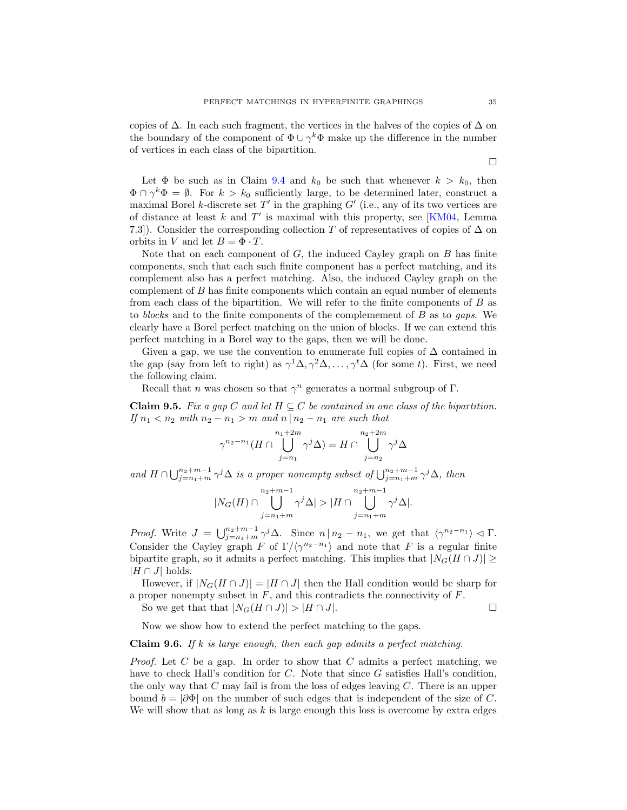copies of  $\Delta$ . In each such fragment, the vertices in the halves of the copies of  $\Delta$  on the boundary of the component of  $\Phi \cup \gamma^k \Phi$  make up the difference in the number of vertices in each class of the bipartition.

Let  $\Phi$  be such as in Claim [9.4](#page-32-2) and  $k_0$  be such that whenever  $k > k_0$ , then  $\Phi \cap \gamma^k \Phi = \emptyset$ . For  $k > k_0$  sufficiently large, to be determined later, construct a maximal Borel k-discrete set  $T'$  in the graphing  $G'$  (i.e., any of its two vertices are of distance at least  $k$  and  $T'$  is maximal with this property, see [\[KM04,](#page-42-3) Lemma 7.3]). Consider the corresponding collection T of representatives of copies of  $\Delta$  on orbits in V and let  $B = \Phi \cdot T$ .

Note that on each component of  $G$ , the induced Cayley graph on  $B$  has finite components, such that each such finite component has a perfect matching, and its complement also has a perfect matching. Also, the induced Cayley graph on the complement of B has finite components which contain an equal number of elements from each class of the bipartition. We will refer to the finite components of B as to blocks and to the finite components of the complemement of B as to gaps. We clearly have a Borel perfect matching on the union of blocks. If we can extend this perfect matching in a Borel way to the gaps, then we will be done.

Given a gap, we use the convention to enumerate full copies of  $\Delta$  contained in the gap (say from left to right) as  $\gamma^1 \Delta, \gamma^2 \Delta, \ldots, \gamma^t \Delta$  (for some t). First, we need the following claim.

Recall that *n* was chosen so that  $\gamma^n$  generates a normal subgroup of  $\Gamma$ .

**Claim 9.5.** Fix a gap C and let  $H \subseteq C$  be contained in one class of the bipartition. If  $n_1 < n_2$  with  $n_2 - n_1 > m$  and  $n \mid n_2 - n_1$  are such that

$$
\gamma^{n_2-n_1}(H \cap \bigcup_{j=n_1}^{n_1+2m} \gamma^j \Delta) = H \cap \bigcup_{j=n_2}^{n_2+2m} \gamma^j \Delta
$$

and  $H \cap \bigcup_{j=n_1+m}^{n_2+m-1} \gamma^j \Delta$  is a proper nonempty subset of  $\bigcup_{j=n_1+m}^{n_2+m-1} \gamma^j \Delta$ , then

$$
|N_G(H)\cap \bigcup_{j=n_1+m}^{n_2+m-1}\gamma^j\Delta|> |H\cap \bigcup_{j=n_1+m}^{n_2+m-1}\gamma^j\Delta|.
$$

Proof. Write  $J = \bigcup_{j=n_1+m}^{n_2+m-1} \gamma^j \Delta$ . Since  $n \mid n_2 - n_1$ , we get that  $\langle \gamma^{n_2-n_1} \rangle \triangleleft \Gamma$ . Consider the Cayley graph F of  $\Gamma/\langle \gamma^{n_2-n_1} \rangle$  and note that F is a regular finite bipartite graph, so it admits a perfect matching. This implies that  $|N_G(H \cap J)| \ge$  $|H \cap J|$  holds.

However, if  $|N_G(H \cap J)| = |H \cap J|$  then the Hall condition would be sharp for a proper nonempty subset in  $F$ , and this contradicts the connectivity of  $F$ .

So we get that that  $|N_G(H \cap J)| > |H \cap J|$ .

Now we show how to extend the perfect matching to the gaps.

### <span id="page-34-0"></span>**Claim 9.6.** If k is large enough, then each gap admits a perfect matching.

*Proof.* Let C be a gap. In order to show that C admits a perfect matching, we have to check Hall's condition for C. Note that since G satisfies Hall's condition, the only way that  $C$  may fail is from the loss of edges leaving  $C$ . There is an upper bound  $b = |\partial \Phi|$  on the number of such edges that is independent of the size of C. We will show that as long as  $k$  is large enough this loss is overcome by extra edges

 $\Box$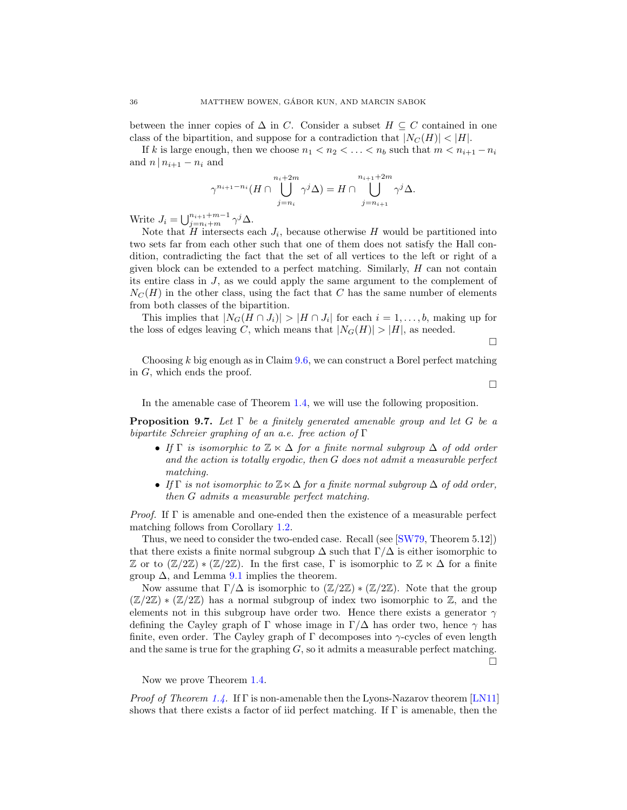between the inner copies of  $\Delta$  in C. Consider a subset  $H \subseteq C$  contained in one class of the bipartition, and suppose for a contradiction that  $|N_C(H)| < |H|$ .

If k is large enough, then we choose  $n_1 < n_2 < \ldots < n_b$  such that  $m < n_{i+1} - n_i$ and  $n \mid n_{i+1} - n_i$  and

$$
\gamma^{n_{i+1}-n_i}(H \cap \bigcup_{j=n_i}^{n_i+2m} \gamma^j \Delta) = H \cap \bigcup_{j=n_{i+1}}^{n_{i+1}+2m} \gamma^j \Delta.
$$

Write  $J_i = \bigcup_{j=n_i+m}^{n_{i+1}+m-1} \gamma^j \Delta$ .

Note that  $H$  intersects each  $J_i$ , because otherwise  $H$  would be partitioned into two sets far from each other such that one of them does not satisfy the Hall condition, contradicting the fact that the set of all vertices to the left or right of a given block can be extended to a perfect matching. Similarly, H can not contain its entire class in J, as we could apply the same argument to the complement of  $N<sub>C</sub>(H)$  in the other class, using the fact that C has the same number of elements from both classes of the bipartition.

This implies that  $|N_G(H \cap J_i)| > |H \cap J_i|$  for each  $i = 1, \ldots, b$ , making up for the loss of edges leaving C, which means that  $|N_G(H)| > |H|$ , as needed.

 $\Box$ 

Choosing  $k$  big enough as in Claim [9.6,](#page-34-0) we can construct a Borel perfect matching in G, which ends the proof.

 $\Box$ 

In the amenable case of Theorem [1.4,](#page-2-0) we will use the following proposition.

<span id="page-35-0"></span>**Proposition 9.7.** Let  $\Gamma$  be a finitely generated amenable group and let G be a bipartite Schreier graphing of an a.e. free action of  $\Gamma$ 

- If  $\Gamma$  is isomorphic to  $\mathbb{Z} \ltimes \Delta$  for a finite normal subgroup  $\Delta$  of odd order and the action is totally ergodic, then G does not admit a measurable perfect matching.
- If  $\Gamma$  is not isomorphic to  $\mathbb{Z}\ltimes\Delta$  for a finite normal subgroup  $\Delta$  of odd order, then G admits a measurable perfect matching.

*Proof.* If  $\Gamma$  is amenable and one-ended then the existence of a measurable perfect matching follows from Corollary [1.2.](#page-1-2)

Thus, we need to consider the two-ended case. Recall (see [\[SW79,](#page-43-14) Theorem 5.12]) that there exists a finite normal subgroup  $\Delta$  such that  $\Gamma/\Delta$  is either isomorphic to Z or to  $(\mathbb{Z}/2\mathbb{Z})$  \*  $(\mathbb{Z}/2\mathbb{Z})$ . In the first case,  $\Gamma$  is isomorphic to  $\mathbb{Z} \ltimes \Delta$  for a finite group  $\Delta$ , and Lemma [9.1](#page-31-2) implies the theorem.

Now assume that  $\Gamma/\Delta$  is isomorphic to  $(\mathbb{Z}/2\mathbb{Z}) \times (\mathbb{Z}/2\mathbb{Z})$ . Note that the group  $(\mathbb{Z}/2\mathbb{Z}) * (\mathbb{Z}/2\mathbb{Z})$  has a normal subgroup of index two isomorphic to  $\mathbb{Z}$ , and the elements not in this subgroup have order two. Hence there exists a generator  $\gamma$ defining the Cayley graph of Γ whose image in  $\Gamma/\Delta$  has order two, hence  $\gamma$  has finite, even order. The Cayley graph of  $\Gamma$  decomposes into  $\gamma$ -cycles of even length and the same is true for the graphing  $G$ , so it admits a measurable perfect matching.  $\Box$ 

Now we prove Theorem [1.4.](#page-2-0)

*Proof of Theorem [1.4.](#page-2-0)* If  $\Gamma$  is non-amenable then the Lyons-Nazarov theorem [\[LN11\]](#page-43-5) shows that there exists a factor of iid perfect matching. If Γ is amenable, then the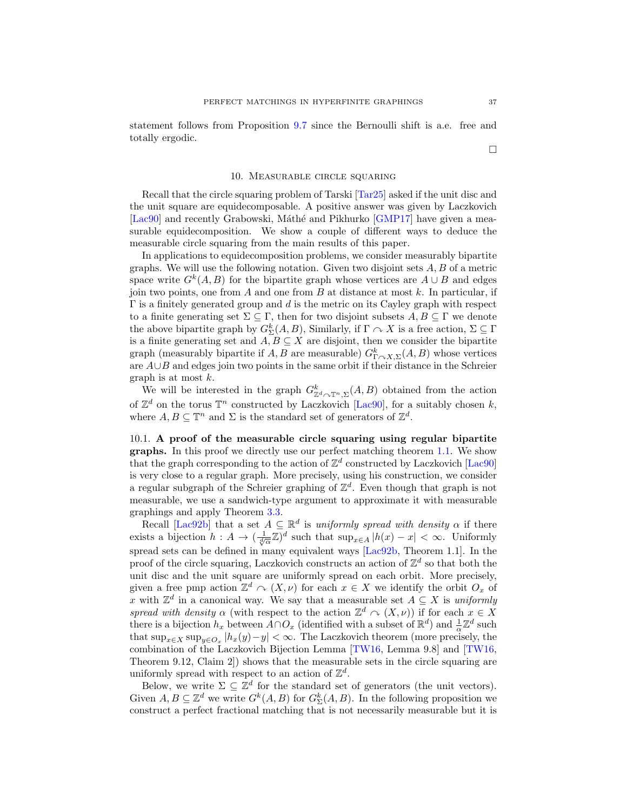statement follows from Proposition [9.7](#page-35-0) since the Bernoulli shift is a.e. free and totally ergodic.

 $\Box$ 

### 10. Measurable circle squaring

<span id="page-36-0"></span>Recall that the circle squaring problem of Tarski [\[Tar25\]](#page-43-23) asked if the unit disc and the unit square are equidecomposable. A positive answer was given by Laczkovich [\[Lac90\]](#page-43-8) and recently Grabowski, Máthé and Pikhurko [\[GMP17\]](#page-42-10) have given a measurable equidecomposition. We show a couple of different ways to deduce the measurable circle squaring from the main results of this paper.

In applications to equidecomposition problems, we consider measurably bipartite graphs. We will use the following notation. Given two disjoint sets  $A, B$  of a metric space write  $G^k(A, B)$  for the bipartite graph whose vertices are  $A \cup B$  and edges join two points, one from  $A$  and one from  $B$  at distance at most  $k$ . In particular, if  $\Gamma$  is a finitely generated group and d is the metric on its Cayley graph with respect to a finite generating set  $\Sigma \subseteq \Gamma$ , then for two disjoint subsets  $A, B \subseteq \Gamma$  we denote the above bipartite graph by  $G_{\Sigma}^{k}(A, B)$ , Similarly, if  $\Gamma \curvearrowright X$  is a free action,  $\Sigma \subseteq \Gamma$ is a finite generating set and  $A, B \subseteq X$  are disjoint, then we consider the bipartite graph (measurably bipartite if  $A, B$  are measurable)  $G_{\Gamma \curvearrowright X, \Sigma}^k(A, B)$  whose vertices are A∪B and edges join two points in the same orbit if their distance in the Schreier graph is at most  $k$ .

We will be interested in the graph  $G^k_{\mathbb{Z}^d \curvearrowright \mathbb{T}^n, \Sigma}(A, B)$  obtained from the action of  $\mathbb{Z}^d$  on the torus  $\mathbb{T}^n$  constructed by Laczkovich [\[Lac90\]](#page-43-8), for a suitably chosen k, where  $A, B \subseteq \mathbb{T}^n$  and  $\Sigma$  is the standard set of generators of  $\mathbb{Z}^d$ .

10.1. A proof of the measurable circle squaring using regular bipartite graphs. In this proof we directly use our perfect matching theorem [1.1.](#page-1-0) We show that the graph corresponding to the action of  $\mathbb{Z}^d$  constructed by Laczkovich [\[Lac90\]](#page-43-8) is very close to a regular graph. More precisely, using his construction, we consider a regular subgraph of the Schreier graphing of  $\mathbb{Z}^d$ . Even though that graph is not measurable, we use a sandwich-type argument to approximate it with measurable graphings and apply Theorem [3.3.](#page-9-0)

Recall [\[Lac92b\]](#page-43-24) that a set  $A \subseteq \mathbb{R}^d$  is uniformly spread with density  $\alpha$  if there exists a bijection  $h: A \to (\frac{1}{\sqrt[d]{\alpha}} \mathbb{Z})^d$  such that  $\sup_{x \in A} |h(x) - x| < \infty$ . Uniformly spread sets can be defined in many equivalent ways [\[Lac92b,](#page-43-24) Theorem 1.1]. In the proof of the circle squaring, Laczkovich constructs an action of  $\mathbb{Z}^d$  so that both the unit disc and the unit square are uniformly spread on each orbit. More precisely, given a free pmp action  $\mathbb{Z}^d \cap (X, \nu)$  for each  $x \in X$  we identify the orbit  $O_x$  of x with  $\mathbb{Z}^d$  in a canonical way. We say that a measurable set  $A \subseteq X$  is uniformly spread with density  $\alpha$  (with respect to the action  $\mathbb{Z}^d \cap (X, \nu)$ ) if for each  $x \in X$ there is a bijection  $h_x$  between  $A \cap O_x$  (identified with a subset of  $\mathbb{R}^d$ ) and  $\frac{1}{\alpha} \mathbb{Z}^d$  such that  $\sup_{x \in X} \sup_{y \in O_x} |h_x(y) - y| < \infty$ . The Laczkovich theorem (more precisely, the combination of the Laczkovich Bijection Lemma [\[TW16,](#page-43-25) Lemma 9.8] and [\[TW16,](#page-43-25) Theorem 9.12, Claim 2]) shows that the measurable sets in the circle squaring are uniformly spread with respect to an action of  $\mathbb{Z}^d$ .

Below, we write  $\Sigma \subseteq \mathbb{Z}^d$  for the standard set of generators (the unit vectors). Given  $A, B \subseteq \mathbb{Z}^d$  we write  $G^k(A, B)$  for  $G^k_{\Sigma}(A, B)$ . In the following proposition we construct a perfect fractional matching that is not necessarily measurable but it is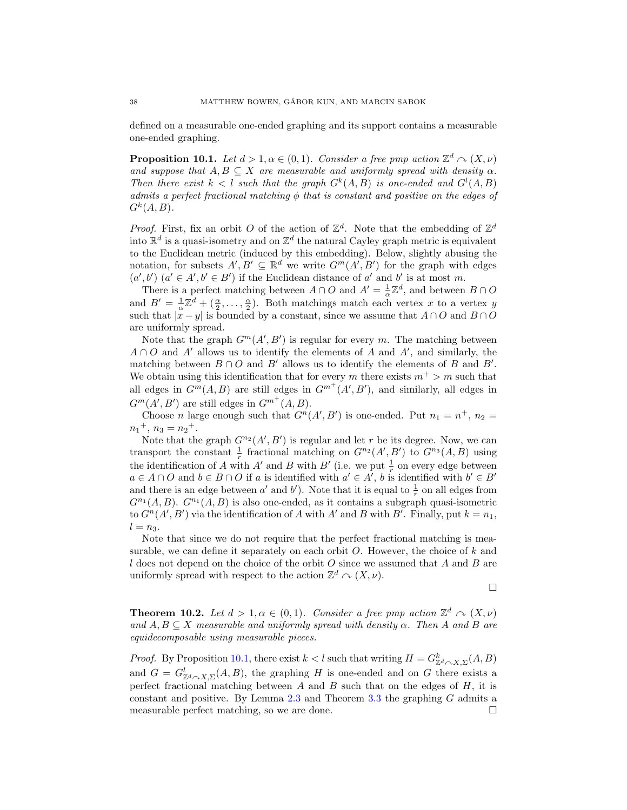defined on a measurable one-ended graphing and its support contains a measurable one-ended graphing.

<span id="page-37-0"></span>**Proposition 10.1.** Let  $d > 1, \alpha \in (0, 1)$ . Consider a free pmp action  $\mathbb{Z}^d \cap (X, \nu)$ and suppose that  $A, B \subseteq X$  are measurable and uniformly spread with density  $\alpha$ . Then there exist  $k < l$  such that the graph  $G^k(A, B)$  is one-ended and  $G^l(A, B)$ admits a perfect fractional matching  $\phi$  that is constant and positive on the edges of  $G^k(A, B)$ .

*Proof.* First, fix an orbit O of the action of  $\mathbb{Z}^d$ . Note that the embedding of  $\mathbb{Z}^d$ into  $\mathbb{R}^d$  is a quasi-isometry and on  $\mathbb{Z}^d$  the natural Cayley graph metric is equivalent to the Euclidean metric (induced by this embedding). Below, slightly abusing the notation, for subsets  $A', B' \subseteq \mathbb{R}^d$  we write  $G^m(A', B')$  for the graph with edges  $(a', b')$   $(a' \in A', b' \in B')$  if the Euclidean distance of a' and b' is at most m.

There is a perfect matching between  $A \cap O$  and  $A' = \frac{1}{\alpha} \mathbb{Z}^d$ , and between  $B \cap O$ and  $B' = \frac{1}{\alpha} \mathbb{Z}^d + (\frac{\alpha}{2}, \dots, \frac{\alpha}{2})$ . Both matchings match each vertex x to a vertex y such that  $|x - y|$  is bounded by a constant, since we assume that  $A \cap O$  and  $B \cap O$ are uniformly spread.

Note that the graph  $G^m(A', B')$  is regular for every m. The matching between  $A \cap O$  and  $A'$  allows us to identify the elements of A and  $A'$ , and similarly, the matching between  $B \cap O$  and  $B'$  allows us to identify the elements of B and B'. We obtain using this identification that for every m there exists  $m^+ > m$  such that all edges in  $G^m(A, B)$  are still edges in  $G^{m^+}(A', B')$ , and similarly, all edges in  $G^m(A', B')$  are still edges in  $G^{m^+}(A, B)$ .

Choose *n* large enough such that  $G<sup>n</sup>(A', B')$  is one-ended. Put  $n_1 = n^+, n_2 =$  $n_1$ <sup>+</sup>,  $n_3 = n_2$ <sup>+</sup>.

Note that the graph  $G^{n_2}(A', B')$  is regular and let r be its degree. Now, we can transport the constant  $\frac{1}{r}$  fractional matching on  $G^{n_2}(A',B')$  to  $G^{n_3}(A,B)$  using the identification of A with A' and B with B' (i.e. we put  $\frac{1}{r}$  on every edge between  $a \in A \cap O$  and  $b \in B \cap O$  if a is identified with  $a' \in A'$ , b is identified with  $b' \in B'$ and there is an edge between  $a'$  and  $b'$ ). Note that it is equal to  $\frac{1}{r}$  on all edges from  $G^{n_1}(A, B)$ .  $G^{n_1}(A, B)$  is also one-ended, as it contains a subgraph quasi-isometric to  $G<sup>n</sup>(A', B')$  via the identification of A with A' and B with B'. Finally, put  $k = n_1$ ,  $l = n_3$ .

Note that since we do not require that the perfect fractional matching is measurable, we can define it separately on each orbit  $O$ . However, the choice of  $k$  and l does not depend on the choice of the orbit  $O$  since we assumed that  $A$  and  $B$  are uniformly spread with respect to the action  $\mathbb{Z}^d \curvearrowright (X, \nu)$ .

 $\Box$ 

<span id="page-37-1"></span>**Theorem 10.2.** Let  $d > 1, \alpha \in (0,1)$ . Consider a free pmp action  $\mathbb{Z}^d \cap (X, \nu)$ and  $A, B \subseteq X$  measurable and uniformly spread with density  $\alpha$ . Then A and B are equidecomposable using measurable pieces.

*Proof.* By Proposition [10.1,](#page-37-0) there exist  $k < l$  such that writing  $H = G_{\mathbb{Z}^d \curvearrowright X, \Sigma}^k(A, B)$ and  $G = G^l_{\mathbb{Z}^d \curvearrowright X, \Sigma} (A, B)$ , the graphing H is one-ended and on G there exists a perfect fractional matching between A and B such that on the edges of  $H$ , it is constant and positive. By Lemma [2.3](#page-6-1) and Theorem [3.3](#page-9-0) the graphing G admits a measurable perfect matching, so we are done.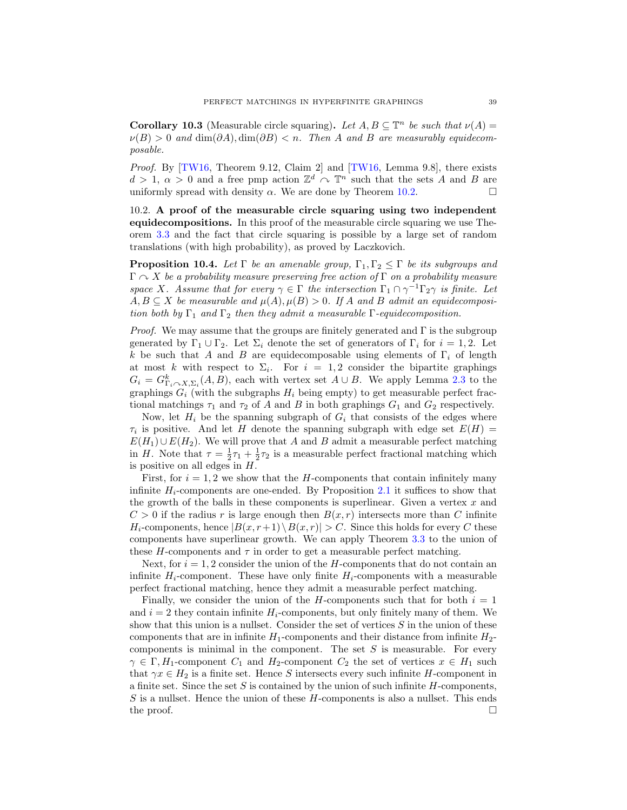**Corollary 10.3** (Measurable circle squaring). Let  $A, B \subseteq \mathbb{T}^n$  be such that  $\nu(A) =$  $\nu(B) > 0$  and  $\dim(\partial A), \dim(\partial B) < n$ . Then A and B are measurably equidecomposable.

Proof. By [\[TW16,](#page-43-25) Theorem 9.12, Claim 2] and [\[TW16,](#page-43-25) Lemma 9.8], there exists  $d > 1, \alpha > 0$  and a free pmp action  $\mathbb{Z}^d \cap \mathbb{T}^n$  such that the sets A and B are uniformly spread with density  $\alpha$ . We are done by Theorem [10.2.](#page-37-1)

10.2. A proof of the measurable circle squaring using two independent equidecompositions. In this proof of the measurable circle squaring we use Theorem [3.3](#page-9-0) and the fact that circle squaring is possible by a large set of random translations (with high probability), as proved by Laczkovich.

<span id="page-38-0"></span>**Proposition 10.4.** Let  $\Gamma$  be an amenable group,  $\Gamma_1, \Gamma_2 \leq \Gamma$  be its subgroups and  $\Gamma \curvearrowright X$  be a probability measure preserving free action of  $\Gamma$  on a probability measure space X. Assume that for every  $\gamma \in \Gamma$  the intersection  $\Gamma_1 \cap \gamma^{-1} \Gamma_2 \gamma$  is finite. Let  $A, B \subseteq X$  be measurable and  $\mu(A), \mu(B) > 0$ . If A and B admit an equidecomposition both by  $\Gamma_1$  and  $\Gamma_2$  then they admit a measurable  $\Gamma$ -equidecomposition.

*Proof.* We may assume that the groups are finitely generated and  $\Gamma$  is the subgroup generated by  $\Gamma_1 \cup \Gamma_2$ . Let  $\Sigma_i$  denote the set of generators of  $\Gamma_i$  for  $i = 1, 2$ . Let k be such that A and B are equidecomposable using elements of  $\Gamma_i$  of length at most k with respect to  $\Sigma_i$ . For  $i = 1, 2$  consider the bipartite graphings  $G_i = G_{\Gamma_i \cap X, \Sigma_i}^k(A, B)$ , each with vertex set  $A \cup B$ . We apply Lemma [2.3](#page-6-1) to the graphings  $G_i$  (with the subgraphs  $H_i$  being empty) to get measurable perfect fractional matchings  $\tau_1$  and  $\tau_2$  of A and B in both graphings  $G_1$  and  $G_2$  respectively.

Now, let  $H_i$  be the spanning subgraph of  $G_i$  that consists of the edges where  $\tau_i$  is positive. And let H denote the spanning subgraph with edge set  $E(H)$  =  $E(H_1) \cup E(H_2)$ . We will prove that A and B admit a measurable perfect matching in H. Note that  $\tau = \frac{1}{2}\tau_1 + \frac{1}{2}\tau_2$  is a measurable perfect fractional matching which is positive on all edges in  $H$ .

First, for  $i = 1, 2$  we show that the H-components that contain infinitely many infinite  $H_i$ -components are one-ended. By Proposition [2.1](#page-6-0) it suffices to show that the growth of the balls in these components is superlinear. Given a vertex  $x$  and  $C > 0$  if the radius r is large enough then  $B(x, r)$  intersects more than C infinite  $H_i$ -components, hence  $|B(x, r+1) \setminus B(x, r)| > C$ . Since this holds for every C these components have superlinear growth. We can apply Theorem [3.3](#page-9-0) to the union of these  $H$ -components and  $\tau$  in order to get a measurable perfect matching.

Next, for  $i = 1, 2$  consider the union of the H-components that do not contain an infinite  $H_i$ -component. These have only finite  $H_i$ -components with a measurable perfect fractional matching, hence they admit a measurable perfect matching.

Finally, we consider the union of the H-components such that for both  $i = 1$ and  $i = 2$  they contain infinite  $H_i$ -components, but only finitely many of them. We show that this union is a nullset. Consider the set of vertices  $S$  in the union of these components that are in infinite  $H_1$ -components and their distance from infinite  $H_2$ components is minimal in the component. The set  $S$  is measurable. For every  $\gamma \in \Gamma, H_1$ -component  $C_1$  and  $H_2$ -component  $C_2$  the set of vertices  $x \in H_1$  such that  $\gamma x \in H_2$  is a finite set. Hence S intersects every such infinite H-component in a finite set. Since the set  $S$  is contained by the union of such infinite  $H$ -components, S is a nullset. Hence the union of these H-components is also a nullset. This ends the proof.  $\Box$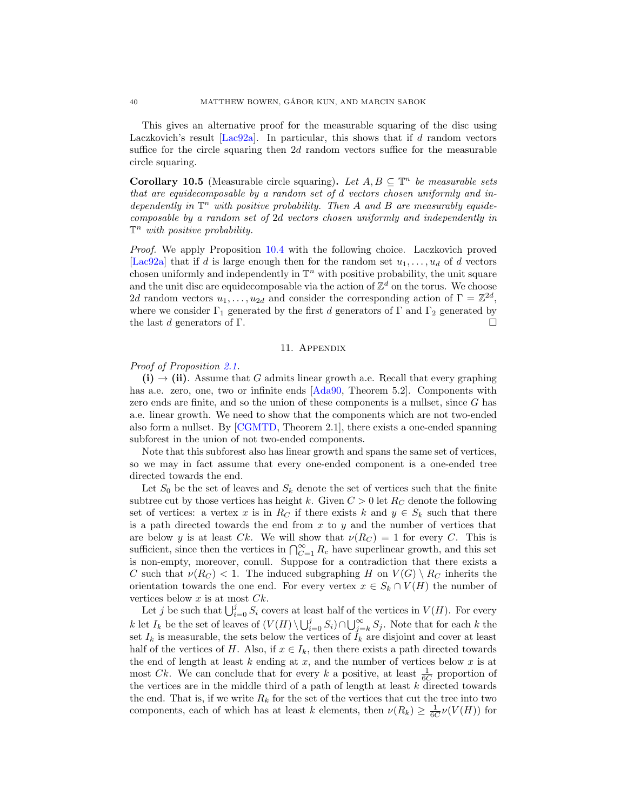This gives an alternative proof for the measurable squaring of the disc using Laczkovich's result  $[Lac92a]$ . In particular, this shows that if d random vectors suffice for the circle squaring then  $2d$  random vectors suffice for the measurable circle squaring.

**Corollary 10.5** (Measurable circle squaring). Let  $A, B \subseteq \mathbb{T}^n$  be measurable sets that are equidecomposable by a random set of d vectors chosen uniformly and independently in  $\mathbb{T}^n$  with positive probability. Then A and B are measurably equidecomposable by a random set of 2d vectors chosen uniformly and independently in  $\mathbb{T}^n$  with positive probability.

Proof. We apply Proposition [10.4](#page-38-0) with the following choice. Laczkovich proved [\[Lac92a\]](#page-43-26) that if d is large enough then for the random set  $u_1, \ldots, u_d$  of d vectors chosen uniformly and independently in  $\mathbb{T}^n$  with positive probability, the unit square and the unit disc are equidecomposable via the action of  $\mathbb{Z}^d$  on the torus. We choose 2d random vectors  $u_1, \ldots, u_{2d}$  and consider the corresponding action of  $\Gamma = \mathbb{Z}^{2d}$ , where we consider  $\Gamma_1$  generated by the first d generators of  $\Gamma$  and  $\Gamma_2$  generated by the last d generators of  $\Gamma$ .

## 11. Appendix

## Proof of Proposition [2.1.](#page-6-0)

 $(i) \rightarrow (ii)$ . Assume that G admits linear growth a.e. Recall that every graphing has a.e. zero, one, two or infinite ends [\[Ada90,](#page-41-0) Theorem 5.2]. Components with zero ends are finite, and so the union of these components is a nullset, since G has a.e. linear growth. We need to show that the components which are not two-ended also form a nullset. By [\[CGMTD,](#page-42-8) Theorem 2.1], there exists a one-ended spanning subforest in the union of not two-ended components.

Note that this subforest also has linear growth and spans the same set of vertices, so we may in fact assume that every one-ended component is a one-ended tree directed towards the end.

Let  $S_0$  be the set of leaves and  $S_k$  denote the set of vertices such that the finite subtree cut by those vertices has height k. Given  $C > 0$  let  $R_C$  denote the following set of vertices: a vertex x is in  $R_C$  if there exists k and  $y \in S_k$  such that there is a path directed towards the end from  $x$  to  $y$  and the number of vertices that are below y is at least Ck. We will show that  $\nu(R_C) = 1$  for every C. This is sufficient, since then the vertices in  $\bigcap_{C=1}^{\infty} R_c$  have superlinear growth, and this set is non-empty, moreover, conull. Suppose for a contradiction that there exists a C such that  $\nu(R_C) < 1$ . The induced subgraphing H on  $V(G) \setminus R_C$  inherits the orientation towards the one end. For every vertex  $x \in S_k \cap V(H)$  the number of vertices below  $x$  is at most  $Ck$ .

Let j be such that  $\bigcup_{i=0}^j S_i$  covers at least half of the vertices in  $V(H)$ . For every k let  $I_k$  be the set of leaves of  $(V(H) \setminus \bigcup_{i=0}^j S_i) \cap \bigcup_{j=k}^{\infty} S_j$ . Note that for each k the set  $I_k$  is measurable, the sets below the vertices of  $I_k$  are disjoint and cover at least half of the vertices of H. Also, if  $x \in I_k$ , then there exists a path directed towards the end of length at least k ending at x, and the number of vertices below x is at most Ck. We can conclude that for every k a positive, at least  $\frac{1}{6C}$  proportion of the vertices are in the middle third of a path of length at least  $k$  directed towards the end. That is, if we write  $R_k$  for the set of the vertices that cut the tree into two components, each of which has at least k elements, then  $\nu(R_k) \geq \frac{1}{6C}\nu(V(H))$  for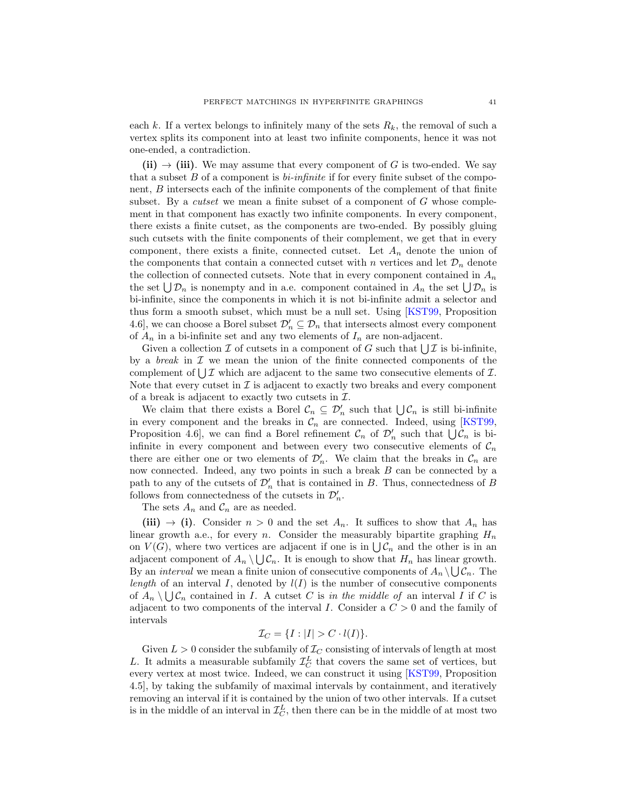each k. If a vertex belongs to infinitely many of the sets  $R_k$ , the removal of such a vertex splits its component into at least two infinite components, hence it was not one-ended, a contradiction.

(ii)  $\rightarrow$  (iii). We may assume that every component of G is two-ended. We say that a subset  $B$  of a component is *bi-infinite* if for every finite subset of the component, B intersects each of the infinite components of the complement of that finite subset. By a *cutset* we mean a finite subset of a component of  $G$  whose complement in that component has exactly two infinite components. In every component, there exists a finite cutset, as the components are two-ended. By possibly gluing such cutsets with the finite components of their complement, we get that in every component, there exists a finite, connected cutset. Let  $A_n$  denote the union of the components that contain a connected cutset with n vertices and let  $\mathcal{D}_n$  denote the collection of connected cutsets. Note that in every component contained in  $A_n$ the set  $\bigcup \mathcal{D}_n$  is nonempty and in a.e. component contained in  $A_n$  the set  $\bigcup \mathcal{D}_n$  is bi-infinite, since the components in which it is not bi-infinite admit a selector and thus form a smooth subset, which must be a null set. Using [\[KST99,](#page-42-22) Proposition 4.6], we can choose a Borel subset  $\mathcal{D}'_n \subseteq \mathcal{D}_n$  that intersects almost every component of  $A_n$  in a bi-infinite set and any two elements of  $I_n$  are non-adjacent.

Given a collection  $\mathcal I$  of cutsets in a component of G such that  $\bigcup \mathcal I$  is bi-infinite, by a *break* in  $\mathcal I$  we mean the union of the finite connected components of the complement of  $\bigcup \mathcal{I}$  which are adjacent to the same two consecutive elements of  $\mathcal{I}$ . Note that every cutset in  $\mathcal I$  is adjacent to exactly two breaks and every component of a break is adjacent to exactly two cutsets in  $\mathcal{I}$ .

We claim that there exists a Borel  $\mathcal{C}_n \subseteq \mathcal{D}'_n$  such that  $\bigcup \mathcal{C}_n$  is still bi-infinite in every component and the breaks in  $C_n$  are connected. Indeed, using [\[KST99,](#page-42-22) Proposition 4.6, we can find a Borel refinement  $\mathcal{C}_n$  of  $\mathcal{D}'_n$  such that  $\bigcup \mathcal{C}_n$  is biinfinite in every component and between every two consecutive elements of  $\mathcal{C}_n$ there are either one or two elements of  $\mathcal{D}'_n$ . We claim that the breaks in  $\mathcal{C}_n$  are now connected. Indeed, any two points in such a break B can be connected by a path to any of the cutsets of  $\mathcal{D}'_n$  that is contained in B. Thus, connectedness of B follows from connectedness of the cutsets in  $\mathcal{D}'_n$ .

The sets  $A_n$  and  $C_n$  are as needed.

(iii)  $\rightarrow$  (i). Consider  $n > 0$  and the set  $A_n$ . It suffices to show that  $A_n$  has linear growth a.e., for every n. Consider the measurably bipartite graphing  $H_n$ on  $V(G)$ , where two vertices are adjacent if one is in  $\bigcup \mathcal{C}_n$  and the other is in an adjacent component of  $A_n \setminus \bigcup \mathcal{C}_n$ . It is enough to show that  $H_n$  has linear growth. By an *interval* we mean a finite union of consecutive components of  $A_n \setminus \bigcup \mathcal{C}_n$ . The length of an interval I, denoted by  $l(I)$  is the number of consecutive components of  $A_n \setminus \bigcup \mathcal{C}_n$  contained in I. A cutset C is in the middle of an interval I if C is adjacent to two components of the interval I. Consider a  $C > 0$  and the family of intervals

$$
\mathcal{I}_C = \{I : |I| > C \cdot l(I)\}.
$$

Given  $L > 0$  consider the subfamily of  $\mathcal{I}_C$  consisting of intervals of length at most L. It admits a measurable subfamily  $\mathcal{I}_{\mathcal{C}}^{L}$  that covers the same set of vertices, but every vertex at most twice. Indeed, we can construct it using [\[KST99,](#page-42-22) Proposition 4.5], by taking the subfamily of maximal intervals by containment, and iteratively removing an interval if it is contained by the union of two other intervals. If a cutset is in the middle of an interval in  $\mathcal{I}_{C}^{L}$ , then there can be in the middle of at most two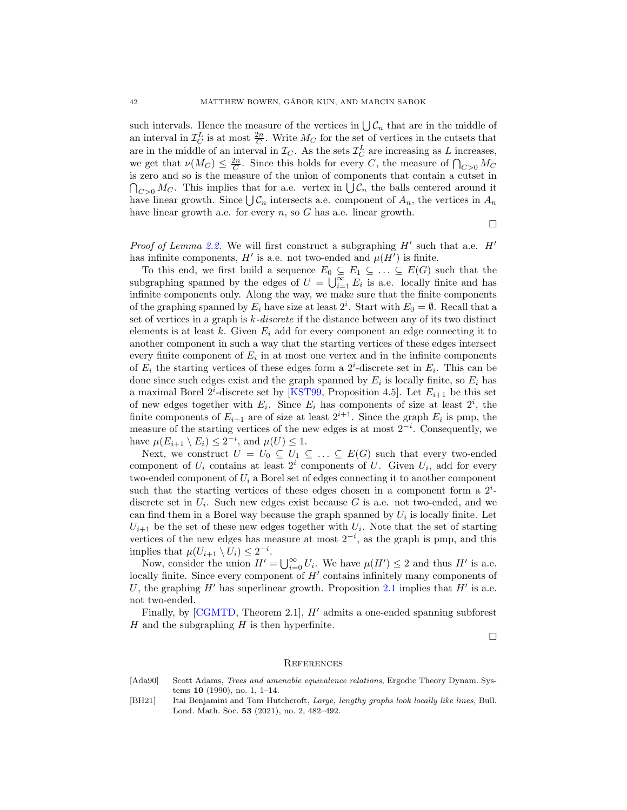such intervals. Hence the measure of the vertices in  $\bigcup \mathcal{C}_n$  that are in the middle of an interval in  $\mathcal{I}_{C}^{L}$  is at most  $\frac{2n}{C}$ . Write  $M_{C}$  for the set of vertices in the cutsets that are in the middle of an interval in  $\mathcal{I}_C$ . As the sets  $\mathcal{I}_C^L$  are increasing as L increases, we get that  $\nu(M_C) \leq \frac{2n}{C}$ . Since this holds for every C, the measure of  $\bigcap_{C>0} M_C$ is zero and so is the measure of the union of components that contain a cutset in  $\bigcap_{C>0} M_C$ . This implies that for a.e. vertex in  $\bigcup \mathcal{C}_n$  the balls centered around it have linear growth. Since  $\bigcup \mathcal{C}_n$  intersects a.e. component of  $A_n$ , the vertices in  $A_n$ have linear growth a.e. for every  $n$ , so  $G$  has a.e. linear growth.

 $\Box$ 

Proof of Lemma [2.2.](#page-6-2) We will first construct a subgraphing  $H'$  such that a.e.  $H'$ has infinite components,  $H'$  is a.e. not two-ended and  $\mu(H')$  is finite.

To this end, we first build a sequence  $E_0 \subseteq E_1 \subseteq \ldots \subseteq E(G)$  such that the subgraphing spanned by the edges of  $U = \bigcup_{i=1}^{\infty} E_i$  is a.e. locally finite and has infinite components only. Along the way, we make sure that the finite components of the graphing spanned by  $E_i$  have size at least  $2^i$ . Start with  $E_0 = \emptyset$ . Recall that a set of vertices in a graph is  $k$ -discrete if the distance between any of its two distinct elements is at least k. Given  $E_i$  add for every component an edge connecting it to another component in such a way that the starting vertices of these edges intersect every finite component of  $E_i$  in at most one vertex and in the infinite components of  $E_i$  the starting vertices of these edges form a  $2^i$ -discrete set in  $E_i$ . This can be done since such edges exist and the graph spanned by  $E_i$  is locally finite, so  $E_i$  has a maximal Borel 2<sup>*i*</sup>-discrete set by [\[KST99,](#page-42-22) Proposition 4.5]. Let  $E_{i+1}$  be this set of new edges together with  $E_i$ . Since  $E_i$  has components of size at least  $2^i$ , the finite components of  $E_{i+1}$  are of size at least  $2^{i+1}$ . Since the graph  $E_i$  is pmp, the measure of the starting vertices of the new edges is at most  $2^{-i}$ . Consequently, we have  $\mu(E_{i+1} \setminus E_i) \leq 2^{-i}$ , and  $\mu(U) \leq 1$ .

Next, we construct  $U = U_0 \subseteq U_1 \subseteq \ldots \subseteq E(G)$  such that every two-ended component of  $U_i$  contains at least  $2^i$  components of U. Given  $U_i$ , add for every two-ended component of  $U_i$  a Borel set of edges connecting it to another component such that the starting vertices of these edges chosen in a component form a  $2^i$ discrete set in  $U_i$ . Such new edges exist because G is a.e. not two-ended, and we can find them in a Borel way because the graph spanned by  $U_i$  is locally finite. Let  $U_{i+1}$  be the set of these new edges together with  $U_i$ . Note that the set of starting vertices of the new edges has measure at most  $2^{-i}$ , as the graph is pmp, and this implies that  $\mu(U_{i+1} \setminus U_i) \leq 2^{-i}$ .

Now, consider the union  $H' = \bigcup_{i=0}^{\infty} U_i$ . We have  $\mu(H') \leq 2$  and thus  $H'$  is a.e. locally finite. Since every component of  $H'$  contains infinitely many components of U, the graphing  $H'$  has superlinear growth. Proposition [2.1](#page-6-0) implies that  $H'$  is a.e. not two-ended.

Finally, by [\[CGMTD,](#page-42-8) Theorem 2.1],  $H'$  admits a one-ended spanning subforest  $H$  and the subgraphing  $H$  is then hyperfinite.

 $\Box$ 

#### **REFERENCES**

- <span id="page-41-0"></span>[Ada90] Scott Adams, *Trees and amenable equivalence relations*, Ergodic Theory Dynam. Systems 10 (1990), no. 1, 1–14.
- <span id="page-41-1"></span>[BH21] Itai Benjamini and Tom Hutchcroft, Large, lengthy graphs look locally like lines, Bull. Lond. Math. Soc. 53 (2021), no. 2, 482–492.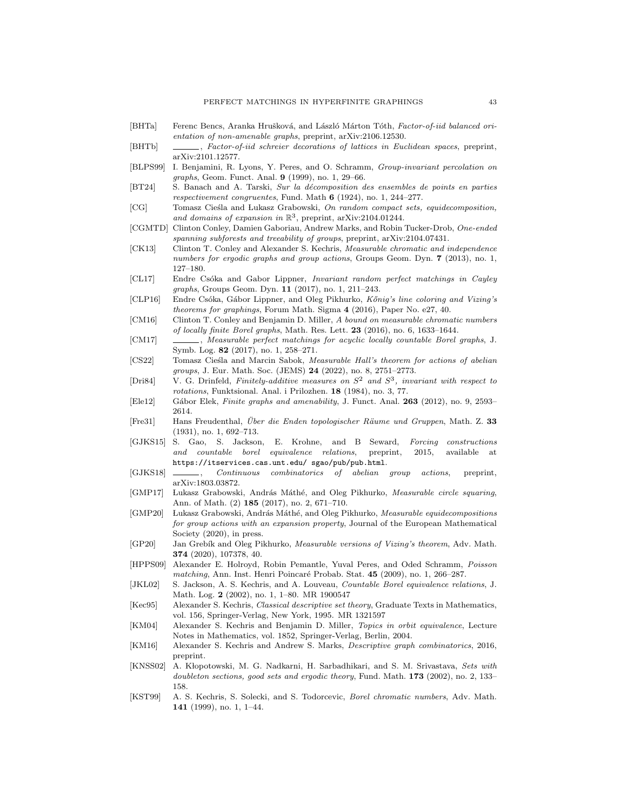- <span id="page-42-21"></span>[BHTa] Ferenc Bencs, Aranka Hrušková, and László Márton Tóth, Factor-of-iid balanced orientation of non-amenable graphs, preprint, arXiv:2106.12530.
- <span id="page-42-7"></span>[BHTb] , Factor-of-iid schreier decorations of lattices in Euclidean spaces, preprint, arXiv:2101.12577.
- <span id="page-42-9"></span>[BLPS99] I. Benjamini, R. Lyons, Y. Peres, and O. Schramm, Group-invariant percolation on graphs, Geom. Funct. Anal. 9 (1999), no. 1, 29–66.
- <span id="page-42-2"></span>[BT24] S. Banach and A. Tarski, Sur la décomposition des ensembles de points en parties respectivement congruentes, Fund. Math 6 (1924), no. 1, 244–277.
- <span id="page-42-13"></span>[CG] Tomasz Cieśla and Lukasz Grabowski, On random compact sets, equidecomposition, and domains of expansion in  $\mathbb{R}^3$ , preprint, arXiv:2104.01244.
- <span id="page-42-8"></span>[CGMTD] Clinton Conley, Damien Gaboriau, Andrew Marks, and Robin Tucker-Drob, One-ended spanning subforests and treeability of groups, preprint, arXiv:2104.07431.
- <span id="page-42-6"></span>[CK13] Clinton T. Conley and Alexander S. Kechris, Measurable chromatic and independence numbers for ergodic graphs and group actions, Groups Geom. Dyn. 7 (2013), no. 1, 127–180.
- <span id="page-42-14"></span>[CL17] Endre Csóka and Gabor Lippner, *Invariant random perfect matchings in Cayley* graphs, Groups Geom. Dyn. 11 (2017), no. 1, 211–243.
- <span id="page-42-15"></span>[CLP16] Endre Csóka, Gábor Lippner, and Oleg Pikhurko, Kőnig's line coloring and Vizing's theorems for graphings, Forum Math. Sigma 4 (2016), Paper No. e27, 40.
- <span id="page-42-25"></span>[CM16] Clinton T. Conley and Benjamin D. Miller, A bound on measurable chromatic numbers of locally finite Borel graphs, Math. Res. Lett. 23 (2016), no. 6, 1633–1644.
- <span id="page-42-17"></span>[CM17] , Measurable perfect matchings for acyclic locally countable Borel graphs, J. Symb. Log. 82 (2017), no. 1, 258–271.
- <span id="page-42-20"></span>[CS22] Tomasz Cieśla and Marcin Sabok, Measurable Hall's theorem for actions of abelian groups, J. Eur. Math. Soc. (JEMS) 24 (2022), no. 8, 2751-2773.
- <span id="page-42-11"></span>[Dri84] V. G. Drinfeld, Finitely-additive measures on  $S^2$  and  $S^3$ , invariant with respect to rotations, Funktsional. Anal. i Prilozhen. 18 (1984), no. 3, 77.
- <span id="page-42-0"></span>[Ele12] Gábor Elek, Finite graphs and amenability, J. Funct. Anal. 263 (2012), no. 9, 2593– 2614.
- <span id="page-42-18"></span>[Fre31] Hans Freudenthal, Über die Enden topologischer Räume und Gruppen, Math. Z. 33 (1931), no. 1, 692–713.
- <span id="page-42-24"></span>[GJKS15] S. Gao, S. Jackson, E. Krohne, and B Seward, Forcing constructions and countable borel equivalence relations, preprint, 2015, available at https://itservices.cas.unt.edu/ sgao/pub/pub.html.
- <span id="page-42-23"></span>[GJKS18] \_\_\_\_\_, Continuous combinatorics of abelian group actions, preprint, arXiv:1803.03872.
- <span id="page-42-10"></span>[GMP17] Lukasz Grabowski, András Máthé, and Oleg Pikhurko, Measurable circle squaring, Ann. of Math. (2) 185 (2017), no. 2, 671–710.
- <span id="page-42-12"></span>[GMP20] Lukasz Grabowski, András Máthé, and Oleg Pikhurko, Measurable equidecompositions for group actions with an expansion property, Journal of the European Mathematical Society (2020), in press.
- <span id="page-42-16"></span>[GP20] Jan Grebík and Oleg Pikhurko, Measurable versions of Vizing's theorem, Adv. Math. 374 (2020), 107378, 40.
- <span id="page-42-4"></span>[HPPS09] Alexander E. Holroyd, Robin Pemantle, Yuval Peres, and Oded Schramm, Poisson matching, Ann. Inst. Henri Poincaré Probab. Stat. 45 (2009), no. 1, 266–287.
- <span id="page-42-19"></span>[JKL02] S. Jackson, A. S. Kechris, and A. Louveau, Countable Borel equivalence relations, J. Math. Log. 2 (2002), no. 1, 1–80. MR 1900547
- <span id="page-42-26"></span>[Kec95] Alexander S. Kechris, *Classical descriptive set theory*, Graduate Texts in Mathematics, vol. 156, Springer-Verlag, New York, 1995. MR 1321597
- <span id="page-42-3"></span>[KM04] Alexander S. Kechris and Benjamin D. Miller, Topics in orbit equivalence, Lecture Notes in Mathematics, vol. 1852, Springer-Verlag, Berlin, 2004.
- <span id="page-42-1"></span>[KM16] Alexander S. Kechris and Andrew S. Marks, Descriptive graph combinatorics, 2016, preprint.
- <span id="page-42-5"></span>[KNSS02] A. Kłopotowski, M. G. Nadkarni, H. Sarbadhikari, and S. M. Srivastava, Sets with doubleton sections, good sets and ergodic theory, Fund. Math. 173 (2002), no. 2, 133-158.
- <span id="page-42-22"></span>[KST99] A. S. Kechris, S. Solecki, and S. Todorcevic, Borel chromatic numbers, Adv. Math. 141 (1999), no. 1, 1–44.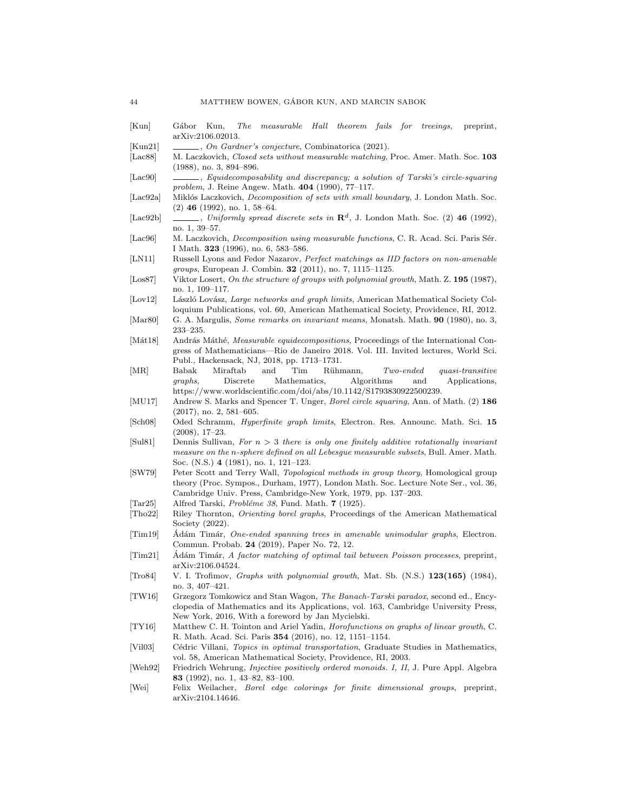- <span id="page-43-4"></span>[Kun] Gábor Kun, The measurable Hall theorem fails for treeings, preprint, arXiv:2106.02013.
- <span id="page-43-21"></span>[Kun21] , On Gardner's conjecture, Combinatorica (2021).
- <span id="page-43-2"></span>[Lac88] M. Laczkovich, *Closed sets without measurable matching*, Proc. Amer. Math. Soc. 103 (1988), no. 3, 894–896.
- <span id="page-43-8"></span>[Lac90] , Equidecomposability and discrepancy; a solution of Tarski's circle-squaring problem, J. Reine Angew. Math. 404 (1990), 77–117.
- <span id="page-43-26"></span>[Lac92a] Miklós Laczkovich, Decomposition of sets with small boundary, J. London Math. Soc.  $(2)$  46  $(1992)$ , no. 1, 58–64.
- <span id="page-43-24"></span>[Lac92b]  $\quad \qquad$ , Uniformly spread discrete sets in  $\mathbb{R}^d$ , J. London Math. Soc. (2) 46 (1992), no. 1, 39–57.
- <span id="page-43-20"></span>[Lac96] M. Laczkovich, *Decomposition using measurable functions*, C. R. Acad. Sci. Paris Sér. I Math. 323 (1996), no. 6, 583–586.
- <span id="page-43-5"></span>[LN11] Russell Lyons and Fedor Nazarov, Perfect matchings as IID factors on non-amenable groups, European J. Combin. 32 (2011), no. 7, 1115–1125.
- <span id="page-43-17"></span>[Los87] Viktor Losert, On the structure of groups with polynomial growth, Math. Z. 195 (1987), no. 1, 109–117.
- <span id="page-43-0"></span>[Lov12] László Lovász, Large networks and graph limits, American Mathematical Society Colloquium Publications, vol. 60, American Mathematical Society, Providence, RI, 2012.
- <span id="page-43-11"></span>[Mar80] G. A. Margulis, Some remarks on invariant means, Monatsh. Math. 90 (1980), no. 3, 233–235.
- <span id="page-43-10"></span>[Mát18] András Máthé, *Measurable equidecompositions*, Proceedings of the International Congress of Mathematicians—Rio de Janeiro 2018. Vol. III. Invited lectures, World Sci. Publ., Hackensack, NJ, 2018, pp. 1713–1731.
- <span id="page-43-18"></span>[MR] Babak Miraftab and Tim Rühmann, Two-ended quasi-transitive graphs, Discrete Mathematics, Algorithms and Applications, https://www.worldscientific.com/doi/abs/10.1142/S1793830922500239.
- <span id="page-43-9"></span>[MU17] Andrew S. Marks and Spencer T. Unger, *Borel circle squaring*, Ann. of Math. (2) 186 (2017), no. 2, 581–605.
- <span id="page-43-1"></span>[Sch08] Oded Schramm, Hyperfinite graph limits, Electron. Res. Announc. Math. Sci. 15 (2008), 17–23.
- <span id="page-43-12"></span>[Sul81] Dennis Sullivan, For  $n > 3$  there is only one finitely additive rotationally invariant measure on the n-sphere defined on all Lebesgue measurable subsets, Bull. Amer. Math. Soc. (N.S.) 4 (1981), no. 1, 121–123.
- <span id="page-43-14"></span>[SW79] Peter Scott and Terry Wall, Topological methods in group theory, Homological group theory (Proc. Sympos., Durham, 1977), London Math. Soc. Lecture Note Ser., vol. 36, Cambridge Univ. Press, Cambridge-New York, 1979, pp. 137–203.
- <span id="page-43-23"></span>[Tar25] Alfred Tarski, Probléme 38, Fund. Math. 7 (1925).
- <span id="page-43-22"></span>[Tho22] Riley Thornton, Orienting borel graphs, Proceedings of the American Mathematical Society (2022).
- <span id="page-43-7"></span>[Tim19] Adám Timár, One-ended spanning trees in amenable unimodular graphs, Electron. Commun. Probab. 24 (2019), Paper No. 72, 12.
- <span id="page-43-3"></span>[Tim21] Adám Timár, A factor matching of optimal tail between Poisson processes, preprint, arXiv:2106.04524.
- <span id="page-43-16"></span>[Tro84] V. I. Trofimov, Graphs with polynomial growth, Mat. Sb. (N.S.) 123(165) (1984), no. 3, 407–421.
- <span id="page-43-25"></span>[TW16] Grzegorz Tomkowicz and Stan Wagon, The Banach-Tarski paradox, second ed., Encyclopedia of Mathematics and its Applications, vol. 163, Cambridge University Press, New York, 2016, With a foreword by Jan Mycielski.
- <span id="page-43-15"></span>[TY16] Matthew C. H. Tointon and Ariel Yadin, Horofunctions on graphs of linear growth, C. R. Math. Acad. Sci. Paris 354 (2016), no. 12, 1151–1154.
- <span id="page-43-13"></span>[Vil03] Cédric Villani, Topics in optimal transportation, Graduate Studies in Mathematics, vol. 58, American Mathematical Society, Providence, RI, 2003.
- <span id="page-43-19"></span>[Weh92] Friedrich Wehrung, *Injective positively ordered monoids. I, II*, J. Pure Appl. Algebra 83 (1992), no. 1, 43–82, 83–100.
- <span id="page-43-6"></span>[Wei] Felix Weilacher, Borel edge colorings for finite dimensional groups, preprint, arXiv:2104.14646.